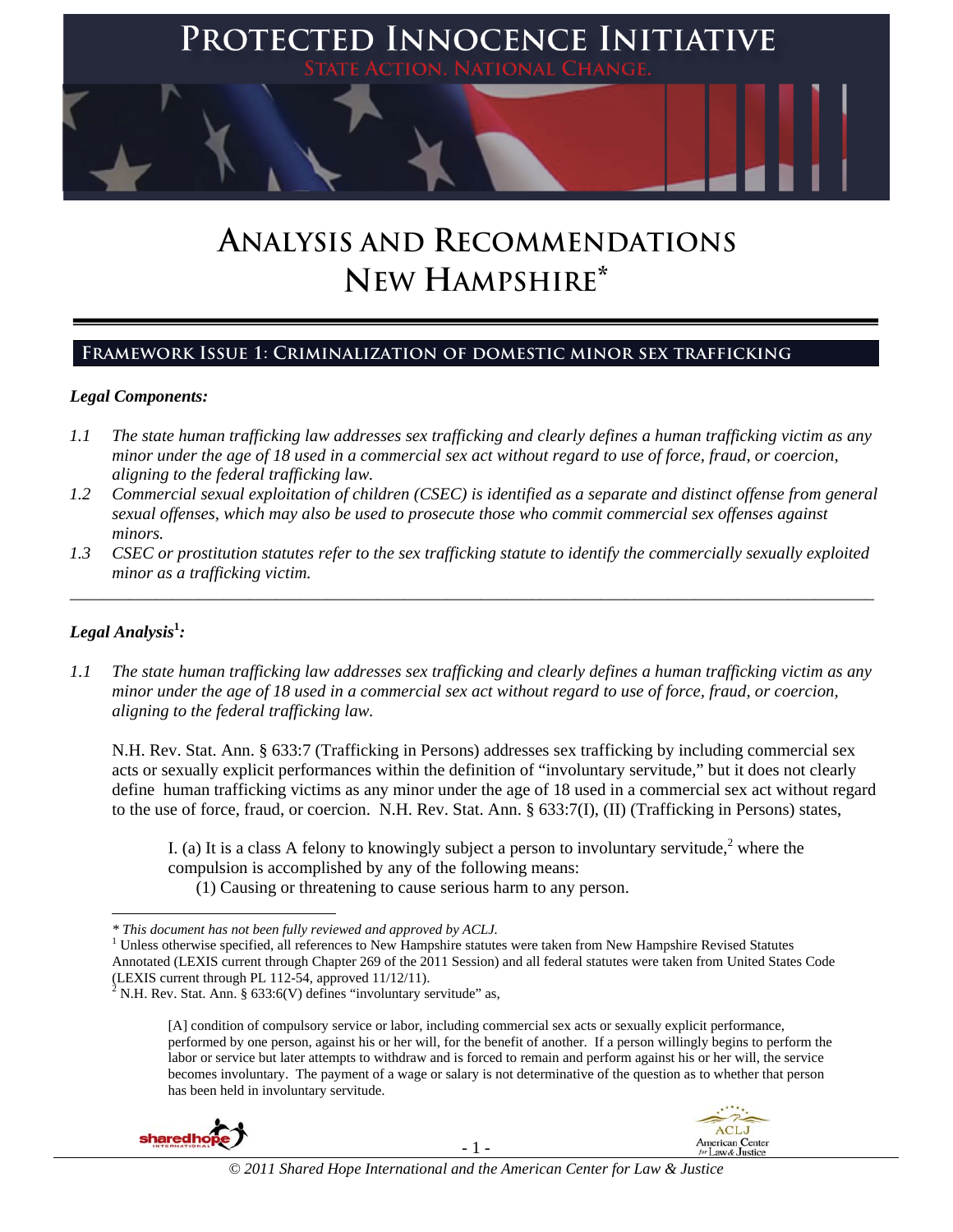

# **ANALYSIS AND RECOMMENDATIONS NEW HAMPSHIRE\***

### **Framework Issue 1: Criminalization of domestic minor sex trafficking**

### *Legal Components:*

- *1.1 The state human trafficking law addresses sex trafficking and clearly defines a human trafficking victim as any minor under the age of 18 used in a commercial sex act without regard to use of force, fraud, or coercion, aligning to the federal trafficking law.*
- *1.2 Commercial sexual exploitation of children (CSEC) is identified as a separate and distinct offense from general sexual offenses, which may also be used to prosecute those who commit commercial sex offenses against minors.*
- *1.3 CSEC or prostitution statutes refer to the sex trafficking statute to identify the commercially sexually exploited minor as a trafficking victim.*  \_\_\_\_\_\_\_\_\_\_\_\_\_\_\_\_\_\_\_\_\_\_\_\_\_\_\_\_\_\_\_\_\_\_\_\_\_\_\_\_\_\_\_\_\_\_\_\_\_\_\_\_\_\_\_\_\_\_\_\_\_\_\_\_\_\_\_\_\_\_\_\_\_\_\_\_\_\_\_\_\_\_\_\_\_\_\_\_\_\_\_\_\_\_

### *Legal Analysis***<sup>1</sup>** *:*

l

*1.1 The state human trafficking law addresses sex trafficking and clearly defines a human trafficking victim as any minor under the age of 18 used in a commercial sex act without regard to use of force, fraud, or coercion, aligning to the federal trafficking law.*

N.H. Rev. Stat. Ann. § 633:7 (Trafficking in Persons) addresses sex trafficking by including commercial sex acts or sexually explicit performances within the definition of "involuntary servitude," but it does not clearly define human trafficking victims as any minor under the age of 18 used in a commercial sex act without regard to the use of force, fraud, or coercion. N.H. Rev. Stat. Ann. § 633:7(I), (II) (Trafficking in Persons) states,

I. (a) It is a class A felony to knowingly subject a person to involuntary servitude,<sup>2</sup> where the compulsion is accomplished by any of the following means:

(1) Causing or threatening to cause serious harm to any person.

 $<sup>1</sup>$  Unless otherwise specified, all references to New Hampshire statutes were taken from New Hampshire Revised Statutes</sup> Annotated (LEXIS current through Chapter 269 of the 2011 Session) and all federal statutes were taken from United States Code (LEXIS current through PL 112-54, approved 11/12/11).<br><sup>2</sup> N.H. Rev. Stat. Ann. § 633:6(V) defines "involuntary servitude" as,

<sup>[</sup>A] condition of compulsory service or labor, including commercial sex acts or sexually explicit performance, performed by one person, against his or her will, for the benefit of another. If a person willingly begins to perform the labor or service but later attempts to withdraw and is forced to remain and perform against his or her will, the service becomes involuntary. The payment of a wage or salary is not determinative of the question as to whether that person has been held in involuntary servitude.





*<sup>\*</sup> This document has not been fully reviewed and approved by ACLJ.* <sup>1</sup>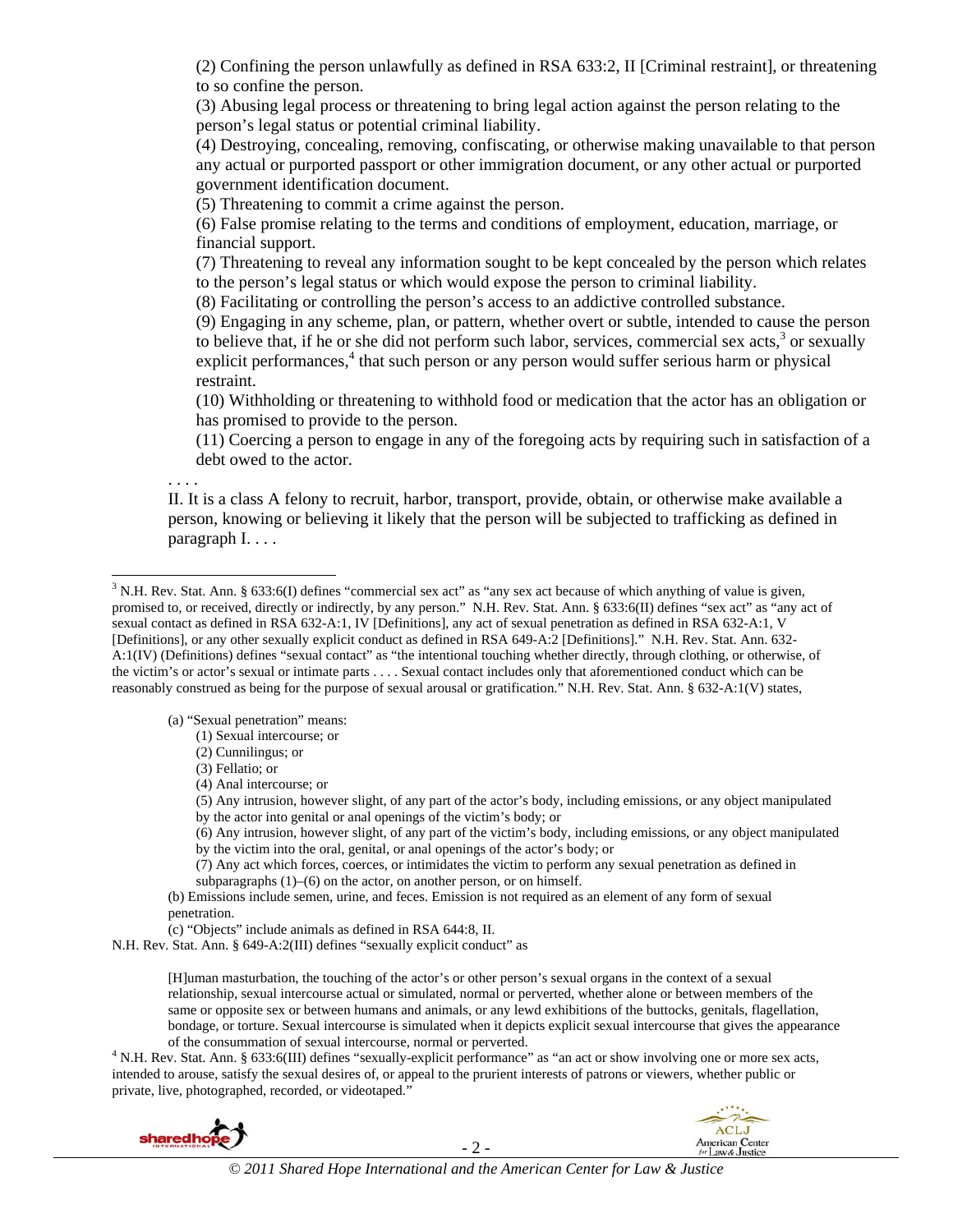(2) Confining the person unlawfully as defined in RSA 633:2, II [Criminal restraint], or threatening to so confine the person.

(3) Abusing legal process or threatening to bring legal action against the person relating to the person's legal status or potential criminal liability.

(4) Destroying, concealing, removing, confiscating, or otherwise making unavailable to that person any actual or purported passport or other immigration document, or any other actual or purported government identification document.

(5) Threatening to commit a crime against the person.

(6) False promise relating to the terms and conditions of employment, education, marriage, or financial support.

(7) Threatening to reveal any information sought to be kept concealed by the person which relates to the person's legal status or which would expose the person to criminal liability.

(8) Facilitating or controlling the person's access to an addictive controlled substance.

(9) Engaging in any scheme, plan, or pattern, whether overt or subtle, intended to cause the person to believe that, if he or she did not perform such labor, services, commercial sex acts, $3$  or sexually explicit performances,<sup>4</sup> that such person or any person would suffer serious harm or physical restraint.

(10) Withholding or threatening to withhold food or medication that the actor has an obligation or has promised to provide to the person.

(11) Coercing a person to engage in any of the foregoing acts by requiring such in satisfaction of a debt owed to the actor.

. . . .

l

II. It is a class A felony to recruit, harbor, transport, provide, obtain, or otherwise make available a person, knowing or believing it likely that the person will be subjected to trafficking as defined in paragraph I. . . .

(a) "Sexual penetration" means:

(1) Sexual intercourse; or

(2) Cunnilingus; or

(3) Fellatio; or

(4) Anal intercourse; or

(5) Any intrusion, however slight, of any part of the actor's body, including emissions, or any object manipulated by the actor into genital or anal openings of the victim's body; or

(6) Any intrusion, however slight, of any part of the victim's body, including emissions, or any object manipulated by the victim into the oral, genital, or anal openings of the actor's body; or

(7) Any act which forces, coerces, or intimidates the victim to perform any sexual penetration as defined in

subparagraphs  $(1)$ – $(6)$  on the actor, on another person, or on himself.

(b) Emissions include semen, urine, and feces. Emission is not required as an element of any form of sexual penetration.

(c) "Objects" include animals as defined in RSA 644:8, II.

N.H. Rev. Stat. Ann. § 649-A:2(III) defines "sexually explicit conduct" as

[H]uman masturbation, the touching of the actor's or other person's sexual organs in the context of a sexual relationship, sexual intercourse actual or simulated, normal or perverted, whether alone or between members of the same or opposite sex or between humans and animals, or any lewd exhibitions of the buttocks, genitals, flagellation, bondage, or torture. Sexual intercourse is simulated when it depicts explicit sexual intercourse that gives the appearance of the consummation of sexual intercourse, normal or perverted. 4

<sup>4</sup> N.H. Rev. Stat. Ann. § 633:6(III) defines "sexually-explicit performance" as "an act or show involving one or more sex acts, intended to arouse, satisfy the sexual desires of, or appeal to the prurient interests of patrons or viewers, whether public or private, live, photographed, recorded, or videotaped."





- 2 -

 $3$  N.H. Rev. Stat. Ann. § 633:6(I) defines "commercial sex act" as "any sex act because of which anything of value is given, promised to, or received, directly or indirectly, by any person." N.H. Rev. Stat. Ann. § 633:6(II) defines "sex act" as "any act of sexual contact as defined in RSA 632-A:1, IV [Definitions], any act of sexual penetration as defined in RSA 632-A:1, V [Definitions], or any other sexually explicit conduct as defined in RSA 649-A:2 [Definitions]." N.H. Rev. Stat. Ann. 632- A:1(IV) (Definitions) defines "sexual contact" as "the intentional touching whether directly, through clothing, or otherwise, of the victim's or actor's sexual or intimate parts . . . . Sexual contact includes only that aforementioned conduct which can be reasonably construed as being for the purpose of sexual arousal or gratification." N.H. Rev. Stat. Ann. § 632-A:1(V) states,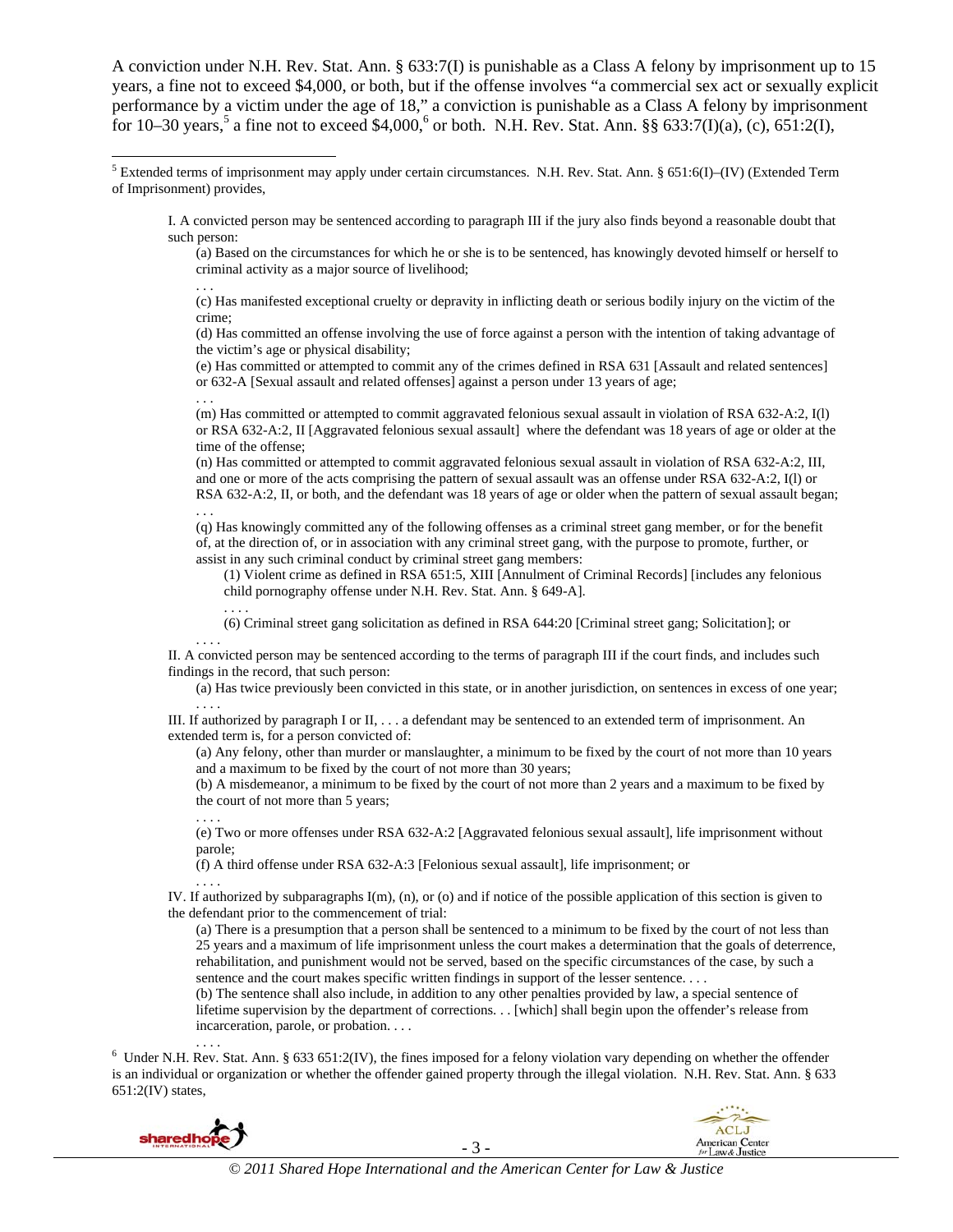A conviction under N.H. Rev. Stat. Ann. § 633:7(I) is punishable as a Class A felony by imprisonment up to 15 years, a fine not to exceed \$4,000, or both, but if the offense involves "a commercial sex act or sexually explicit performance by a victim under the age of 18," a conviction is punishable as a Class A felony by imprisonment for 10–30 years,<sup>5</sup> a fine not to exceed \$4,000,<sup>6</sup> or both. N.H. Rev. Stat. Ann. §§ 633:7(I)(a), (c), 651:2(I),

I. A convicted person may be sentenced according to paragraph III if the jury also finds beyond a reasonable doubt that such person:

(a) Based on the circumstances for which he or she is to be sentenced, has knowingly devoted himself or herself to criminal activity as a major source of livelihood; . . .

(c) Has manifested exceptional cruelty or depravity in inflicting death or serious bodily injury on the victim of the crime;

(d) Has committed an offense involving the use of force against a person with the intention of taking advantage of the victim's age or physical disability;

(e) Has committed or attempted to commit any of the crimes defined in RSA 631 [Assault and related sentences] or 632-A [Sexual assault and related offenses] against a person under 13 years of age;

(m) Has committed or attempted to commit aggravated felonious sexual assault in violation of RSA 632-A:2, I(l) or RSA 632-A:2, II [Aggravated felonious sexual assault] where the defendant was 18 years of age or older at the time of the offense;

(n) Has committed or attempted to commit aggravated felonious sexual assault in violation of RSA 632-A:2, III, and one or more of the acts comprising the pattern of sexual assault was an offense under RSA 632-A:2, I(l) or RSA 632-A:2, II, or both, and the defendant was 18 years of age or older when the pattern of sexual assault began; . . .

(q) Has knowingly committed any of the following offenses as a criminal street gang member, or for the benefit of, at the direction of, or in association with any criminal street gang, with the purpose to promote, further, or assist in any such criminal conduct by criminal street gang members:

(1) Violent crime as defined in RSA 651:5, XIII [Annulment of Criminal Records] [includes any felonious child pornography offense under N.H. Rev. Stat. Ann. § 649-A].

. . . . (6) Criminal street gang solicitation as defined in RSA 644:20 [Criminal street gang; Solicitation]; or . . . .

II. A convicted person may be sentenced according to the terms of paragraph III if the court finds, and includes such findings in the record, that such person:

(a) Has twice previously been convicted in this state, or in another jurisdiction, on sentences in excess of one year; . . . .

III. If authorized by paragraph I or II, . . . a defendant may be sentenced to an extended term of imprisonment. An extended term is, for a person convicted of:

(a) Any felony, other than murder or manslaughter, a minimum to be fixed by the court of not more than 10 years and a maximum to be fixed by the court of not more than 30 years;

(b) A misdemeanor, a minimum to be fixed by the court of not more than 2 years and a maximum to be fixed by the court of not more than 5 years;

. . . . (e) Two or more offenses under RSA 632-A:2 [Aggravated felonious sexual assault], life imprisonment without parole;

(f) A third offense under RSA 632-A:3 [Felonious sexual assault], life imprisonment; or . . . .

IV. If authorized by subparagraphs I(m), (n), or (o) and if notice of the possible application of this section is given to the defendant prior to the commencement of trial:

(a) There is a presumption that a person shall be sentenced to a minimum to be fixed by the court of not less than 25 years and a maximum of life imprisonment unless the court makes a determination that the goals of deterrence, rehabilitation, and punishment would not be served, based on the specific circumstances of the case, by such a sentence and the court makes specific written findings in support of the lesser sentence. . . .

(b) The sentence shall also include, in addition to any other penalties provided by law, a special sentence of lifetime supervision by the department of corrections. . . [which] shall begin upon the offender's release from incarceration, parole, or probation. . . .

....<br><sup>6</sup> Under N.H. Rev. Stat. Ann. § 633 651:2(IV), the fines imposed for a felony violation vary depending on whether the offender is an individual or organization or whether the offender gained property through the illegal violation. N.H. Rev. Stat. Ann. § 633 651:2(IV) states,



. . .

- 3 -



 5 Extended terms of imprisonment may apply under certain circumstances. N.H. Rev. Stat. Ann. § 651:6(I)–(IV) (Extended Term of Imprisonment) provides,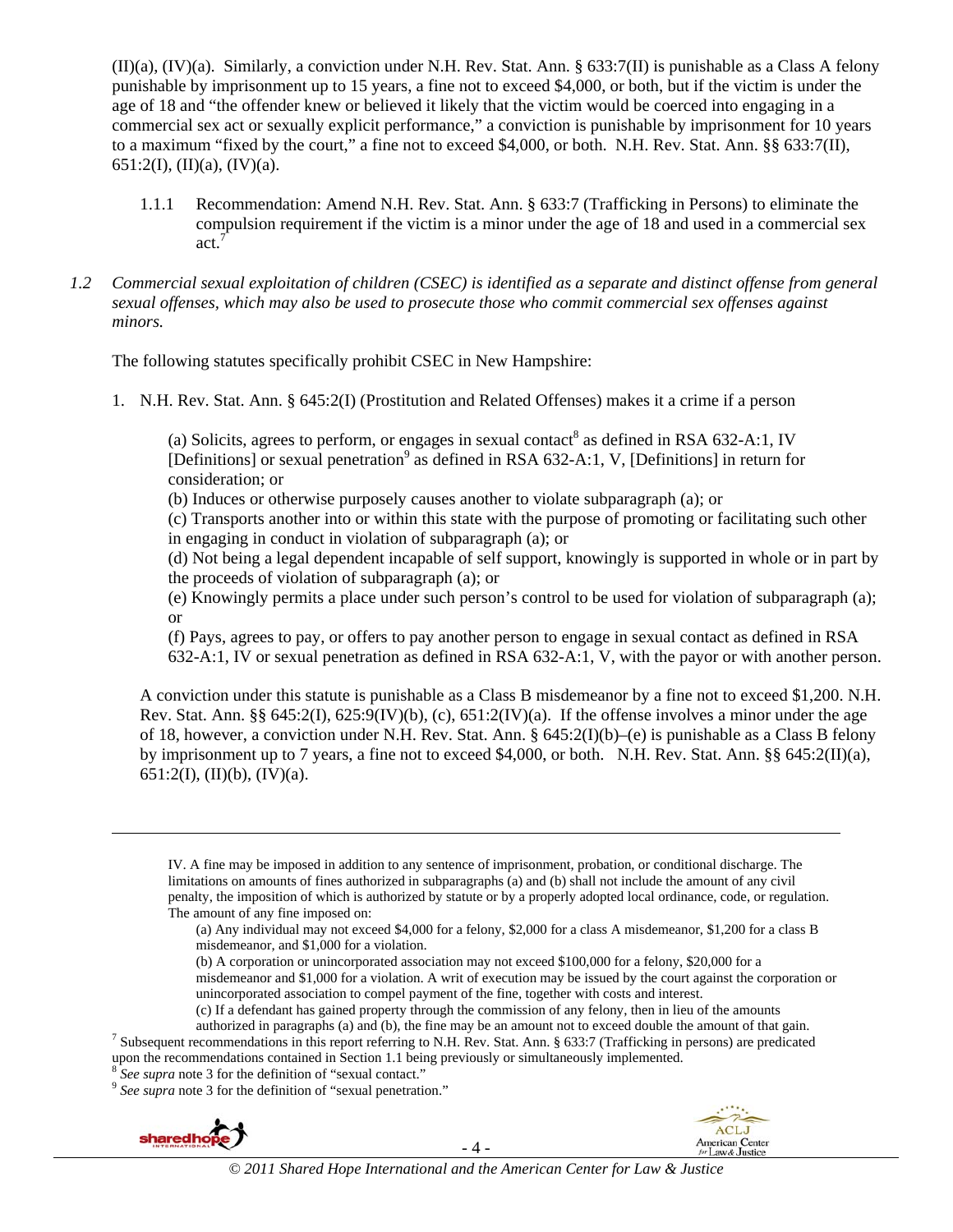$(II)(a)$ ,  $(IV)(a)$ . Similarly, a conviction under N.H. Rev. Stat. Ann. § 633:7(II) is punishable as a Class A felony punishable by imprisonment up to 15 years, a fine not to exceed \$4,000, or both, but if the victim is under the age of 18 and "the offender knew or believed it likely that the victim would be coerced into engaging in a commercial sex act or sexually explicit performance," a conviction is punishable by imprisonment for 10 years to a maximum "fixed by the court," a fine not to exceed \$4,000, or both. N.H. Rev. Stat. Ann. §§ 633:7(II), 651:2(I), (II)(a), (IV)(a).

- 1.1.1 Recommendation: Amend N.H. Rev. Stat. Ann. § 633:7 (Trafficking in Persons) to eliminate the compulsion requirement if the victim is a minor under the age of 18 and used in a commercial sex act<sup> $7$ </sup>
- *1.2 Commercial sexual exploitation of children (CSEC) is identified as a separate and distinct offense from general sexual offenses, which may also be used to prosecute those who commit commercial sex offenses against minors.*

The following statutes specifically prohibit CSEC in New Hampshire:

1. N.H. Rev. Stat. Ann. § 645:2(I) (Prostitution and Related Offenses) makes it a crime if a person

(a) Solicits, agrees to perform, or engages in sexual contact<sup>8</sup> as defined in RSA 632-A:1, IV [Definitions] or sexual penetration<sup>9</sup> as defined in RSA 632-A:1, V, [Definitions] in return for consideration; or

(b) Induces or otherwise purposely causes another to violate subparagraph (a); or

(c) Transports another into or within this state with the purpose of promoting or facilitating such other in engaging in conduct in violation of subparagraph (a); or

(d) Not being a legal dependent incapable of self support, knowingly is supported in whole or in part by the proceeds of violation of subparagraph (a); or

(e) Knowingly permits a place under such person's control to be used for violation of subparagraph (a); or

(f) Pays, agrees to pay, or offers to pay another person to engage in sexual contact as defined in RSA 632-A:1, IV or sexual penetration as defined in RSA 632-A:1, V, with the payor or with another person.

A conviction under this statute is punishable as a Class B misdemeanor by a fine not to exceed \$1,200. N.H. Rev. Stat. Ann.  $\S\S 645:2(1)$ ,  $625:9(IV)(b)$ , (c),  $651:2(IV)(a)$ . If the offense involves a minor under the age of 18, however, a conviction under N.H. Rev. Stat. Ann. § 645:2(I)(b)–(e) is punishable as a Class B felony by imprisonment up to 7 years, a fine not to exceed \$4,000, or both. N.H. Rev. Stat. Ann. §§ 645:2(II)(a),  $651:2(I), (II)(b), (IV)(a).$ 

IV. A fine may be imposed in addition to any sentence of imprisonment, probation, or conditional discharge. The limitations on amounts of fines authorized in subparagraphs (a) and (b) shall not include the amount of any civil penalty, the imposition of which is authorized by statute or by a properly adopted local ordinance, code, or regulation. The amount of any fine imposed on:

(b) A corporation or unincorporated association may not exceed \$100,000 for a felony, \$20,000 for a misdemeanor and \$1,000 for a violation. A writ of execution may be issued by the court against the corporation or unincorporated association to compel payment of the fine, together with costs and interest.

(c) If a defendant has gained property through the commission of any felony, then in lieu of the amounts authorized in paragraphs (a) and (b), the fine may be an amount not to exceed double the amount of that gain. 7

<sup>7</sup> Subsequent recommendations in this report referring to N.H. Rev. Stat. Ann. § 633:7 (Trafficking in persons) are predicated upon the recommendations contained in Section 1.1 being previously or simultaneously implemented.  $8 \text{ See } \text{supra}$  note 3 for the definition of "sexual contact."

<sup>9</sup> See supra note 3 for the definition of "sexual penetration."



1

- 4 -



<sup>(</sup>a) Any individual may not exceed \$4,000 for a felony, \$2,000 for a class A misdemeanor, \$1,200 for a class B misdemeanor, and \$1,000 for a violation.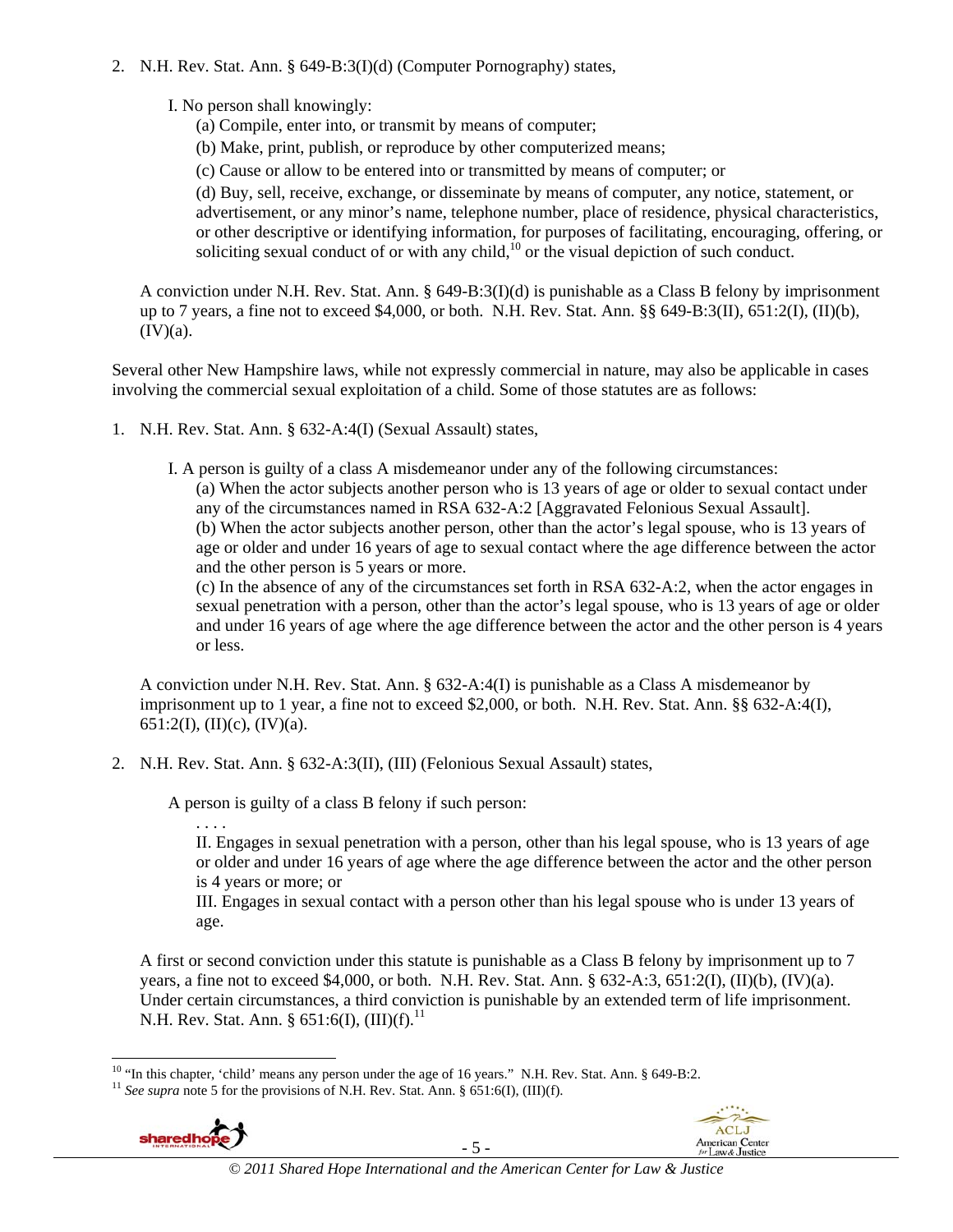2. N.H. Rev. Stat. Ann. § 649-B:3(I)(d) (Computer Pornography) states,

I. No person shall knowingly:

- (a) Compile, enter into, or transmit by means of computer;
- (b) Make, print, publish, or reproduce by other computerized means;
- (c) Cause or allow to be entered into or transmitted by means of computer; or

(d) Buy, sell, receive, exchange, or disseminate by means of computer, any notice, statement, or advertisement, or any minor's name, telephone number, place of residence, physical characteristics, or other descriptive or identifying information, for purposes of facilitating, encouraging, offering, or soliciting sexual conduct of or with any child, $\frac{10}{10}$  or the visual depiction of such conduct.

A conviction under N.H. Rev. Stat. Ann. § 649-B:3(I)(d) is punishable as a Class B felony by imprisonment up to 7 years, a fine not to exceed \$4,000, or both. N.H. Rev. Stat. Ann.  $\S$ § 649-B:3(II), 651:2(I), (II)(b),  $(IV)(a)$ .

Several other New Hampshire laws, while not expressly commercial in nature, may also be applicable in cases involving the commercial sexual exploitation of a child. Some of those statutes are as follows:

1. N.H. Rev. Stat. Ann. § 632-A:4(I) (Sexual Assault) states,

I. A person is guilty of a class A misdemeanor under any of the following circumstances:

(a) When the actor subjects another person who is 13 years of age or older to sexual contact under any of the circumstances named in RSA 632-A:2 [Aggravated Felonious Sexual Assault].

(b) When the actor subjects another person, other than the actor's legal spouse, who is 13 years of age or older and under 16 years of age to sexual contact where the age difference between the actor and the other person is 5 years or more.

(c) In the absence of any of the circumstances set forth in RSA 632-A:2, when the actor engages in sexual penetration with a person, other than the actor's legal spouse, who is 13 years of age or older and under 16 years of age where the age difference between the actor and the other person is 4 years or less.

A conviction under N.H. Rev. Stat. Ann. § 632-A:4(I) is punishable as a Class A misdemeanor by imprisonment up to 1 year, a fine not to exceed \$2,000, or both. N.H. Rev. Stat. Ann. §§ 632-A:4(I), 651:2(I), (II)(c), (IV)(a).

2. N.H. Rev. Stat. Ann. § 632-A:3(II), (III) (Felonious Sexual Assault) states,

A person is guilty of a class B felony if such person:

. . . .

II. Engages in sexual penetration with a person, other than his legal spouse, who is 13 years of age or older and under 16 years of age where the age difference between the actor and the other person is 4 years or more; or

III. Engages in sexual contact with a person other than his legal spouse who is under 13 years of age.

A first or second conviction under this statute is punishable as a Class B felony by imprisonment up to 7 years, a fine not to exceed \$4,000, or both. N.H. Rev. Stat. Ann. § 632-A:3, 651:2(I), (II)(b), (IV)(a). Under certain circumstances, a third conviction is punishable by an extended term of life imprisonment. N.H. Rev. Stat. Ann. § 651:6(I),  $(III)(f).^{11}$ 





l <sup>10</sup> "In this chapter, 'child' means any person under the age of 16 years." N.H. Rev. Stat. Ann. § 649-B:2. <sup>11</sup> *See supra* note 5 for the provisions of N.H. Rev. Stat. Ann. § 651:6(I), (III)(f).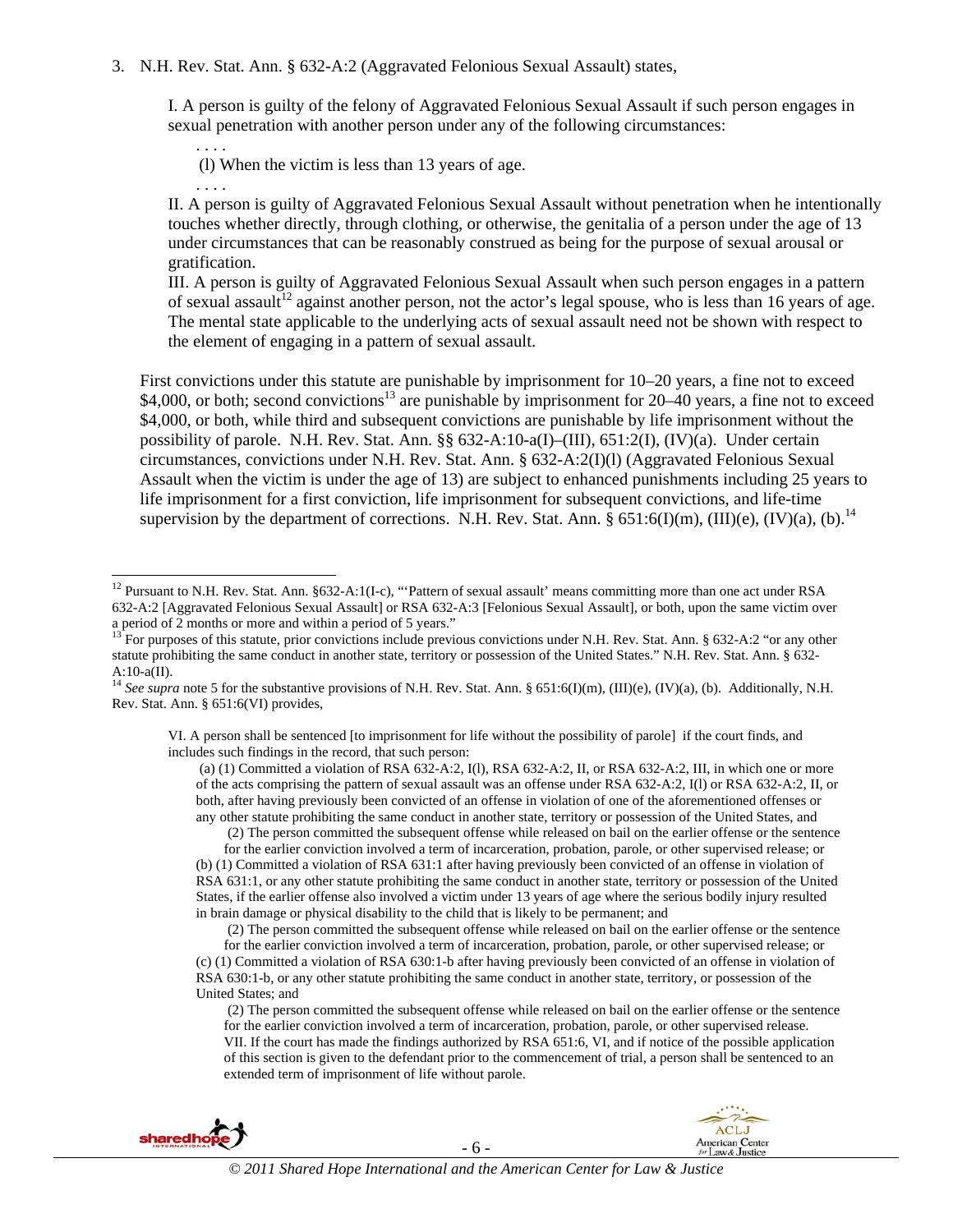#### 3. N.H. Rev. Stat. Ann. § 632-A:2 (Aggravated Felonious Sexual Assault) states,

I. A person is guilty of the felony of Aggravated Felonious Sexual Assault if such person engages in sexual penetration with another person under any of the following circumstances:

(l) When the victim is less than 13 years of age.

. . . .

. . . .

l

II. A person is guilty of Aggravated Felonious Sexual Assault without penetration when he intentionally touches whether directly, through clothing, or otherwise, the genitalia of a person under the age of 13 under circumstances that can be reasonably construed as being for the purpose of sexual arousal or gratification.

III. A person is guilty of Aggravated Felonious Sexual Assault when such person engages in a pattern of sexual assault<sup>12</sup> against another person, not the actor's legal spouse, who is less than 16 years of age. The mental state applicable to the underlying acts of sexual assault need not be shown with respect to the element of engaging in a pattern of sexual assault.

First convictions under this statute are punishable by imprisonment for 10–20 years, a fine not to exceed \$4,000, or both; second convictions<sup>13</sup> are punishable by imprisonment for 20–40 years, a fine not to exceed \$4,000, or both, while third and subsequent convictions are punishable by life imprisonment without the possibility of parole. N.H. Rev. Stat. Ann. §§ 632-A:10-a(I)–(III), 651:2(I), (IV)(a). Under certain circumstances, convictions under N.H. Rev. Stat. Ann. § 632-A:2(I)(l) (Aggravated Felonious Sexual Assault when the victim is under the age of 13) are subject to enhanced punishments including 25 years to life imprisonment for a first conviction, life imprisonment for subsequent convictions, and life-time supervision by the department of corrections. N.H. Rev. Stat. Ann.  $\S 651:6(I)(m)$ ,  $(III)(e)$ ,  $(IV)(a)$ ,  $(b)$ .<sup>14</sup>

VI. A person shall be sentenced [to imprisonment for life without the possibility of parole] if the court finds, and includes such findings in the record, that such person:

 (a) (1) Committed a violation of RSA 632-A:2, I(l), RSA 632-A:2, II, or RSA 632-A:2, III, in which one or more of the acts comprising the pattern of sexual assault was an offense under RSA 632-A:2, I(l) or RSA 632-A:2, II, or both, after having previously been convicted of an offense in violation of one of the aforementioned offenses or any other statute prohibiting the same conduct in another state, territory or possession of the United States, and

(2) The person committed the subsequent offense while released on bail on the earlier offense or the sentence

for the earlier conviction involved a term of incarceration, probation, parole, or other supervised release; or (b) (1) Committed a violation of RSA 631:1 after having previously been convicted of an offense in violation of RSA 631:1, or any other statute prohibiting the same conduct in another state, territory or possession of the United States, if the earlier offense also involved a victim under 13 years of age where the serious bodily injury resulted in brain damage or physical disability to the child that is likely to be permanent; and

(2) The person committed the subsequent offense while released on bail on the earlier offense or the sentence

 <sup>(2)</sup> The person committed the subsequent offense while released on bail on the earlier offense or the sentence for the earlier conviction involved a term of incarceration, probation, parole, or other supervised release. VII. If the court has made the findings authorized by RSA 651:6, VI, and if notice of the possible application of this section is given to the defendant prior to the commencement of trial, a person shall be sentenced to an extended term of imprisonment of life without parole.



<sup>&</sup>lt;sup>12</sup> Pursuant to N.H. Rev. Stat. Ann. §632-A:1(I-c), "Pattern of sexual assault' means committing more than one act under RSA 632-A:2 [Aggravated Felonious Sexual Assault] or RSA 632-A:3 [Felonious Sexual Assault], or both, upon the same victim over a period of 2 months or more and within a period of 5 years."

<sup>&</sup>lt;sup>13</sup> For purposes of this statute, prior convictions include previous convictions under N.H. Rev. Stat. Ann. § 632-A:2 "or any other statute prohibiting the same conduct in another state, territory or possession of the United States." N.H. Rev. Stat. Ann. § 632-  $A:10-a(II).$ 

<sup>&</sup>lt;sup>14</sup> See supra note 5 for the substantive provisions of N.H. Rev. Stat. Ann. § 651:6(I)(m), (III)(e), (IV)(a), (b). Additionally, N.H. Rev. Stat. Ann. § 651:6(VI) provides,

for the earlier conviction involved a term of incarceration, probation, parole, or other supervised release; or (c) (1) Committed a violation of RSA 630:1-b after having previously been convicted of an offense in violation of RSA 630:1-b, or any other statute prohibiting the same conduct in another state, territory, or possession of the United States; and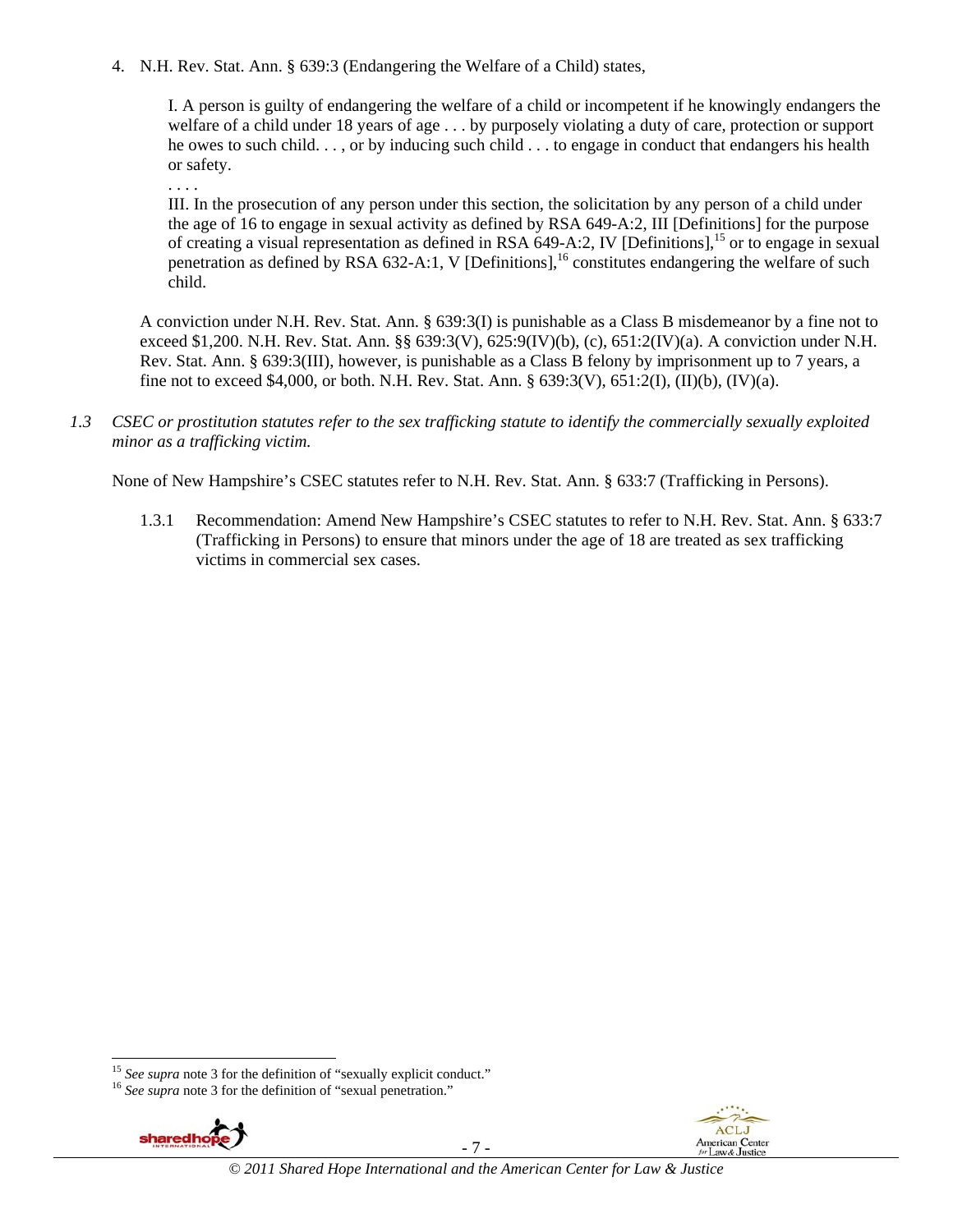4. N.H. Rev. Stat. Ann. § 639:3 (Endangering the Welfare of a Child) states,

I. A person is guilty of endangering the welfare of a child or incompetent if he knowingly endangers the welfare of a child under 18 years of age . . . by purposely violating a duty of care, protection or support he owes to such child. . . , or by inducing such child . . . to engage in conduct that endangers his health or safety.

. . . .

III. In the prosecution of any person under this section, the solicitation by any person of a child under the age of 16 to engage in sexual activity as defined by RSA 649-A:2, III [Definitions] for the purpose of creating a visual representation as defined in RSA 649-A:2, IV [Definitions],15 or to engage in sexual penetration as defined by RSA 632-A:1, V [Definitions],<sup>16</sup> constitutes endangering the welfare of such child.

A conviction under N.H. Rev. Stat. Ann. § 639:3(I) is punishable as a Class B misdemeanor by a fine not to exceed \$1,200. N.H. Rev. Stat. Ann. §§ 639:3(V), 625:9(IV)(b), (c), 651:2(IV)(a). A conviction under N.H. Rev. Stat. Ann. § 639:3(III), however, is punishable as a Class B felony by imprisonment up to 7 years, a fine not to exceed \$4,000, or both. N.H. Rev. Stat. Ann. § 639:3(V), 651:2(I), (II)(b), (IV)(a).

*1.3 CSEC or prostitution statutes refer to the sex trafficking statute to identify the commercially sexually exploited minor as a trafficking victim.*

None of New Hampshire's CSEC statutes refer to N.H. Rev. Stat. Ann. § 633:7 (Trafficking in Persons).

1.3.1 Recommendation: Amend New Hampshire's CSEC statutes to refer to N.H. Rev. Stat. Ann. § 633:7 (Trafficking in Persons) to ensure that minors under the age of 18 are treated as sex trafficking victims in commercial sex cases.



l





<sup>&</sup>lt;sup>15</sup> *See supra* note 3 for the definition of "sexually explicit conduct." <sup>16</sup> *See supra* note 3 for the definition of "sexual penetration."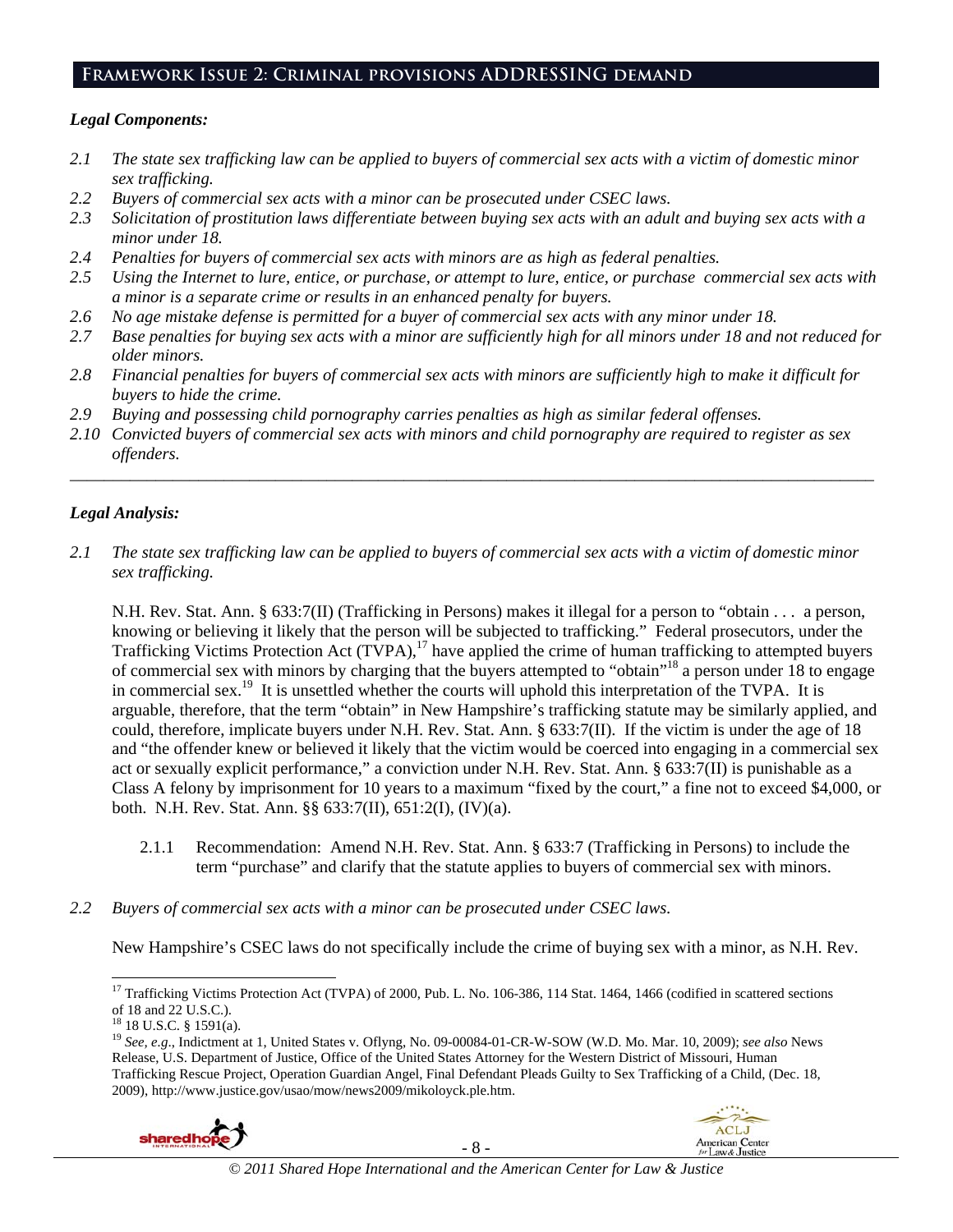### **Framework Issue 2: Criminal provisions ADDRESSING demand**

### *Legal Components:*

- *2.1 The state sex trafficking law can be applied to buyers of commercial sex acts with a victim of domestic minor sex trafficking.*
- *2.2 Buyers of commercial sex acts with a minor can be prosecuted under CSEC laws.*
- *2.3 Solicitation of prostitution laws differentiate between buying sex acts with an adult and buying sex acts with a minor under 18.*
- *2.4 Penalties for buyers of commercial sex acts with minors are as high as federal penalties.*
- *2.5 Using the Internet to lure, entice, or purchase, or attempt to lure, entice, or purchase commercial sex acts with a minor is a separate crime or results in an enhanced penalty for buyers.*
- *2.6 No age mistake defense is permitted for a buyer of commercial sex acts with any minor under 18.*
- *2.7 Base penalties for buying sex acts with a minor are sufficiently high for all minors under 18 and not reduced for older minors.*
- *2.8 Financial penalties for buyers of commercial sex acts with minors are sufficiently high to make it difficult for buyers to hide the crime.*
- *2.9 Buying and possessing child pornography carries penalties as high as similar federal offenses.*
- *2.10 Convicted buyers of commercial sex acts with minors and child pornography are required to register as sex offenders.*

\_\_\_\_\_\_\_\_\_\_\_\_\_\_\_\_\_\_\_\_\_\_\_\_\_\_\_\_\_\_\_\_\_\_\_\_\_\_\_\_\_\_\_\_\_\_\_\_\_\_\_\_\_\_\_\_\_\_\_\_\_\_\_\_\_\_\_\_\_\_\_\_\_\_\_\_\_\_\_\_\_\_\_\_\_\_\_\_\_\_\_\_\_\_

### *Legal Analysis:*

*2.1 The state sex trafficking law can be applied to buyers of commercial sex acts with a victim of domestic minor sex trafficking.*

N.H. Rev. Stat. Ann. § 633:7(II) (Trafficking in Persons) makes it illegal for a person to "obtain . . . a person, knowing or believing it likely that the person will be subjected to trafficking." Federal prosecutors, under the Trafficking Victims Protection Act (TVPA),<sup>17</sup> have applied the crime of human trafficking to attempted buyers of commercial sex with minors by charging that the buyers attempted to "obtain"18 a person under 18 to engage in commercial sex.19 It is unsettled whether the courts will uphold this interpretation of the TVPA. It is arguable, therefore, that the term "obtain" in New Hampshire's trafficking statute may be similarly applied, and could, therefore, implicate buyers under N.H. Rev. Stat. Ann.  $\S 633:7(II)$ . If the victim is under the age of 18 and "the offender knew or believed it likely that the victim would be coerced into engaging in a commercial sex act or sexually explicit performance," a conviction under N.H. Rev. Stat. Ann. § 633:7(II) is punishable as a Class A felony by imprisonment for 10 years to a maximum "fixed by the court," a fine not to exceed \$4,000, or both. N.H. Rev. Stat. Ann. §§ 633:7(II), 651:2(I), (IV)(a).

- 2.1.1 Recommendation: Amend N.H. Rev. Stat. Ann. § 633:7 (Trafficking in Persons) to include the term "purchase" and clarify that the statute applies to buyers of commercial sex with minors.
- *2.2 Buyers of commercial sex acts with a minor can be prosecuted under CSEC laws.*

New Hampshire's CSEC laws do not specifically include the crime of buying sex with a minor, as N.H. Rev.

1

<sup>19</sup> *See, e.g*., Indictment at 1, United States v. Oflyng, No. 09-00084-01-CR-W-SOW (W.D. Mo. Mar. 10, 2009); *see also* News Release, U.S. Department of Justice, Office of the United States Attorney for the Western District of Missouri, Human Trafficking Rescue Project, Operation Guardian Angel, Final Defendant Pleads Guilty to Sex Trafficking of a Child, (Dec. 18, 2009), http://www.justice.gov/usao/mow/news2009/mikoloyck.ple.htm.





<sup>&</sup>lt;sup>17</sup> Trafficking Victims Protection Act (TVPA) of 2000, Pub. L. No. 106-386, 114 Stat. 1464, 1466 (codified in scattered sections of 18 and 22 U.S.C.).

 $18$  18 U.S.C. § 1591(a).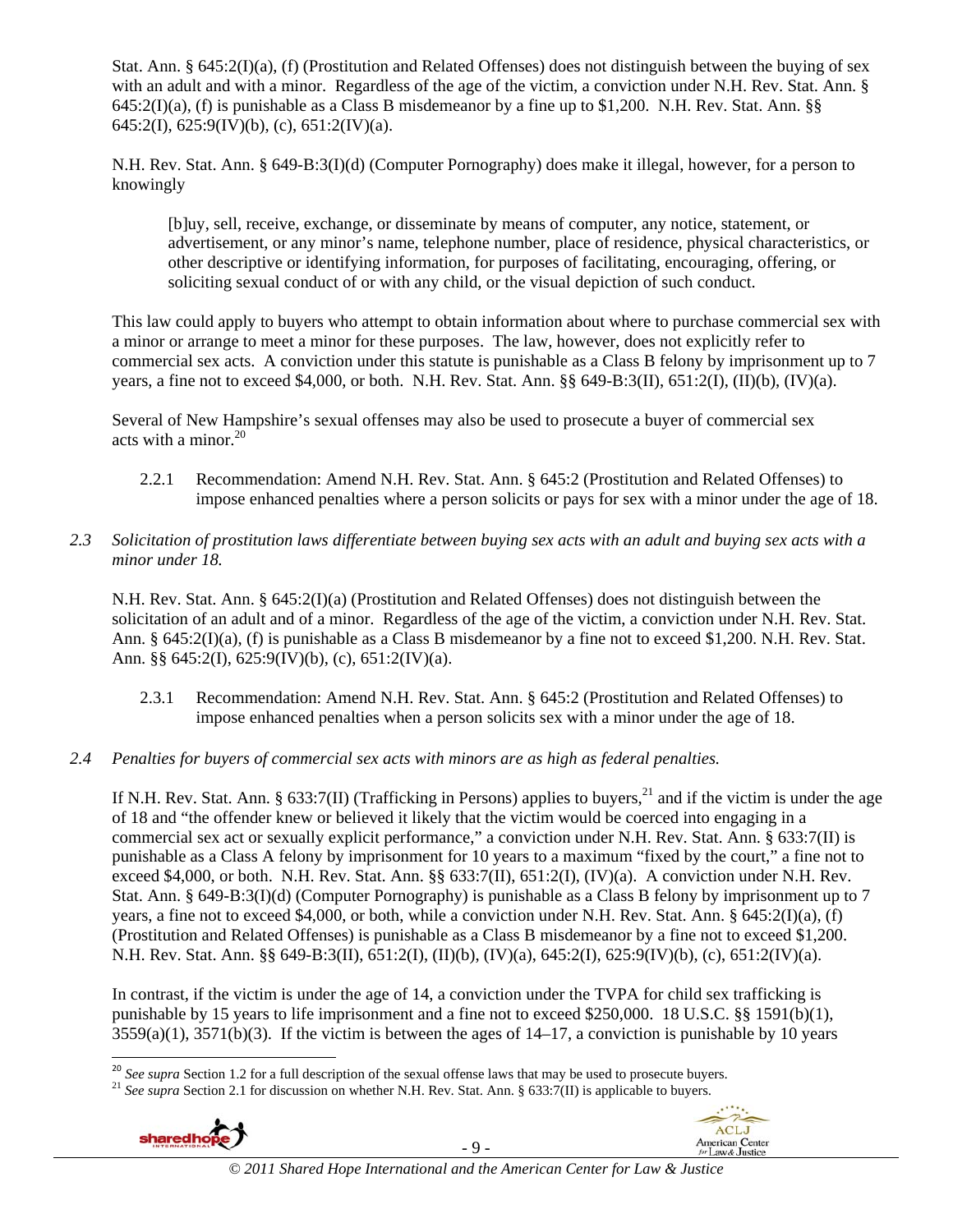Stat. Ann. § 645:2(I)(a), (f) (Prostitution and Related Offenses) does not distinguish between the buying of sex with an adult and with a minor. Regardless of the age of the victim, a conviction under N.H. Rev. Stat. Ann. § 645:2(I)(a), (f) is punishable as a Class B misdemeanor by a fine up to \$1,200. N.H. Rev. Stat. Ann. §§ 645:2(I), 625:9(IV)(b), (c), 651:2(IV)(a).

N.H. Rev. Stat. Ann. § 649-B:3(I)(d) (Computer Pornography) does make it illegal, however, for a person to knowingly

[b]uy, sell, receive, exchange, or disseminate by means of computer, any notice, statement, or advertisement, or any minor's name, telephone number, place of residence, physical characteristics, or other descriptive or identifying information, for purposes of facilitating, encouraging, offering, or soliciting sexual conduct of or with any child, or the visual depiction of such conduct.

This law could apply to buyers who attempt to obtain information about where to purchase commercial sex with a minor or arrange to meet a minor for these purposes. The law, however, does not explicitly refer to commercial sex acts. A conviction under this statute is punishable as a Class B felony by imprisonment up to 7 years, a fine not to exceed \$4,000, or both. N.H. Rev. Stat. Ann. §§ 649-B:3(II), 651:2(I), (II)(b), (IV)(a).

Several of New Hampshire's sexual offenses may also be used to prosecute a buyer of commercial sex acts with a minor.<sup>20</sup>

- 2.2.1 Recommendation: Amend N.H. Rev. Stat. Ann. § 645:2 (Prostitution and Related Offenses) to impose enhanced penalties where a person solicits or pays for sex with a minor under the age of 18.
- *2.3 Solicitation of prostitution laws differentiate between buying sex acts with an adult and buying sex acts with a minor under 18.*

N.H. Rev. Stat. Ann. § 645:2(I)(a) (Prostitution and Related Offenses) does not distinguish between the solicitation of an adult and of a minor. Regardless of the age of the victim, a conviction under N.H. Rev. Stat. Ann. § 645:2(I)(a), (f) is punishable as a Class B misdemeanor by a fine not to exceed \$1,200. N.H. Rev. Stat. Ann. §§ 645:2(I), 625:9(IV)(b), (c), 651:2(IV)(a).

- 2.3.1 Recommendation: Amend N.H. Rev. Stat. Ann. § 645:2 (Prostitution and Related Offenses) to impose enhanced penalties when a person solicits sex with a minor under the age of 18.
- *2.4 Penalties for buyers of commercial sex acts with minors are as high as federal penalties.*

If N.H. Rev. Stat. Ann. § 633:7(II) (Trafficking in Persons) applies to buyers,<sup>21</sup> and if the victim is under the age of 18 and "the offender knew or believed it likely that the victim would be coerced into engaging in a commercial sex act or sexually explicit performance," a conviction under N.H. Rev. Stat. Ann. § 633:7(II) is punishable as a Class A felony by imprisonment for 10 years to a maximum "fixed by the court," a fine not to exceed \$4,000, or both. N.H. Rev. Stat. Ann. §§ 633:7(II), 651:2(I), (IV)(a). A conviction under N.H. Rev. Stat. Ann. § 649-B:3(I)(d) (Computer Pornography) is punishable as a Class B felony by imprisonment up to 7 years, a fine not to exceed \$4,000, or both, while a conviction under N.H. Rev. Stat. Ann. § 645:2(I)(a), (f) (Prostitution and Related Offenses) is punishable as a Class B misdemeanor by a fine not to exceed \$1,200. N.H. Rev. Stat. Ann. §§ 649-B:3(II), 651:2(I), (II)(b), (IV)(a), 645:2(I), 625:9(IV)(b), (c), 651:2(IV)(a).

In contrast, if the victim is under the age of 14, a conviction under the TVPA for child sex trafficking is punishable by 15 years to life imprisonment and a fine not to exceed \$250,000. 18 U.S.C. §§ 1591(b)(1),  $3559(a)(1)$ ,  $3571(b)(3)$ . If the victim is between the ages of  $14-17$ , a conviction is punishable by 10 years

<sup>&</sup>lt;sup>21</sup> See supra Section 2.1 for discussion on whether N.H. Rev. Stat. Ann. § 633:7(II) is applicable to buyers.





<sup>&</sup>lt;sup>20</sup> See supra Section 1.2 for a full description of the sexual offense laws that may be used to prosecute buyers.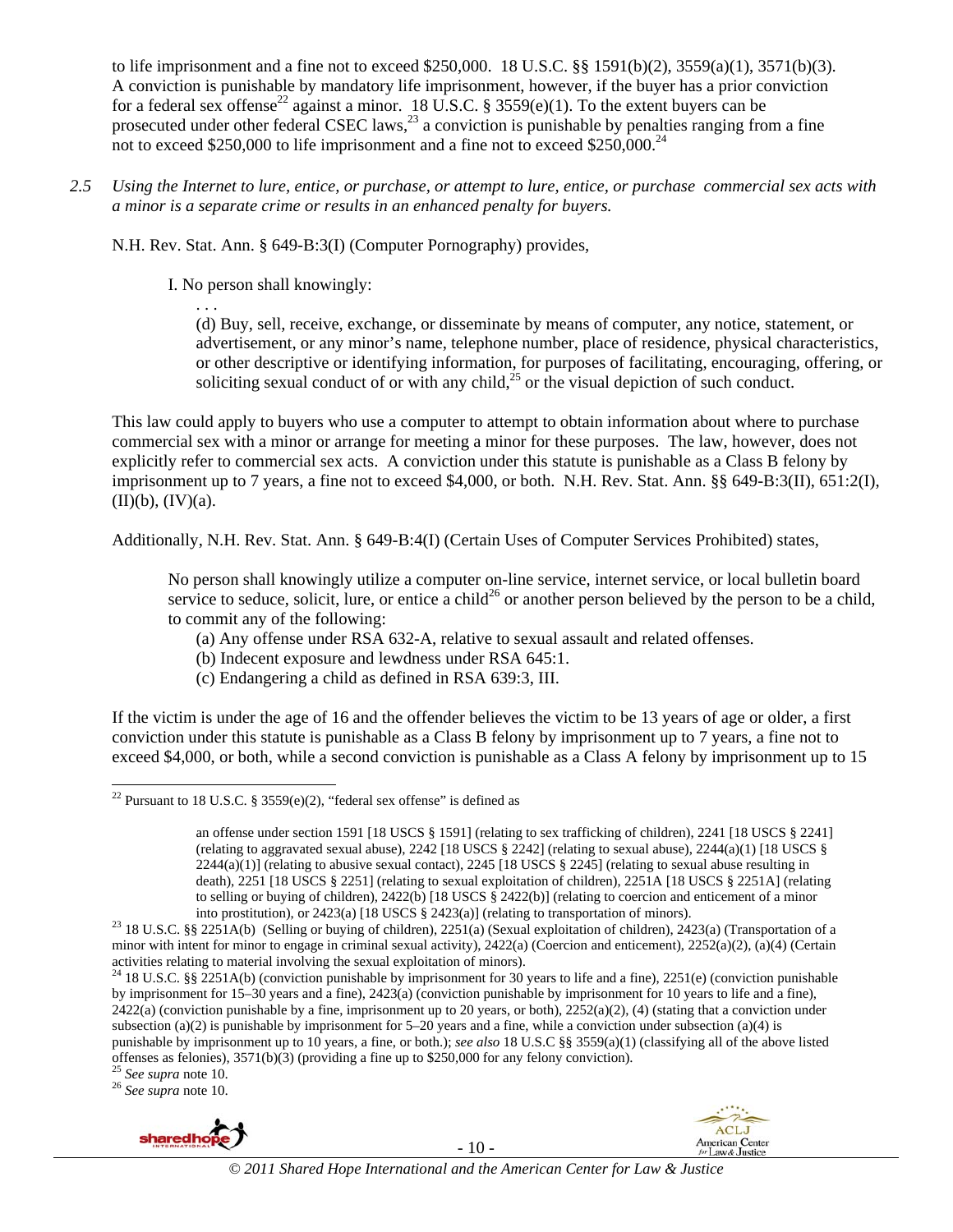to life imprisonment and a fine not to exceed \$250,000. 18 U.S.C. §§ 1591(b)(2), 3559(a)(1), 3571(b)(3). A conviction is punishable by mandatory life imprisonment, however, if the buyer has a prior conviction for a federal sex offense<sup>22</sup> against a minor. 18 U.S.C. § 3559(e)(1). To the extent buyers can be prosecuted under other federal CSEC laws,<sup>23</sup> a conviction is punishable by penalties ranging from a fine not to exceed \$250,000 to life imprisonment and a fine not to exceed \$250,000.<sup>24</sup>

*2.5 Using the Internet to lure, entice, or purchase, or attempt to lure, entice, or purchase commercial sex acts with a minor is a separate crime or results in an enhanced penalty for buyers.* 

N.H. Rev. Stat. Ann. § 649-B:3(I) (Computer Pornography) provides,

I. No person shall knowingly:

. . .

(d) Buy, sell, receive, exchange, or disseminate by means of computer, any notice, statement, or advertisement, or any minor's name, telephone number, place of residence, physical characteristics, or other descriptive or identifying information, for purposes of facilitating, encouraging, offering, or soliciting sexual conduct of or with any child, $^{25}$  or the visual depiction of such conduct.

This law could apply to buyers who use a computer to attempt to obtain information about where to purchase commercial sex with a minor or arrange for meeting a minor for these purposes. The law, however, does not explicitly refer to commercial sex acts. A conviction under this statute is punishable as a Class B felony by imprisonment up to 7 years, a fine not to exceed \$4,000, or both. N.H. Rev. Stat. Ann. §§ 649-B:3(II), 651:2(I),  $(II)(b)$ ,  $(IV)(a)$ .

Additionally, N.H. Rev. Stat. Ann. § 649-B:4(I) (Certain Uses of Computer Services Prohibited) states,

No person shall knowingly utilize a computer on-line service, internet service, or local bulletin board service to seduce, solicit, lure, or entice a child<sup>26</sup> or another person believed by the person to be a child, to commit any of the following:

- (a) Any offense under RSA 632-A, relative to sexual assault and related offenses.
- (b) Indecent exposure and lewdness under RSA 645:1.
- (c) Endangering a child as defined in RSA 639:3, III.

If the victim is under the age of 16 and the offender believes the victim to be 13 years of age or older, a first conviction under this statute is punishable as a Class B felony by imprisonment up to 7 years, a fine not to exceed \$4,000, or both, while a second conviction is punishable as a Class A felony by imprisonment up to 15



- 10 -



l <sup>22</sup> Pursuant to 18 U.S.C. § 3559 $(e)(2)$ , "federal sex offense" is defined as

an offense under section 1591 [18 USCS § 1591] (relating to sex trafficking of children), 2241 [18 USCS § 2241] (relating to aggravated sexual abuse),  $2242$  [18 USCS § 2242] (relating to sexual abuse),  $2244(a)(1)$  [18 USCS §  $2244(a)(1)$  (relating to abusive sexual contact),  $2245$  [18 USCS § 2245] (relating to sexual abuse resulting in death), 2251 [18 USCS § 2251] (relating to sexual exploitation of children), 2251A [18 USCS § 2251A] (relating to selling or buying of children), 2422(b) [18 USCS § 2422(b)] (relating to coercion and enticement of a minor

into prostitution), or 2423(a) [18 USCS § 2423(a)] (relating to transportation of minors). 23 18 U.S.C. §§ 2251A(b) (Selling or buying of children), 2251(a) (Sexual exploitation of children), 2423(a) (Transportation of a minor with intent for minor to engage in criminal sexual activity), 2422(a) (Coercion and enticement), 2252(a)(2), (a)(4) (Certain activities relating to material involving the sexual exploitation of minors).

<sup>&</sup>lt;sup>24</sup> 18 U.S.C. §§ 2251A(b) (conviction punishable by imprisonment for 30 years to life and a fine), 2251(e) (conviction punishable by imprisonment for 15–30 years and a fine), 2423(a) (conviction punishable by imprisonment for 10 years to life and a fine),  $2422(a)$  (conviction punishable by a fine, imprisonment up to 20 years, or both),  $2252(a)(2)$ , (4) (stating that a conviction under subsection (a)(2) is punishable by imprisonment for  $5-20$  years and a fine, while a conviction under subsection (a)(4) is punishable by imprisonment up to 10 years, a fine, or both.); *see also* 18 U.S.C §§ 3559(a)(1) (classifying all of the above listed offenses as felonies), 3571(b)(3) (providing a fine up to \$250,000 for any felony conviction). 25 *See supra* note 10. 26 *See supra* note 10.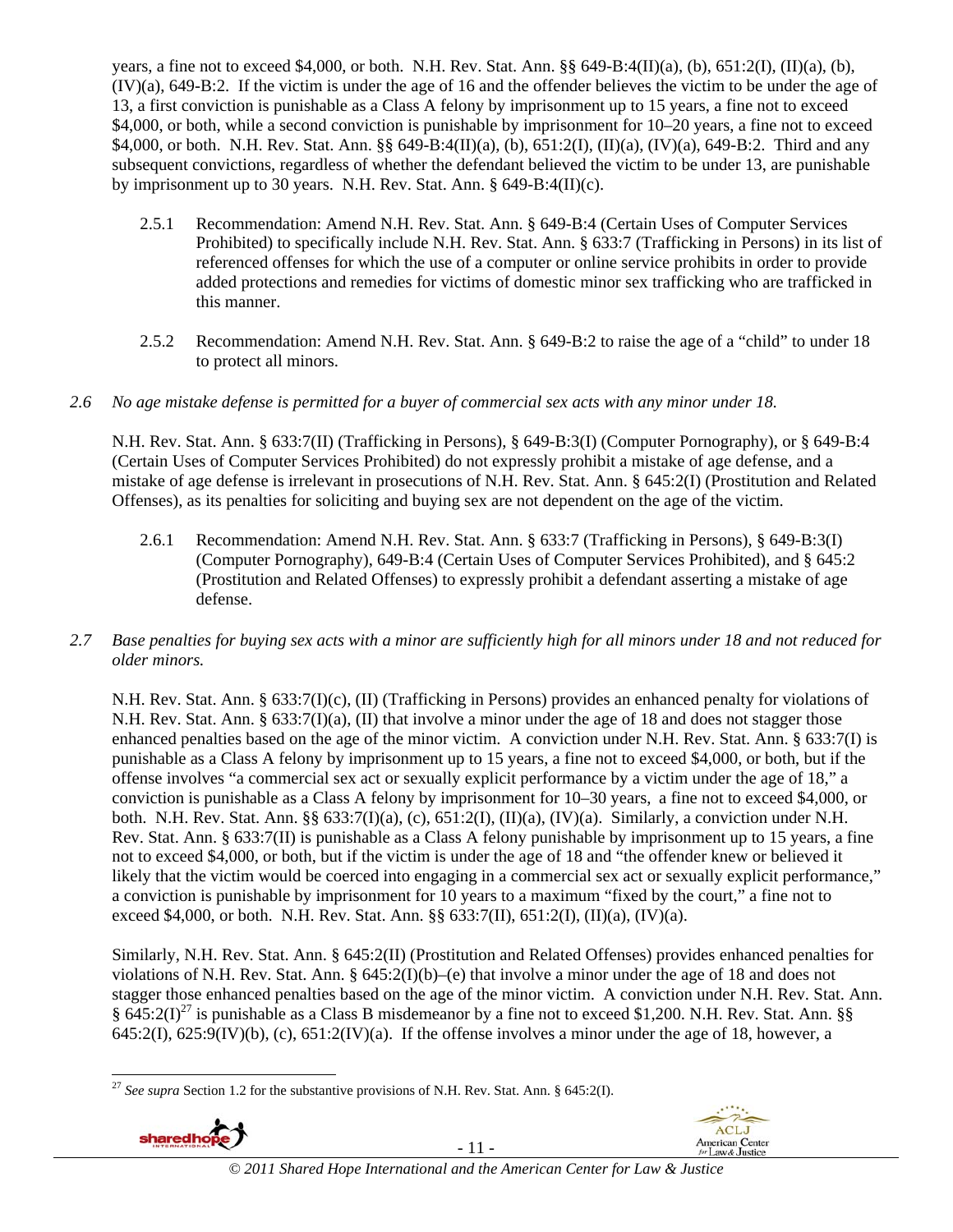years, a fine not to exceed \$4,000, or both. N.H. Rev. Stat. Ann. §§ 649-B:4(II)(a), (b), 651:2(I), (II)(a), (b), (IV)(a), 649-B:2. If the victim is under the age of 16 and the offender believes the victim to be under the age of 13, a first conviction is punishable as a Class A felony by imprisonment up to 15 years, a fine not to exceed \$4,000, or both, while a second conviction is punishable by imprisonment for 10–20 years, a fine not to exceed \$4,000, or both. N.H. Rev. Stat. Ann. §§ 649-B:4(II)(a), (b), 651:2(I), (II)(a), (IV)(a), 649-B:2. Third and any subsequent convictions, regardless of whether the defendant believed the victim to be under 13, are punishable by imprisonment up to 30 years. N.H. Rev. Stat. Ann. § 649-B:4(II)(c).

- 2.5.1 Recommendation: Amend N.H. Rev. Stat. Ann. § 649-B:4 (Certain Uses of Computer Services Prohibited) to specifically include N.H. Rev. Stat. Ann. § 633:7 (Trafficking in Persons) in its list of referenced offenses for which the use of a computer or online service prohibits in order to provide added protections and remedies for victims of domestic minor sex trafficking who are trafficked in this manner.
- 2.5.2 Recommendation: Amend N.H. Rev. Stat. Ann. § 649-B:2 to raise the age of a "child" to under 18 to protect all minors.

### *2.6 No age mistake defense is permitted for a buyer of commercial sex acts with any minor under 18.*

N.H. Rev. Stat. Ann. § 633:7(II) (Trafficking in Persons), § 649-B:3(I) (Computer Pornography), or § 649-B:4 (Certain Uses of Computer Services Prohibited) do not expressly prohibit a mistake of age defense, and a mistake of age defense is irrelevant in prosecutions of N.H. Rev. Stat. Ann. § 645:2(I) (Prostitution and Related Offenses), as its penalties for soliciting and buying sex are not dependent on the age of the victim.

- 2.6.1 Recommendation: Amend N.H. Rev. Stat. Ann. § 633:7 (Trafficking in Persons), § 649-B:3(I) (Computer Pornography), 649-B:4 (Certain Uses of Computer Services Prohibited), and § 645:2 (Prostitution and Related Offenses) to expressly prohibit a defendant asserting a mistake of age defense.
- *2.7 Base penalties for buying sex acts with a minor are sufficiently high for all minors under 18 and not reduced for older minors.*

N.H. Rev. Stat. Ann. § 633:7(I)(c), (II) (Trafficking in Persons) provides an enhanced penalty for violations of N.H. Rev. Stat. Ann. § 633:7(I)(a), (II) that involve a minor under the age of 18 and does not stagger those enhanced penalties based on the age of the minor victim. A conviction under N.H. Rev. Stat. Ann. § 633:7(I) is punishable as a Class A felony by imprisonment up to 15 years, a fine not to exceed \$4,000, or both, but if the offense involves "a commercial sex act or sexually explicit performance by a victim under the age of 18," a conviction is punishable as a Class A felony by imprisonment for 10–30 years, a fine not to exceed \$4,000, or both. N.H. Rev. Stat. Ann. §§ 633:7(I)(a), (c), 651:2(I), (II)(a), (IV)(a). Similarly, a conviction under N.H. Rev. Stat. Ann. § 633:7(II) is punishable as a Class A felony punishable by imprisonment up to 15 years, a fine not to exceed \$4,000, or both, but if the victim is under the age of 18 and "the offender knew or believed it likely that the victim would be coerced into engaging in a commercial sex act or sexually explicit performance," a conviction is punishable by imprisonment for 10 years to a maximum "fixed by the court," a fine not to exceed \$4,000, or both. N.H. Rev. Stat. Ann. §§ 633:7(II), 651:2(I), (II)(a), (IV)(a).

Similarly, N.H. Rev. Stat. Ann. § 645:2(II) (Prostitution and Related Offenses) provides enhanced penalties for violations of N.H. Rev. Stat. Ann. § 645:2(I)(b)–(e) that involve a minor under the age of 18 and does not stagger those enhanced penalties based on the age of the minor victim. A conviction under N.H. Rev. Stat. Ann.  $\S$  645:2(I)<sup>27</sup> is punishable as a Class B misdemeanor by a fine not to exceed \$1,200. N.H. Rev. Stat. Ann. §§ 645:2(I),  $625:9$ (IV)(b), (c),  $651:2$ (IV)(a). If the offense involves a minor under the age of 18, however, a

<sup>1</sup> <sup>27</sup> *See supra* Section 1.2 for the substantive provisions of N.H. Rev. Stat. Ann. § 645:2(I).



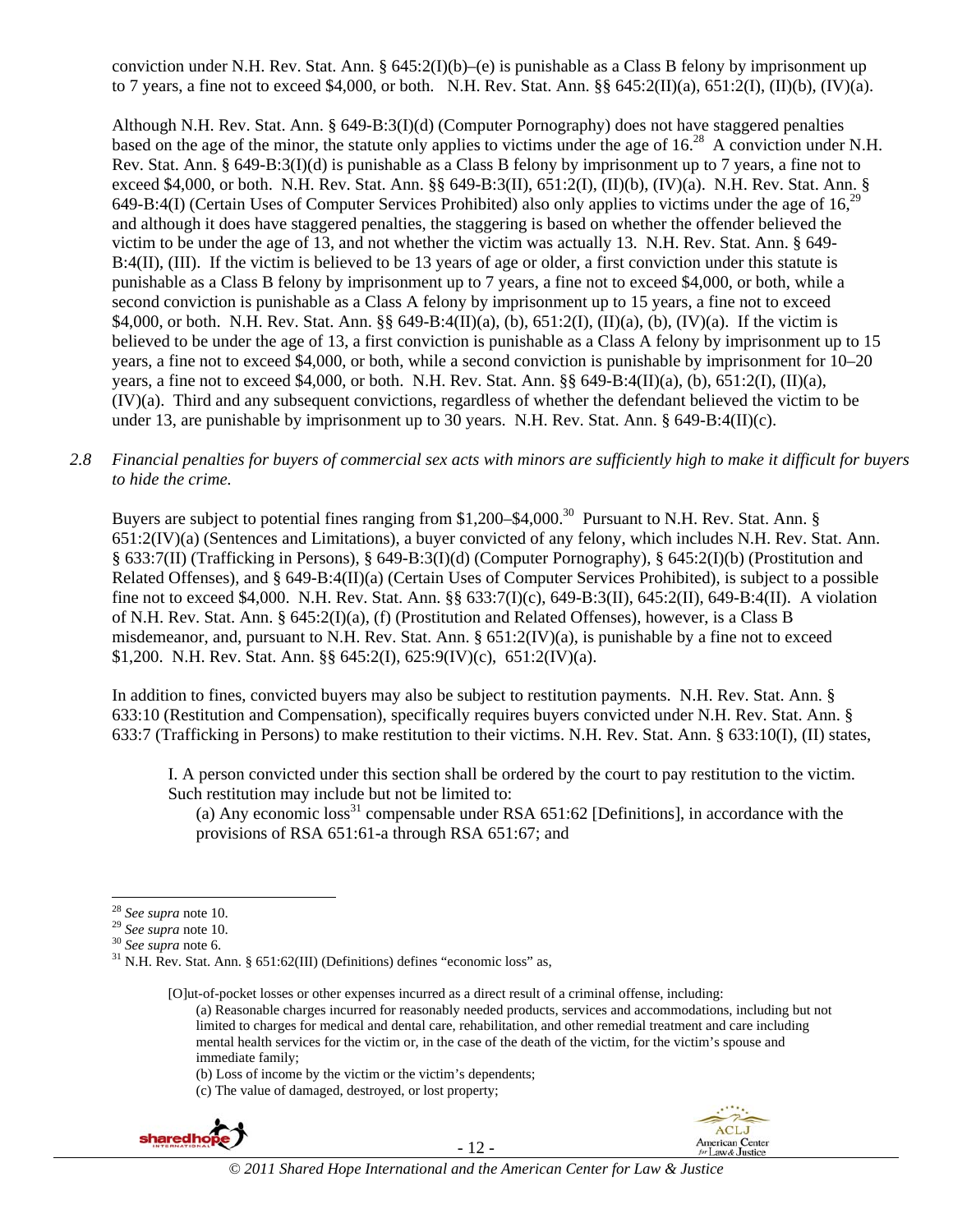conviction under N.H. Rev. Stat. Ann. §  $645:2(I)(b)$ –(e) is punishable as a Class B felony by imprisonment up to 7 years, a fine not to exceed \$4,000, or both. N.H. Rev. Stat. Ann. §§ 645:2(II)(a), 651:2(I), (II)(b), (IV)(a).

Although N.H. Rev. Stat. Ann. § 649-B:3(I)(d) (Computer Pornography) does not have staggered penalties based on the age of the minor, the statute only applies to victims under the age of 16.<sup>28</sup> A conviction under N.H. Rev. Stat. Ann. § 649-B:3(I)(d) is punishable as a Class B felony by imprisonment up to 7 years, a fine not to exceed \$4,000, or both. N.H. Rev. Stat. Ann. §§ 649-B:3(II), 651:2(I), (II)(b), (IV)(a). N.H. Rev. Stat. Ann. § 649-B:4(I) (Certain Uses of Computer Services Prohibited) also only applies to victims under the age of 16,29 and although it does have staggered penalties, the staggering is based on whether the offender believed the victim to be under the age of 13, and not whether the victim was actually 13. N.H. Rev. Stat. Ann. § 649- B:4(II), (III). If the victim is believed to be 13 years of age or older, a first conviction under this statute is punishable as a Class B felony by imprisonment up to 7 years, a fine not to exceed \$4,000, or both, while a second conviction is punishable as a Class A felony by imprisonment up to 15 years, a fine not to exceed \$4,000, or both. N.H. Rev. Stat. Ann. §§ 649-B:4(II)(a), (b), 651:2(I), (II)(a), (b), (IV)(a). If the victim is believed to be under the age of 13, a first conviction is punishable as a Class A felony by imprisonment up to 15 years, a fine not to exceed \$4,000, or both, while a second conviction is punishable by imprisonment for 10–20 years, a fine not to exceed \$4,000, or both. N.H. Rev. Stat. Ann. §§ 649-B:4(II)(a), (b), 651:2(I), (II)(a), (IV)(a). Third and any subsequent convictions, regardless of whether the defendant believed the victim to be under 13, are punishable by imprisonment up to 30 years. N.H. Rev. Stat. Ann. § 649-B:4(II)(c).

*2.8 Financial penalties for buyers of commercial sex acts with minors are sufficiently high to make it difficult for buyers to hide the crime.* 

Buyers are subject to potential fines ranging from \$1,200–\$4,000.<sup>30</sup> Pursuant to N.H. Rev. Stat. Ann. § 651:2(IV)(a) (Sentences and Limitations), a buyer convicted of any felony, which includes N.H. Rev. Stat. Ann. § 633:7(II) (Trafficking in Persons), § 649-B:3(I)(d) (Computer Pornography), § 645:2(I)(b) (Prostitution and Related Offenses), and § 649-B:4(II)(a) (Certain Uses of Computer Services Prohibited), is subject to a possible fine not to exceed \$4,000. N.H. Rev. Stat. Ann. §§ 633:7(I)(c), 649-B:3(II), 645:2(II), 649-B:4(II). A violation of N.H. Rev. Stat. Ann. § 645:2(I)(a), (f) (Prostitution and Related Offenses), however, is a Class B misdemeanor, and, pursuant to N.H. Rev. Stat. Ann. § 651:2(IV)(a), is punishable by a fine not to exceed \$1,200. N.H. Rev. Stat. Ann. §§ 645:2(I), 625:9(IV)(c), 651:2(IV)(a).

In addition to fines, convicted buyers may also be subject to restitution payments. N.H. Rev. Stat. Ann. § 633:10 (Restitution and Compensation), specifically requires buyers convicted under N.H. Rev. Stat. Ann. § 633:7 (Trafficking in Persons) to make restitution to their victims. N.H. Rev. Stat. Ann. § 633:10(I), (II) states,

I. A person convicted under this section shall be ordered by the court to pay restitution to the victim. Such restitution may include but not be limited to:

(a) Any economic loss<sup>31</sup> compensable under RSA  $651:62$  [Definitions], in accordance with the provisions of RSA 651:61-a through RSA 651:67; and

[O]ut-of-pocket losses or other expenses incurred as a direct result of a criminal offense, including: (a) Reasonable charges incurred for reasonably needed products, services and accommodations, including but not limited to charges for medical and dental care, rehabilitation, and other remedial treatment and care including mental health services for the victim or, in the case of the death of the victim, for the victim's spouse and immediate family;

(c) The value of damaged, destroyed, or lost property;



- 12 -



 $^\mathrm{28}$  See supra note 10.

<sup>28</sup> *See supra* note 10. 29 *See supra* note 10. 30 *See supra* note 6. 31 N.H. Rev. Stat. Ann. § 651:62(III) (Definitions) defines "economic loss" as,

<sup>(</sup>b) Loss of income by the victim or the victim's dependents;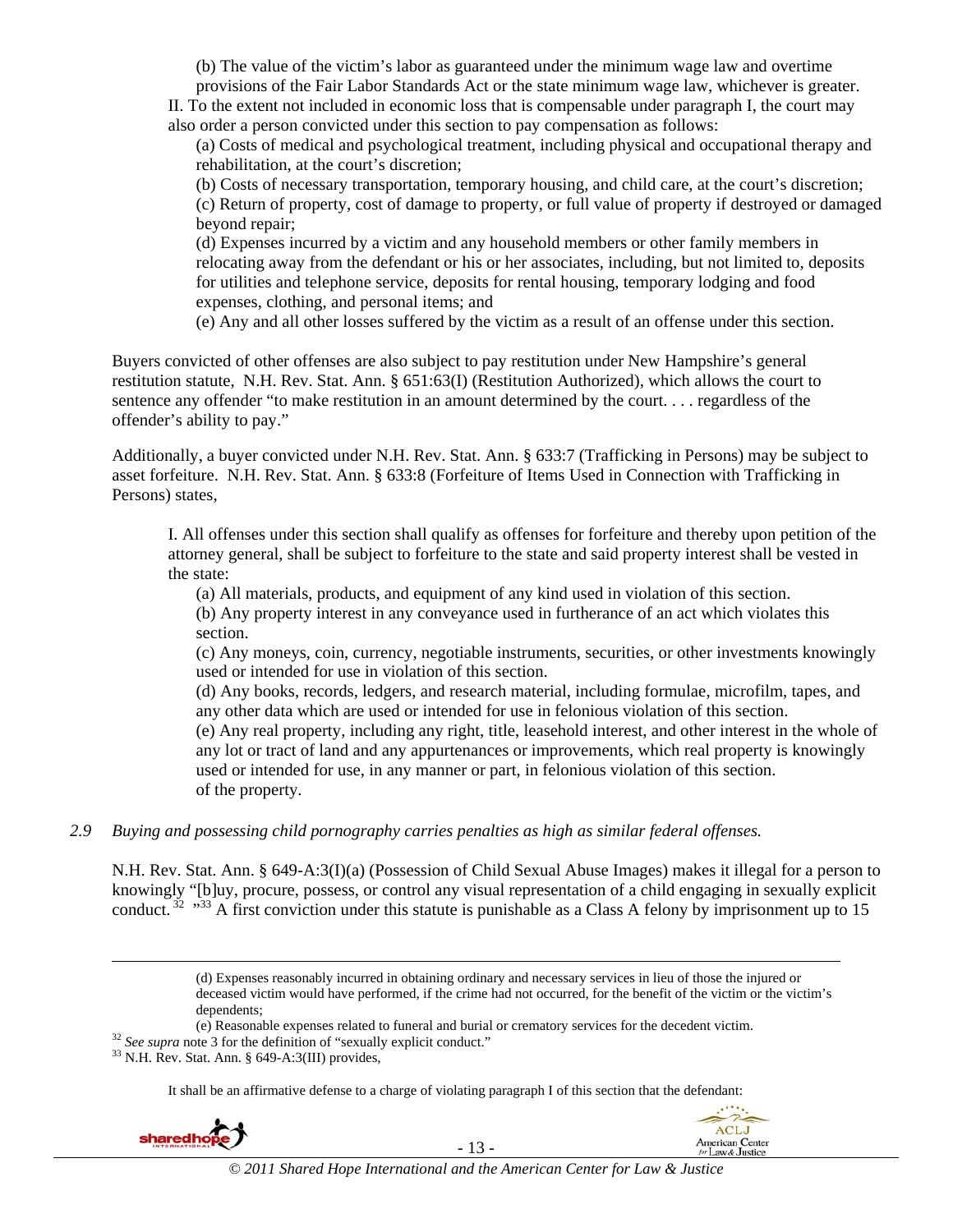(b) The value of the victim's labor as guaranteed under the minimum wage law and overtime provisions of the Fair Labor Standards Act or the state minimum wage law, whichever is greater.

II. To the extent not included in economic loss that is compensable under paragraph I, the court may also order a person convicted under this section to pay compensation as follows:

(a) Costs of medical and psychological treatment, including physical and occupational therapy and rehabilitation, at the court's discretion;

(b) Costs of necessary transportation, temporary housing, and child care, at the court's discretion; (c) Return of property, cost of damage to property, or full value of property if destroyed or damaged beyond repair;

(d) Expenses incurred by a victim and any household members or other family members in relocating away from the defendant or his or her associates, including, but not limited to, deposits for utilities and telephone service, deposits for rental housing, temporary lodging and food expenses, clothing, and personal items; and

(e) Any and all other losses suffered by the victim as a result of an offense under this section.

Buyers convicted of other offenses are also subject to pay restitution under New Hampshire's general restitution statute, N.H. Rev. Stat. Ann. § 651:63(I) (Restitution Authorized), which allows the court to sentence any offender "to make restitution in an amount determined by the court. . . . regardless of the offender's ability to pay."

Additionally, a buyer convicted under N.H. Rev. Stat. Ann. § 633:7 (Trafficking in Persons) may be subject to asset forfeiture. N.H. Rev. Stat. Ann. § 633:8 (Forfeiture of Items Used in Connection with Trafficking in Persons) states,

I. All offenses under this section shall qualify as offenses for forfeiture and thereby upon petition of the attorney general, shall be subject to forfeiture to the state and said property interest shall be vested in the state:

(a) All materials, products, and equipment of any kind used in violation of this section.

(b) Any property interest in any conveyance used in furtherance of an act which violates this section.

(c) Any moneys, coin, currency, negotiable instruments, securities, or other investments knowingly used or intended for use in violation of this section.

(d) Any books, records, ledgers, and research material, including formulae, microfilm, tapes, and any other data which are used or intended for use in felonious violation of this section.

(e) Any real property, including any right, title, leasehold interest, and other interest in the whole of any lot or tract of land and any appurtenances or improvements, which real property is knowingly used or intended for use, in any manner or part, in felonious violation of this section. of the property.

#### *2.9 Buying and possessing child pornography carries penalties as high as similar federal offenses.*

N.H. Rev. Stat. Ann. § 649-A:3(I)(a) (Possession of Child Sexual Abuse Images) makes it illegal for a person to knowingly "[b]uy, procure, possess, or control any visual representation of a child engaging in sexually explicit conduct.  $32 \frac{1}{32}$   $\frac{1}{33}$  A first conviction under this statute is punishable as a Class A felony by imprisonment up to 15

> (d) Expenses reasonably incurred in obtaining ordinary and necessary services in lieu of those the injured or deceased victim would have performed, if the crime had not occurred, for the benefit of the victim or the victim's dependents;

(e) Reasonable expenses related to funeral and burial or crematory services for the decedent victim.<br><sup>32</sup> See supra note 3 for the definition of "sexually explicit conduct."<br><sup>33</sup> N.H. Rev. Stat. Ann. § 649-A:3(III) provid

- 
- 

It shall be an affirmative defense to a charge of violating paragraph I of this section that the defendant:

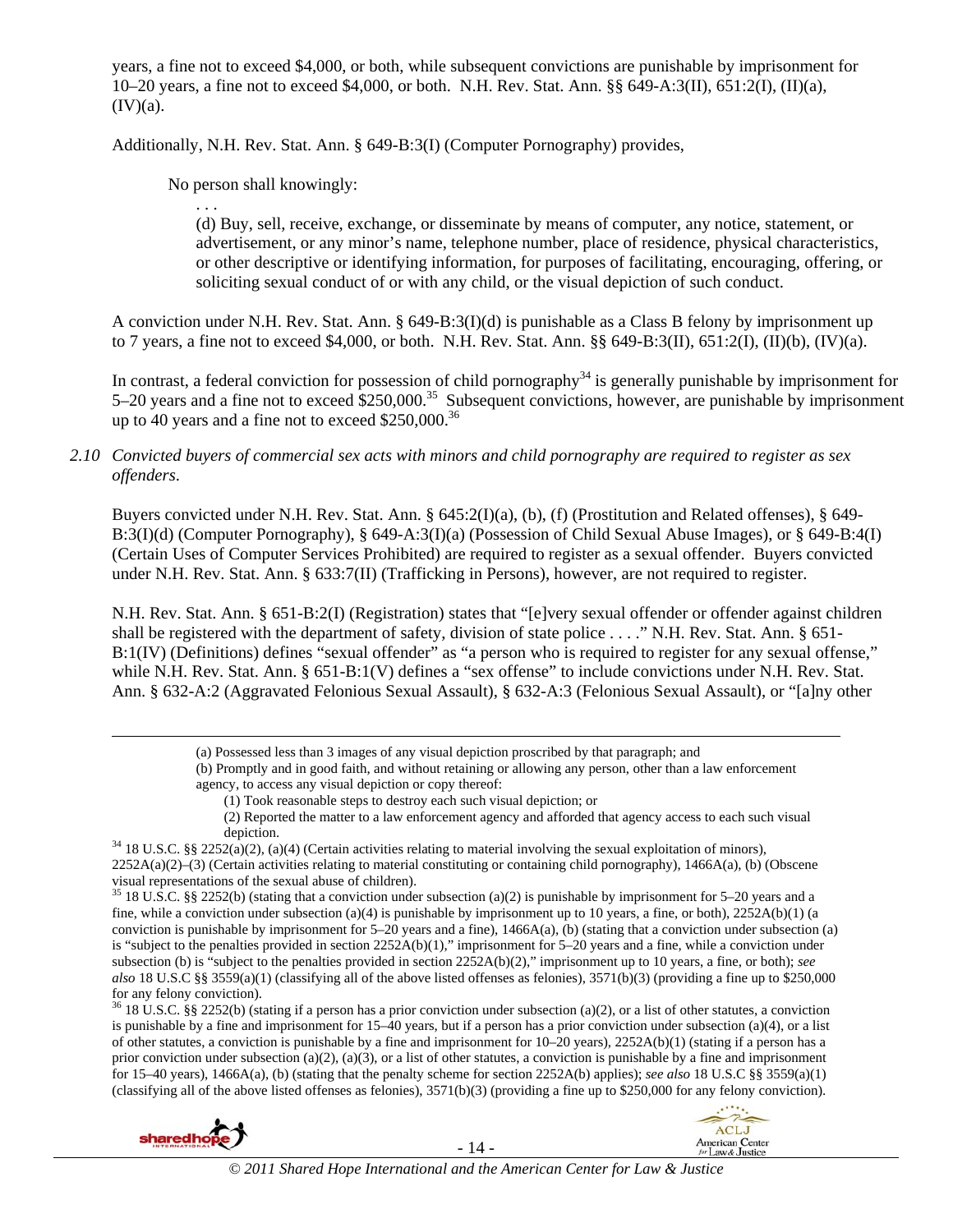years, a fine not to exceed \$4,000, or both, while subsequent convictions are punishable by imprisonment for 10–20 years, a fine not to exceed \$4,000, or both. N.H. Rev. Stat. Ann. §§ 649-A:3(II), 651:2(I), (II)(a),  $(IV)(a)$ .

Additionally, N.H. Rev. Stat. Ann. § 649-B:3(I) (Computer Pornography) provides,

No person shall knowingly:

. . .

(d) Buy, sell, receive, exchange, or disseminate by means of computer, any notice, statement, or advertisement, or any minor's name, telephone number, place of residence, physical characteristics, or other descriptive or identifying information, for purposes of facilitating, encouraging, offering, or soliciting sexual conduct of or with any child, or the visual depiction of such conduct.

A conviction under N.H. Rev. Stat. Ann. § 649-B:3(I)(d) is punishable as a Class B felony by imprisonment up to 7 years, a fine not to exceed \$4,000, or both. N.H. Rev. Stat. Ann. §§ 649-B:3(II), 651:2(I), (II)(b), (IV)(a).

In contrast, a federal conviction for possession of child pornography<sup>34</sup> is generally punishable by imprisonment for 5–20 years and a fine not to exceed \$250,000.<sup>35</sup> Subsequent convictions, however, are punishable by imprisonment up to 40 years and a fine not to exceed \$250,000.<sup>36</sup>

### *2.10 Convicted buyers of commercial sex acts with minors and child pornography are required to register as sex offenders*.

Buyers convicted under N.H. Rev. Stat. Ann. § 645:2(I)(a), (b), (f) (Prostitution and Related offenses), § 649- B:3(I)(d) (Computer Pornography), § 649-A:3(I)(a) (Possession of Child Sexual Abuse Images), or § 649-B:4(I) (Certain Uses of Computer Services Prohibited) are required to register as a sexual offender. Buyers convicted under N.H. Rev. Stat. Ann. § 633:7(II) (Trafficking in Persons), however, are not required to register.

N.H. Rev. Stat. Ann. § 651-B:2(I) (Registration) states that "[e]very sexual offender or offender against children shall be registered with the department of safety, division of state police . . . ." N.H. Rev. Stat. Ann. § 651- B:1(IV) (Definitions) defines "sexual offender" as "a person who is required to register for any sexual offense," while N.H. Rev. Stat. Ann. § 651-B:1(V) defines a "sex offense" to include convictions under N.H. Rev. Stat. Ann. § 632-A:2 (Aggravated Felonious Sexual Assault), § 632-A:3 (Felonious Sexual Assault), or "[a]ny other

(a) Possessed less than 3 images of any visual depiction proscribed by that paragraph; and

(b) Promptly and in good faith, and without retaining or allowing any person, other than a law enforcement agency, to access any visual depiction or copy thereof:

(1) Took reasonable steps to destroy each such visual depiction; or

(2) Reported the matter to a law enforcement agency and afforded that agency access to each such visual

depiction.<br><sup>34</sup> 18 U.S.C. §§ 2252(a)(2), (a)(4) (Certain activities relating to material involving the sexual exploitation of minors), 2252A(a)(2)–(3) (Certain activities relating to material constituting or containing child pornography), 1466A(a), (b) (Obscene visual representations of the sexual abuse of children).

<sup>35</sup> 18 U.S.C. §§ 2252(b) (stating that a conviction under subsection (a)(2) is punishable by imprisonment for 5–20 years and a fine, while a conviction under subsection (a)(4) is punishable by imprisonment up to 10 years, a fine, or both),  $2252A(b)(1)$  (a conviction is punishable by imprisonment for 5–20 years and a fine), 1466A(a), (b) (stating that a conviction under subsection (a) is "subject to the penalties provided in section 2252A(b)(1)," imprisonment for 5–20 years and a fine, while a conviction under subsection (b) is "subject to the penalties provided in section 2252A(b)(2)," imprisonment up to 10 years, a fine, or both); *see also* 18 U.S.C §§ 3559(a)(1) (classifying all of the above listed offenses as felonies), 3571(b)(3) (providing a fine up to \$250,000 for any felony conviction).

 $36$  18 U.S.C. §§ 2252(b) (stating if a person has a prior conviction under subsection (a)(2), or a list of other statutes, a conviction is punishable by a fine and imprisonment for 15–40 years, but if a person has a prior conviction under subsection (a)(4), or a list of other statutes, a conviction is punishable by a fine and imprisonment for 10–20 years), 2252A(b)(1) (stating if a person has a prior conviction under subsection (a)(2), (a)(3), or a list of other statutes, a conviction is punishable by a fine and imprisonment for 15–40 years), 1466A(a), (b) (stating that the penalty scheme for section 2252A(b) applies); *see also* 18 U.S.C §§ 3559(a)(1) (classifying all of the above listed offenses as felonies),  $3571(b)(3)$  (providing a fine up to \$250,000 for any felony conviction).



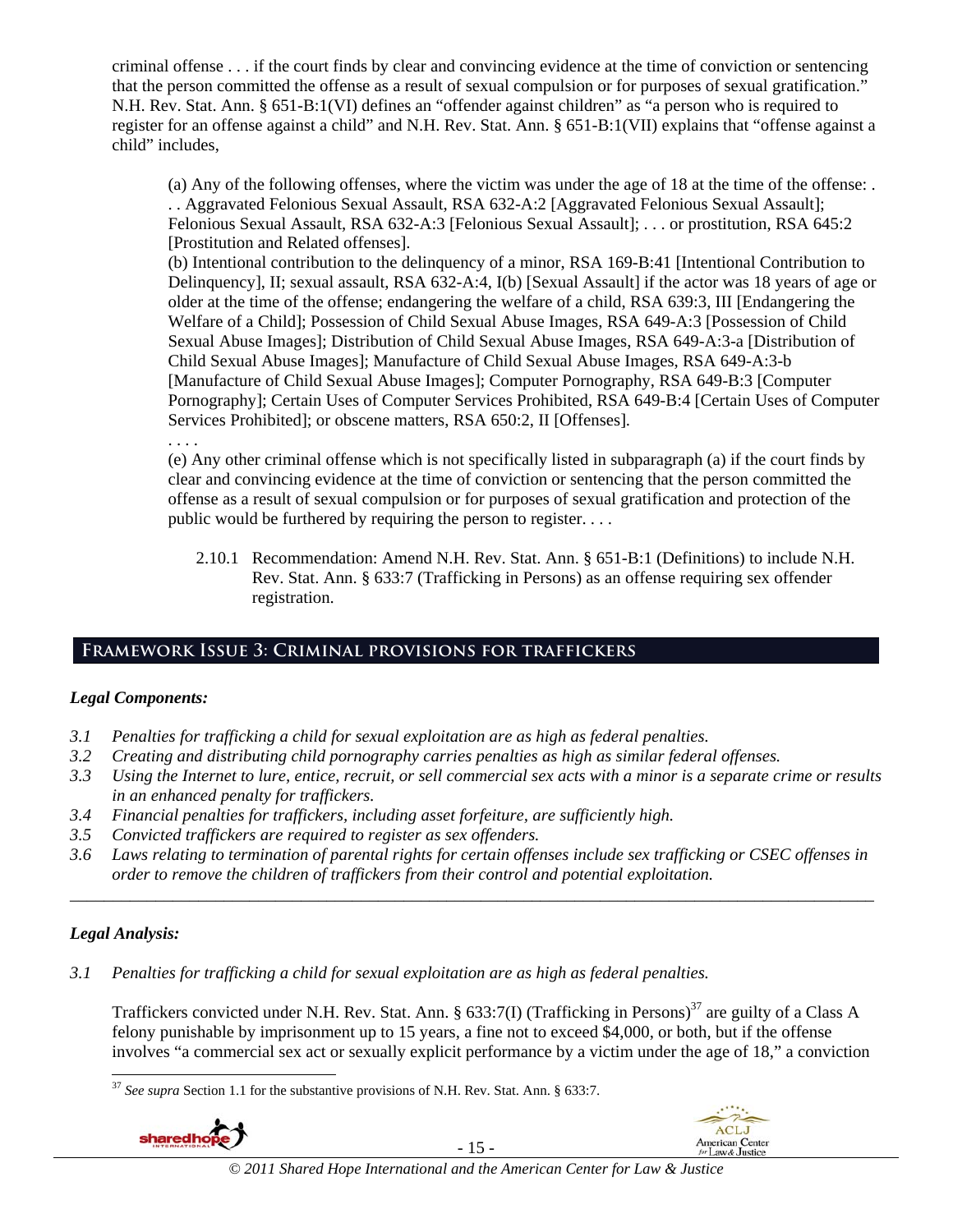criminal offense . . . if the court finds by clear and convincing evidence at the time of conviction or sentencing that the person committed the offense as a result of sexual compulsion or for purposes of sexual gratification." N.H. Rev. Stat. Ann. § 651-B:1(VI) defines an "offender against children" as "a person who is required to register for an offense against a child" and N.H. Rev. Stat. Ann. § 651-B:1(VII) explains that "offense against a child" includes,

(a) Any of the following offenses, where the victim was under the age of 18 at the time of the offense: . . . Aggravated Felonious Sexual Assault, RSA 632-A:2 [Aggravated Felonious Sexual Assault]; Felonious Sexual Assault, RSA 632-A:3 [Felonious Sexual Assault]; . . . or prostitution, RSA 645:2 [Prostitution and Related offenses].

(b) Intentional contribution to the delinquency of a minor, RSA 169-B:41 [Intentional Contribution to Delinquency], II; sexual assault, RSA 632-A:4, I(b) [Sexual Assault] if the actor was 18 years of age or older at the time of the offense; endangering the welfare of a child, RSA 639:3, III [Endangering the Welfare of a Child]; Possession of Child Sexual Abuse Images, RSA 649-A:3 [Possession of Child Sexual Abuse Images]; Distribution of Child Sexual Abuse Images, RSA 649-A:3-a [Distribution of Child Sexual Abuse Images]; Manufacture of Child Sexual Abuse Images, RSA 649-A:3-b [Manufacture of Child Sexual Abuse Images]; Computer Pornography, RSA 649-B:3 [Computer Pornography]; Certain Uses of Computer Services Prohibited, RSA 649-B:4 [Certain Uses of Computer Services Prohibited]; or obscene matters, RSA 650:2, II [Offenses].

. . . .

(e) Any other criminal offense which is not specifically listed in subparagraph (a) if the court finds by clear and convincing evidence at the time of conviction or sentencing that the person committed the offense as a result of sexual compulsion or for purposes of sexual gratification and protection of the public would be furthered by requiring the person to register. . . .

2.10.1 Recommendation: Amend N.H. Rev. Stat. Ann. § 651-B:1 (Definitions) to include N.H. Rev. Stat. Ann. § 633:7 (Trafficking in Persons) as an offense requiring sex offender registration.

# **Framework Issue 3: Criminal provisions for traffickers**

# *Legal Components:*

- *3.1 Penalties for trafficking a child for sexual exploitation are as high as federal penalties.*
- *3.2 Creating and distributing child pornography carries penalties as high as similar federal offenses.*
- *3.3 Using the Internet to lure, entice, recruit, or sell commercial sex acts with a minor is a separate crime or results in an enhanced penalty for traffickers.*
- *3.4 Financial penalties for traffickers, including asset forfeiture, are sufficiently high.*
- *3.5 Convicted traffickers are required to register as sex offenders.*
- *3.6 Laws relating to termination of parental rights for certain offenses include sex trafficking or CSEC offenses in order to remove the children of traffickers from their control and potential exploitation. \_\_\_\_\_\_\_\_\_\_\_\_\_\_\_\_\_\_\_\_\_\_\_\_\_\_\_\_\_\_\_\_\_\_\_\_\_\_\_\_\_\_\_\_\_\_\_\_\_\_\_\_\_\_\_\_\_\_\_\_\_\_\_\_\_\_\_\_\_\_\_\_\_\_\_\_\_\_\_\_\_\_\_\_\_\_\_\_\_\_\_\_\_\_*

# *Legal Analysis:*

*3.1 Penalties for trafficking a child for sexual exploitation are as high as federal penalties.* 

Traffickers convicted under N.H. Rev. Stat. Ann. § 633:7(I) (Trafficking in Persons)<sup>37</sup> are guilty of a Class A felony punishable by imprisonment up to 15 years, a fine not to exceed \$4,000, or both, but if the offense involves "a commercial sex act or sexually explicit performance by a victim under the age of 18," a conviction

<sup>1</sup> <sup>37</sup> *See supra* Section 1.1 for the substantive provisions of N.H. Rev. Stat. Ann. § 633:7.



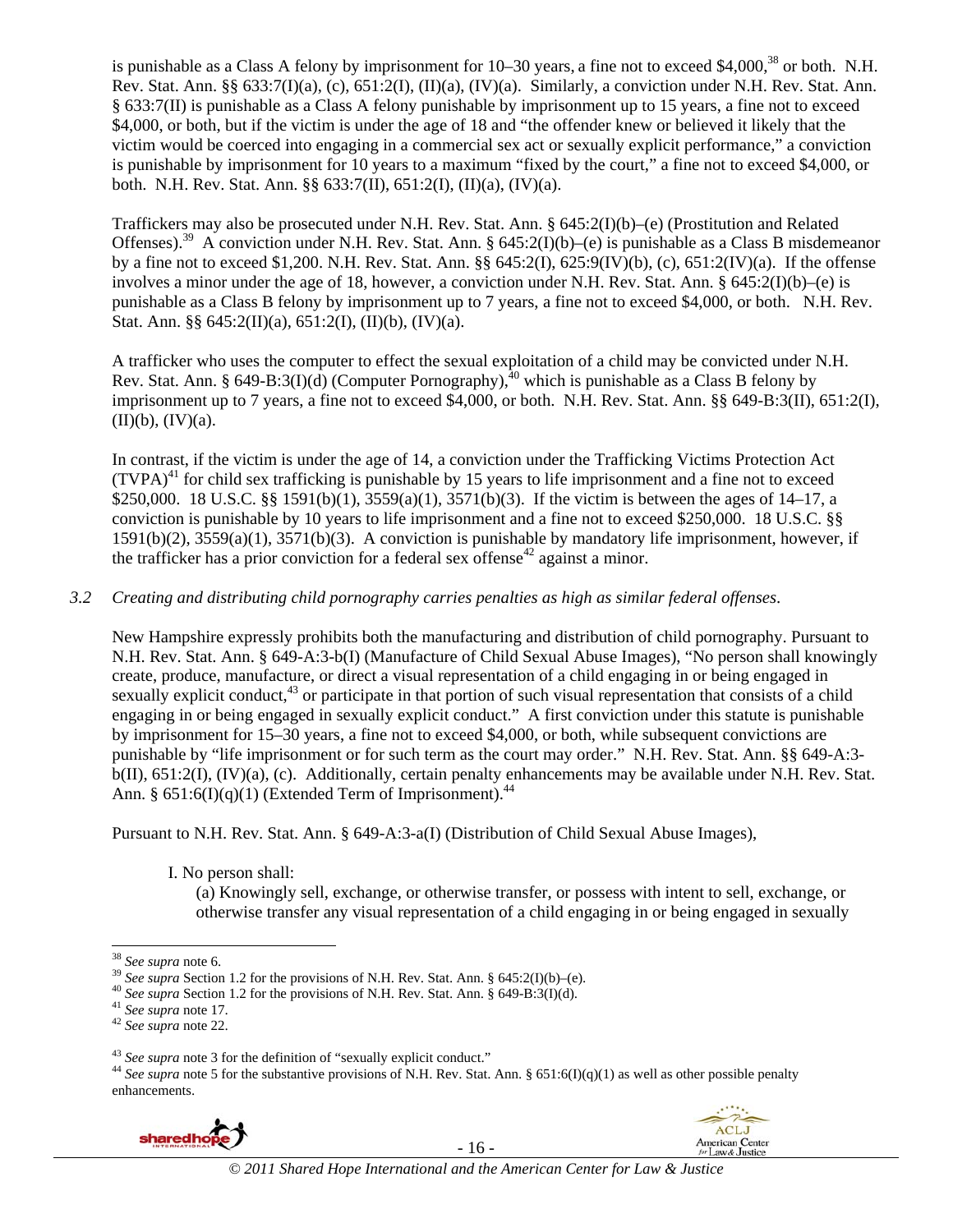is punishable as a Class A felony by imprisonment for 10–30 years, a fine not to exceed \$4,000,<sup>38</sup> or both. N.H. Rev. Stat. Ann. §§ 633:7(I)(a), (c), 651:2(I), (II)(a), (IV)(a). Similarly, a conviction under N.H. Rev. Stat. Ann. § 633:7(II) is punishable as a Class A felony punishable by imprisonment up to 15 years, a fine not to exceed \$4,000, or both, but if the victim is under the age of 18 and "the offender knew or believed it likely that the victim would be coerced into engaging in a commercial sex act or sexually explicit performance," a conviction is punishable by imprisonment for 10 years to a maximum "fixed by the court," a fine not to exceed \$4,000, or both. N.H. Rev. Stat. Ann. §§ 633:7(II), 651:2(I), (II)(a), (IV)(a).

Traffickers may also be prosecuted under N.H. Rev. Stat. Ann. § 645:2(I)(b)–(e) (Prostitution and Related Offenses).39 A conviction under N.H. Rev. Stat. Ann. § 645:2(I)(b)–(e) is punishable as a Class B misdemeanor by a fine not to exceed \$1,200. N.H. Rev. Stat. Ann. §§ 645:2(I), 625:9(IV)(b), (c), 651:2(IV)(a). If the offense involves a minor under the age of 18, however, a conviction under N.H. Rev. Stat. Ann.  $\S 645:2(I)(b)$ –(e) is punishable as a Class B felony by imprisonment up to 7 years, a fine not to exceed \$4,000, or both. N.H. Rev. Stat. Ann. §§  $645:2(II)(a)$ ,  $651:2(I)$ ,  $(II)(b)$ ,  $(IV)(a)$ .

A trafficker who uses the computer to effect the sexual exploitation of a child may be convicted under N.H. Rev. Stat. Ann. § 649-B:3(I)(d) (Computer Pornography),<sup>40</sup> which is punishable as a Class B felony by imprisonment up to 7 years, a fine not to exceed \$4,000, or both. N.H. Rev. Stat. Ann. §§ 649-B:3(II), 651:2(I),  $(II)(b)$ ,  $(IV)(a)$ .

In contrast, if the victim is under the age of 14, a conviction under the Trafficking Victims Protection Act  $(TVPA)<sup>41</sup>$  for child sex trafficking is punishable by 15 years to life imprisonment and a fine not to exceed \$250,000. 18 U.S.C. §§ 1591(b)(1), 3559(a)(1), 3571(b)(3). If the victim is between the ages of 14–17, a conviction is punishable by 10 years to life imprisonment and a fine not to exceed \$250,000. 18 U.S.C. §§ 1591(b)(2), 3559(a)(1), 3571(b)(3). A conviction is punishable by mandatory life imprisonment, however, if the trafficker has a prior conviction for a federal sex offense<sup>42</sup> against a minor.

### *3.2 Creating and distributing child pornography carries penalties as high as similar federal offenses*.

New Hampshire expressly prohibits both the manufacturing and distribution of child pornography. Pursuant to N.H. Rev. Stat. Ann. § 649-A:3-b(I) (Manufacture of Child Sexual Abuse Images), "No person shall knowingly create, produce, manufacture, or direct a visual representation of a child engaging in or being engaged in sexually explicit conduct,<sup>43</sup> or participate in that portion of such visual representation that consists of a child engaging in or being engaged in sexually explicit conduct." A first conviction under this statute is punishable by imprisonment for 15–30 years, a fine not to exceed \$4,000, or both, while subsequent convictions are punishable by "life imprisonment or for such term as the court may order." N.H. Rev. Stat. Ann. §§ 649-A:3 b(II), 651:2(I), (IV)(a), (c). Additionally, certain penalty enhancements may be available under N.H. Rev. Stat. Ann. §  $651:6(I)(q)(1)$  (Extended Term of Imprisonment).<sup>44</sup>

Pursuant to N.H. Rev. Stat. Ann. § 649-A:3-a(I) (Distribution of Child Sexual Abuse Images),

I. No person shall:

(a) Knowingly sell, exchange, or otherwise transfer, or possess with intent to sell, exchange, or otherwise transfer any visual representation of a child engaging in or being engaged in sexually

<sup>&</sup>lt;sup>43</sup> *See supra* note 3 for the definition of "sexually explicit conduct."<br><sup>44</sup> *See supra* note 5 for the substantive provisions of N.H. Rev. Stat. Ann. § 651:6(I)(q)(1) as well as other possible penalty enhancements.



- 16 -



<sup>&</sup>lt;sup>38</sup> See supra note 6.

<sup>&</sup>lt;sup>39</sup> See supra Section 1.2 for the provisions of N.H. Rev. Stat. Ann. § 645:2(I)(b)–(e).<br><sup>40</sup> See supra Section 1.2 for the provisions of N.H. Rev. Stat. Ann. § 649-B:3(I)(d).<br><sup>41</sup> See supra note 17.<br><sup>42</sup> See supra note 2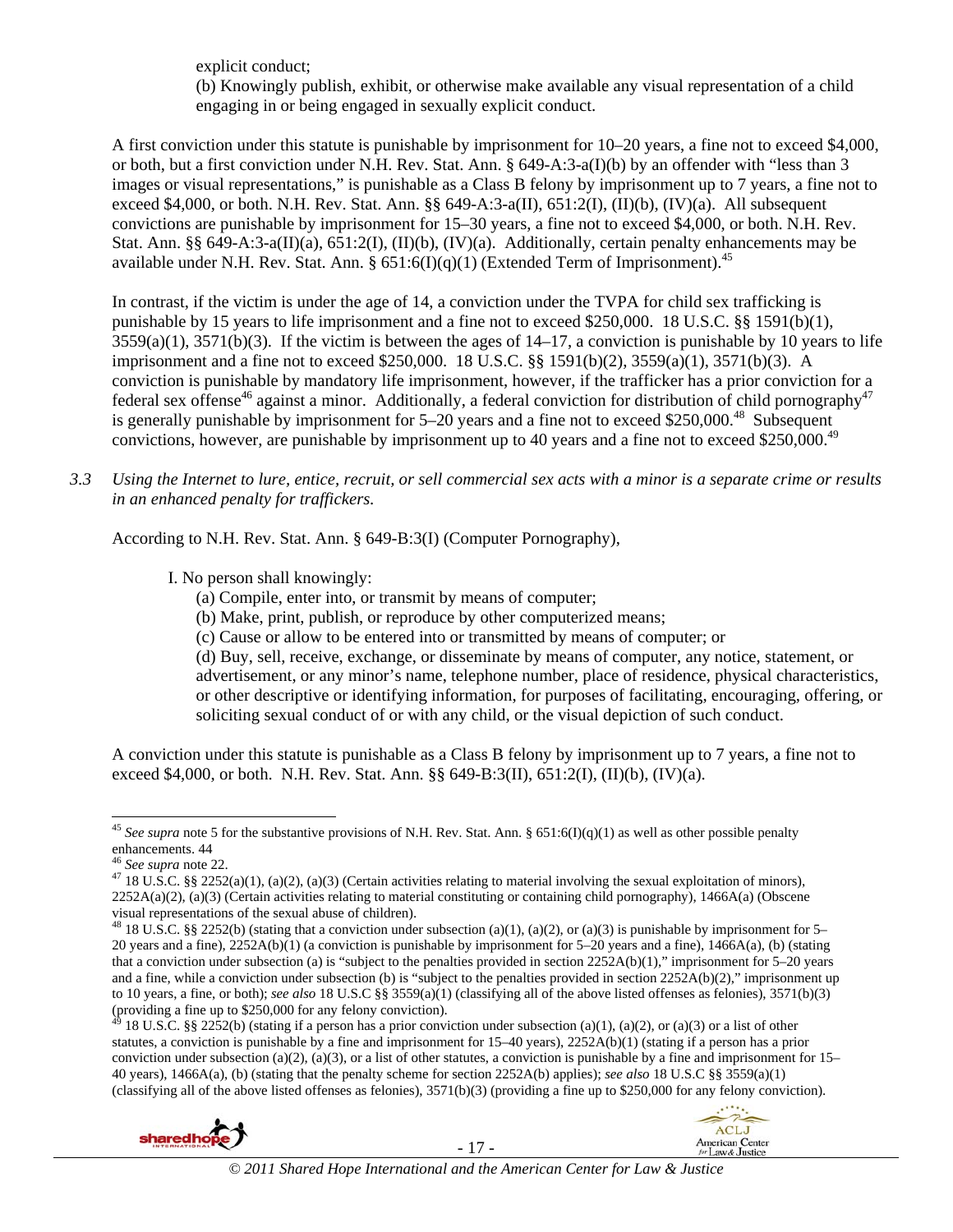explicit conduct; (b) Knowingly publish, exhibit, or otherwise make available any visual representation of a child engaging in or being engaged in sexually explicit conduct.

A first conviction under this statute is punishable by imprisonment for 10–20 years, a fine not to exceed \$4,000, or both, but a first conviction under N.H. Rev. Stat. Ann. § 649-A:3-a(I)(b) by an offender with "less than 3 images or visual representations," is punishable as a Class B felony by imprisonment up to 7 years, a fine not to exceed \$4,000, or both. N.H. Rev. Stat. Ann. §§ 649-A:3-a(II), 651:2(I), (II)(b), (IV)(a). All subsequent convictions are punishable by imprisonment for 15–30 years, a fine not to exceed \$4,000, or both. N.H. Rev. Stat. Ann. §§ 649-A:3-a(II)(a), 651:2(I), (II)(b), (IV)(a). Additionally, certain penalty enhancements may be available under N.H. Rev. Stat. Ann. §  $651:6(I)(q)(1)$  (Extended Term of Imprisonment).<sup>45</sup>

In contrast, if the victim is under the age of 14, a conviction under the TVPA for child sex trafficking is punishable by 15 years to life imprisonment and a fine not to exceed \$250,000. 18 U.S.C. §§ 1591(b)(1),  $3559(a)(1)$ ,  $3571(b)(3)$ . If the victim is between the ages of  $14-17$ , a conviction is punishable by 10 years to life imprisonment and a fine not to exceed \$250,000. 18 U.S.C. §§ 1591(b)(2), 3559(a)(1), 3571(b)(3). A conviction is punishable by mandatory life imprisonment, however, if the trafficker has a prior conviction for a federal sex offense<sup>46</sup> against a minor. Additionally, a federal conviction for distribution of child pornography<sup>47</sup> is generally punishable by imprisonment for  $5-20$  years and a fine not to exceed \$250,000.<sup>48</sup> Subsequent convictions, however, are punishable by imprisonment up to 40 years and a fine not to exceed \$250,000.49

*3.3 Using the Internet to lure, entice, recruit, or sell commercial sex acts with a minor is a separate crime or results in an enhanced penalty for traffickers.* 

According to N.H. Rev. Stat. Ann. § 649-B:3(I) (Computer Pornography),

I. No person shall knowingly:

- (a) Compile, enter into, or transmit by means of computer;
- (b) Make, print, publish, or reproduce by other computerized means;
- (c) Cause or allow to be entered into or transmitted by means of computer; or

(d) Buy, sell, receive, exchange, or disseminate by means of computer, any notice, statement, or advertisement, or any minor's name, telephone number, place of residence, physical characteristics, or other descriptive or identifying information, for purposes of facilitating, encouraging, offering, or soliciting sexual conduct of or with any child, or the visual depiction of such conduct.

A conviction under this statute is punishable as a Class B felony by imprisonment up to 7 years, a fine not to exceed \$4,000, or both. N.H. Rev. Stat. Ann. §§ 649-B:3(II), 651:2(I), (II)(b), (IV)(a).

l

<sup>18</sup> U.S.C. §§ 2252(b) (stating if a person has a prior conviction under subsection (a)(1), (a)(2), or (a)(3) or a list of other statutes, a conviction is punishable by a fine and imprisonment for 15–40 years), 2252A(b)(1) (stating if a person has a prior conviction under subsection (a)(2), (a)(3), or a list of other statutes, a conviction is punishable by a fine and imprisonment for  $15-$ 40 years), 1466A(a), (b) (stating that the penalty scheme for section 2252A(b) applies); *see also* 18 U.S.C §§ 3559(a)(1) (classifying all of the above listed offenses as felonies),  $3571(b)(3)$  (providing a fine up to \$250,000 for any felony conviction).





<sup>&</sup>lt;sup>45</sup> See supra note 5 for the substantive provisions of N.H. Rev. Stat. Ann. § 651:6(I)(q)(1) as well as other possible penalty enhancements. 44<br><sup>46</sup> See supra note 22.

<sup>&</sup>lt;sup>47</sup> 18 U.S.C. §§ 2252(a)(1), (a)(2), (a)(3) (Certain activities relating to material involving the sexual exploitation of minors), 2252A(a)(2), (a)(3) (Certain activities relating to material constituting or containing child pornography), 1466A(a) (Obscene visual representations of the sexual abuse of children).

<sup>&</sup>lt;sup>48</sup> 18 U.S.C. §§ 2252(b) (stating that a conviction under subsection (a)(1), (a)(2), or (a)(3) is punishable by imprisonment for 5– 20 years and a fine), 2252A(b)(1) (a conviction is punishable by imprisonment for 5–20 years and a fine), 1466A(a), (b) (stating that a conviction under subsection (a) is "subject to the penalties provided in section  $2252A(b)(1)$ ," imprisonment for 5–20 years and a fine, while a conviction under subsection (b) is "subject to the penalties provided in section  $2252A(b)(2)$ ," imprisonment up to 10 years, a fine, or both); *see also* 18 U.S.C §§ 3559(a)(1) (classifying all of the above listed offenses as felonies), 3571(b)(3) (providing a fine up to \$250,000 for any felony conviction).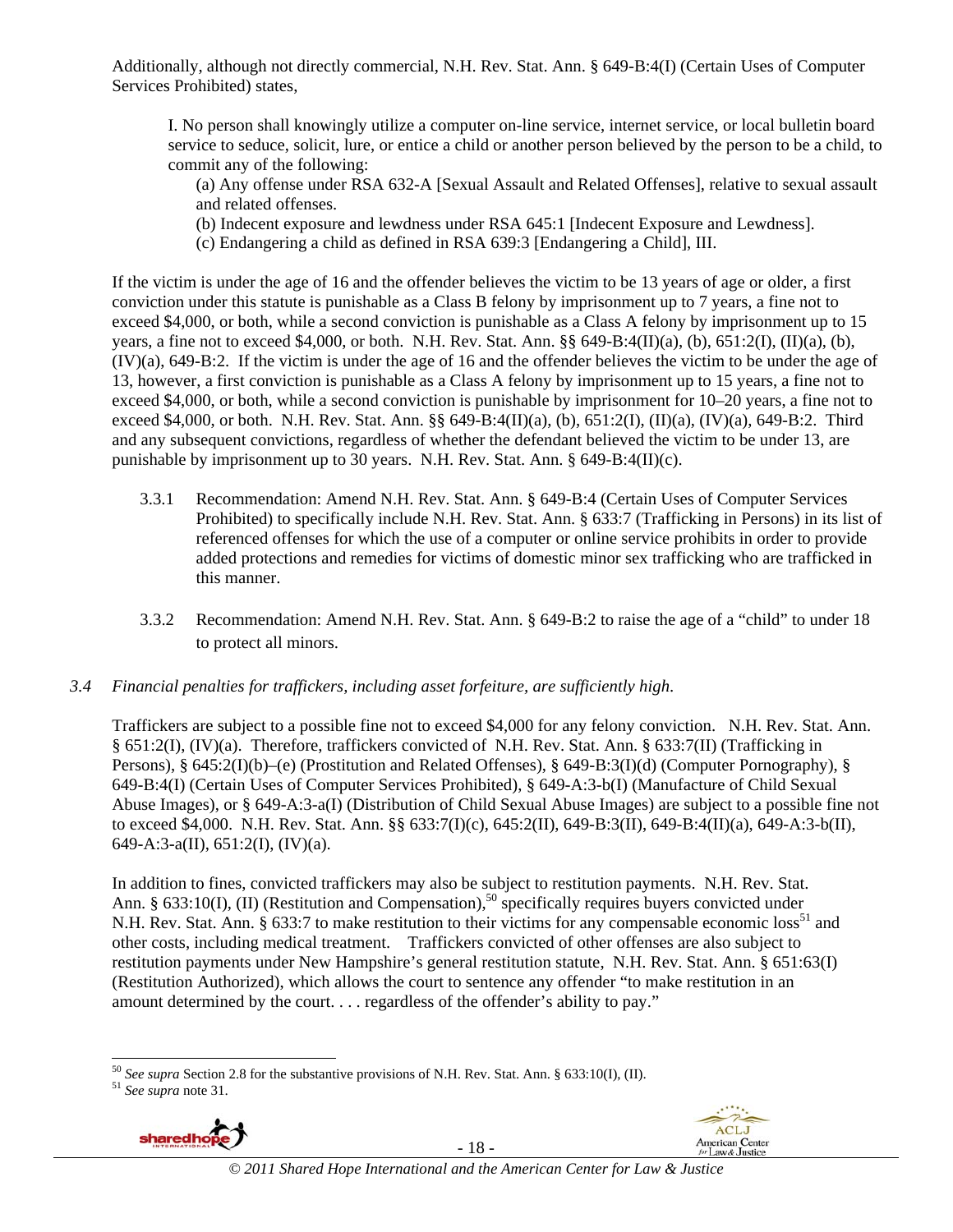Additionally, although not directly commercial, N.H. Rev. Stat. Ann. § 649-B:4(I) (Certain Uses of Computer Services Prohibited) states,

I. No person shall knowingly utilize a computer on-line service, internet service, or local bulletin board service to seduce, solicit, lure, or entice a child or another person believed by the person to be a child, to commit any of the following:

- (a) Any offense under RSA 632-A [Sexual Assault and Related Offenses], relative to sexual assault and related offenses.
- (b) Indecent exposure and lewdness under RSA 645:1 [Indecent Exposure and Lewdness].
- (c) Endangering a child as defined in RSA 639:3 [Endangering a Child], III.

If the victim is under the age of 16 and the offender believes the victim to be 13 years of age or older, a first conviction under this statute is punishable as a Class B felony by imprisonment up to 7 years, a fine not to exceed \$4,000, or both, while a second conviction is punishable as a Class A felony by imprisonment up to 15 years, a fine not to exceed \$4,000, or both. N.H. Rev. Stat. Ann. §§ 649-B:4(II)(a), (b), 651:2(I), (II)(a), (b), (IV)(a), 649-B:2. If the victim is under the age of 16 and the offender believes the victim to be under the age of 13, however, a first conviction is punishable as a Class A felony by imprisonment up to 15 years, a fine not to exceed \$4,000, or both, while a second conviction is punishable by imprisonment for 10–20 years, a fine not to exceed \$4,000, or both. N.H. Rev. Stat. Ann. §§ 649-B:4(II)(a), (b), 651:2(I), (II)(a), (IV)(a), 649-B:2. Third and any subsequent convictions, regardless of whether the defendant believed the victim to be under 13, are punishable by imprisonment up to 30 years. N.H. Rev. Stat. Ann. § 649-B:4(II)(c).

- 3.3.1 Recommendation: Amend N.H. Rev. Stat. Ann. § 649-B:4 (Certain Uses of Computer Services Prohibited) to specifically include N.H. Rev. Stat. Ann. § 633:7 (Trafficking in Persons) in its list of referenced offenses for which the use of a computer or online service prohibits in order to provide added protections and remedies for victims of domestic minor sex trafficking who are trafficked in this manner.
- 3.3.2 Recommendation: Amend N.H. Rev. Stat. Ann. § 649-B:2 to raise the age of a "child" to under 18 to protect all minors.
- *3.4 Financial penalties for traffickers, including asset forfeiture, are sufficiently high*.

Traffickers are subject to a possible fine not to exceed \$4,000 for any felony conviction. N.H. Rev. Stat. Ann. § 651:2(I), (IV)(a). Therefore, traffickers convicted of N.H. Rev. Stat. Ann. § 633:7(II) (Trafficking in Persons), § 645:2(I)(b)–(e) (Prostitution and Related Offenses), § 649-B:3(I)(d) (Computer Pornography), § 649-B:4(I) (Certain Uses of Computer Services Prohibited), § 649-A:3-b(I) (Manufacture of Child Sexual Abuse Images), or § 649-A:3-a(I) (Distribution of Child Sexual Abuse Images) are subject to a possible fine not to exceed \$4,000. N.H. Rev. Stat. Ann. §§ 633:7(I)(c), 645:2(II), 649-B:3(II), 649-B:4(II)(a), 649-A:3-b(II), 649-A:3-a(II), 651:2(I), (IV)(a).

In addition to fines, convicted traffickers may also be subject to restitution payments. N.H. Rev. Stat. Ann. § 633:10(I), (II) (Restitution and Compensation),<sup>50</sup> specifically requires buyers convicted under N.H. Rev. Stat. Ann. § 633:7 to make restitution to their victims for any compensable economic loss<sup>51</sup> and other costs, including medical treatment. Traffickers convicted of other offenses are also subject to restitution payments under New Hampshire's general restitution statute, N.H. Rev. Stat. Ann. § 651:63(I) (Restitution Authorized), which allows the court to sentence any offender "to make restitution in an amount determined by the court. . . . regardless of the offender's ability to pay."



- 18 -



<sup>1</sup> <sup>50</sup> *See supra* Section 2.8 for the substantive provisions of N.H. Rev. Stat. Ann. § 633:10(I), (II).  $5^{1}$  *See supra* note 31.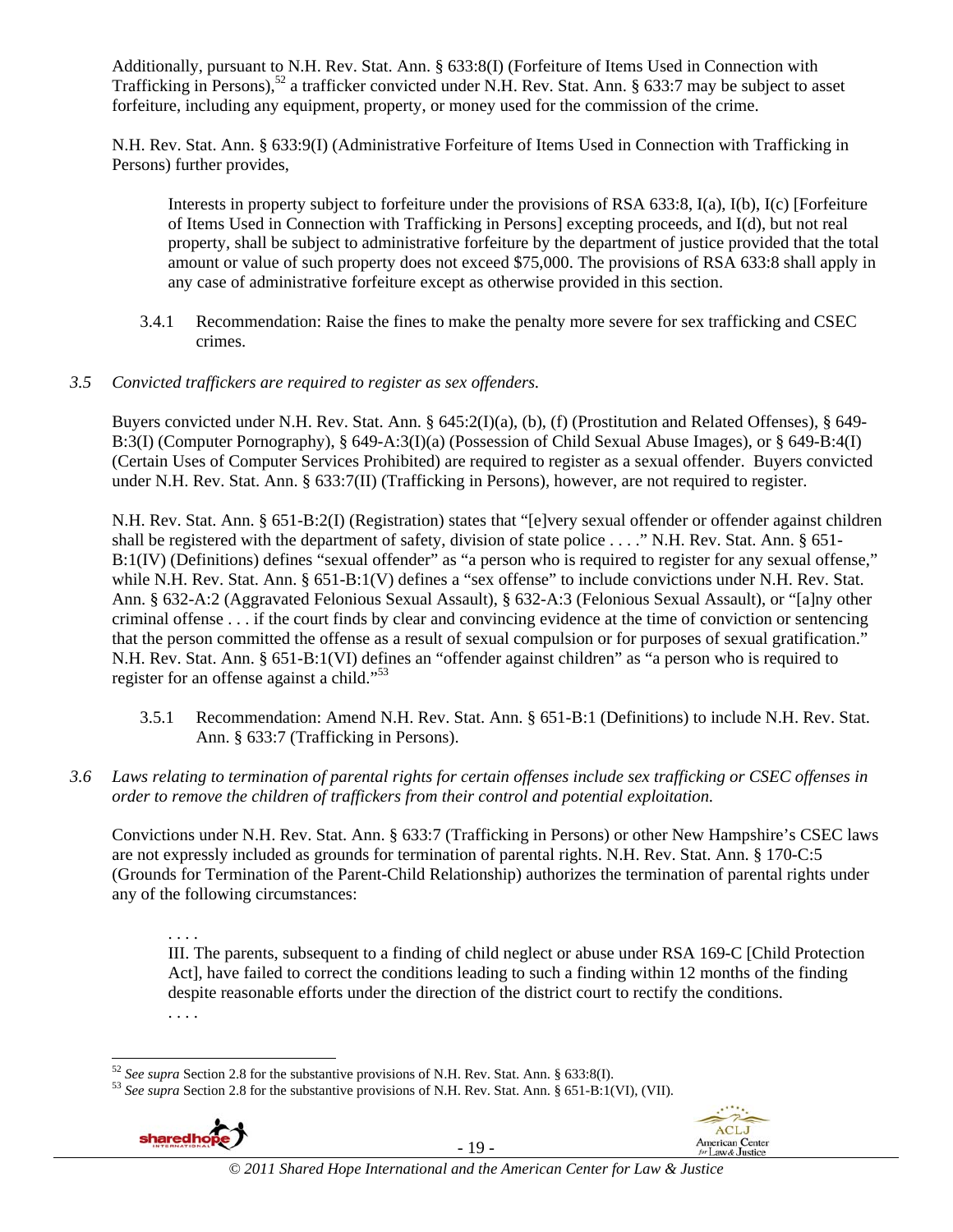Additionally, pursuant to N.H. Rev. Stat. Ann. § 633:8(I) (Forfeiture of Items Used in Connection with Trafficking in Persons),<sup>52</sup> a trafficker convicted under N.H. Rev. Stat. Ann. § 633:7 may be subject to asset forfeiture, including any equipment, property, or money used for the commission of the crime.

N.H. Rev. Stat. Ann. § 633:9(I) (Administrative Forfeiture of Items Used in Connection with Trafficking in Persons) further provides,

Interests in property subject to forfeiture under the provisions of RSA 633:8, I(a), I(b), I(c) [Forfeiture of Items Used in Connection with Trafficking in Persons] excepting proceeds, and I(d), but not real property, shall be subject to administrative forfeiture by the department of justice provided that the total amount or value of such property does not exceed \$75,000. The provisions of RSA 633:8 shall apply in any case of administrative forfeiture except as otherwise provided in this section.

3.4.1 Recommendation: Raise the fines to make the penalty more severe for sex trafficking and CSEC crimes.

### *3.5 Convicted traffickers are required to register as sex offenders.*

Buyers convicted under N.H. Rev. Stat. Ann. § 645:2(I)(a), (b), (f) (Prostitution and Related Offenses), § 649- B:3(I) (Computer Pornography), § 649-A:3(I)(a) (Possession of Child Sexual Abuse Images), or § 649-B:4(I) (Certain Uses of Computer Services Prohibited) are required to register as a sexual offender. Buyers convicted under N.H. Rev. Stat. Ann. § 633:7(II) (Trafficking in Persons), however, are not required to register.

N.H. Rev. Stat. Ann. § 651-B:2(I) (Registration) states that "[e]very sexual offender or offender against children shall be registered with the department of safety, division of state police . . . ." N.H. Rev. Stat. Ann. § 651- B:1(IV) (Definitions) defines "sexual offender" as "a person who is required to register for any sexual offense," while N.H. Rev. Stat. Ann. § 651-B:1(V) defines a "sex offense" to include convictions under N.H. Rev. Stat. Ann. § 632-A:2 (Aggravated Felonious Sexual Assault), § 632-A:3 (Felonious Sexual Assault), or "[a]ny other criminal offense . . . if the court finds by clear and convincing evidence at the time of conviction or sentencing that the person committed the offense as a result of sexual compulsion or for purposes of sexual gratification." N.H. Rev. Stat. Ann. § 651-B:1(VI) defines an "offender against children" as "a person who is required to register for an offense against a child."<sup>53</sup>

- 3.5.1 Recommendation: Amend N.H. Rev. Stat. Ann. § 651-B:1 (Definitions) to include N.H. Rev. Stat. Ann. § 633:7 (Trafficking in Persons).
- *3.6 Laws relating to termination of parental rights for certain offenses include sex trafficking or CSEC offenses in order to remove the children of traffickers from their control and potential exploitation.*

Convictions under N.H. Rev. Stat. Ann. § 633:7 (Trafficking in Persons) or other New Hampshire's CSEC laws are not expressly included as grounds for termination of parental rights. N.H. Rev. Stat. Ann. § 170-C:5 (Grounds for Termination of the Parent-Child Relationship) authorizes the termination of parental rights under any of the following circumstances:

. . . . III. The parents, subsequent to a finding of child neglect or abuse under RSA 169-C [Child Protection Act], have failed to correct the conditions leading to such a finding within 12 months of the finding despite reasonable efforts under the direction of the district court to rectify the conditions. . . . .

<sup>52</sup> *See supra* Section 2.8 for the substantive provisions of N.H. Rev. Stat. Ann. § 633:8(I). 53 *See supra* Section 2.8 for the substantive provisions of N.H. Rev. Stat. Ann. § 651-B:1(VI), (VII).



l

- 19 -

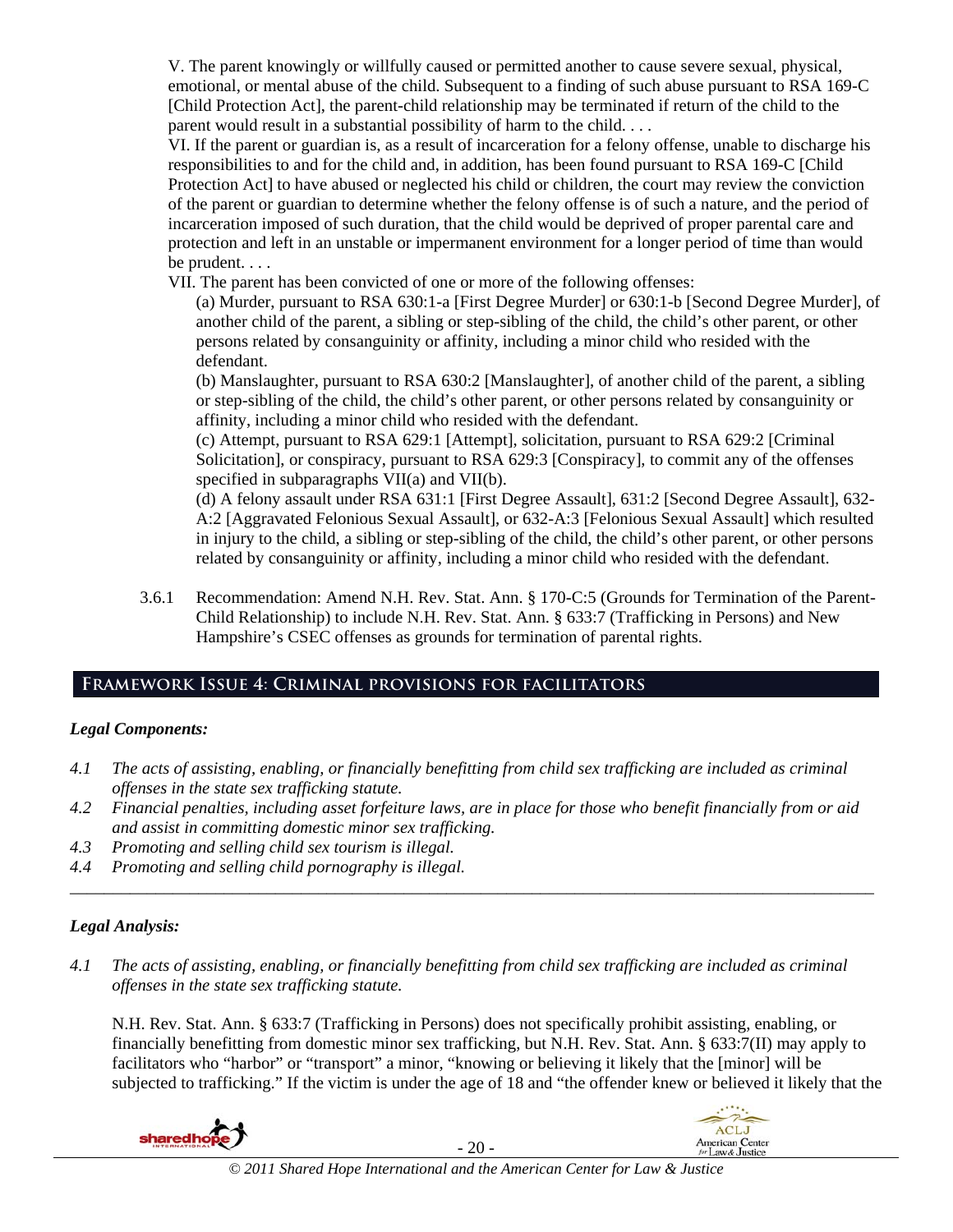V. The parent knowingly or willfully caused or permitted another to cause severe sexual, physical, emotional, or mental abuse of the child. Subsequent to a finding of such abuse pursuant to RSA 169-C [Child Protection Act], the parent-child relationship may be terminated if return of the child to the parent would result in a substantial possibility of harm to the child. . . .

VI. If the parent or guardian is, as a result of incarceration for a felony offense, unable to discharge his responsibilities to and for the child and, in addition, has been found pursuant to RSA 169-C [Child Protection Act] to have abused or neglected his child or children, the court may review the conviction of the parent or guardian to determine whether the felony offense is of such a nature, and the period of incarceration imposed of such duration, that the child would be deprived of proper parental care and protection and left in an unstable or impermanent environment for a longer period of time than would be prudent. . . .

VII. The parent has been convicted of one or more of the following offenses:

(a) Murder, pursuant to RSA 630:1-a [First Degree Murder] or 630:1-b [Second Degree Murder], of another child of the parent, a sibling or step-sibling of the child, the child's other parent, or other persons related by consanguinity or affinity, including a minor child who resided with the defendant.

(b) Manslaughter, pursuant to RSA 630:2 [Manslaughter], of another child of the parent, a sibling or step-sibling of the child, the child's other parent, or other persons related by consanguinity or affinity, including a minor child who resided with the defendant.

(c) Attempt, pursuant to RSA 629:1 [Attempt], solicitation, pursuant to RSA 629:2 [Criminal Solicitation], or conspiracy, pursuant to RSA 629:3 [Conspiracy], to commit any of the offenses specified in subparagraphs VII(a) and VII(b).

(d) A felony assault under RSA 631:1 [First Degree Assault], 631:2 [Second Degree Assault], 632- A:2 [Aggravated Felonious Sexual Assault], or 632-A:3 [Felonious Sexual Assault] which resulted in injury to the child, a sibling or step-sibling of the child, the child's other parent, or other persons related by consanguinity or affinity, including a minor child who resided with the defendant.

3.6.1 Recommendation: Amend N.H. Rev. Stat. Ann. § 170-C:5 (Grounds for Termination of the Parent-Child Relationship) to include N.H. Rev. Stat. Ann. § 633:7 (Trafficking in Persons) and New Hampshire's CSEC offenses as grounds for termination of parental rights.

# **Framework Issue 4: Criminal provisions for facilitators**

### *Legal Components:*

- *4.1 The acts of assisting, enabling, or financially benefitting from child sex trafficking are included as criminal offenses in the state sex trafficking statute.*
- *4.2 Financial penalties, including asset forfeiture laws, are in place for those who benefit financially from or aid and assist in committing domestic minor sex trafficking.*

*\_\_\_\_\_\_\_\_\_\_\_\_\_\_\_\_\_\_\_\_\_\_\_\_\_\_\_\_\_\_\_\_\_\_\_\_\_\_\_\_\_\_\_\_\_\_\_\_\_\_\_\_\_\_\_\_\_\_\_\_\_\_\_\_\_\_\_\_\_\_\_\_\_\_\_\_\_\_\_\_\_\_\_\_\_\_\_\_\_\_\_\_\_\_* 

- *4.3 Promoting and selling child sex tourism is illegal.*
- *4.4 Promoting and selling child pornography is illegal.*

### *Legal Analysis:*

*4.1 The acts of assisting, enabling, or financially benefitting from child sex trafficking are included as criminal offenses in the state sex trafficking statute.* 

N.H. Rev. Stat. Ann. § 633:7 (Trafficking in Persons) does not specifically prohibit assisting, enabling, or financially benefitting from domestic minor sex trafficking, but N.H. Rev. Stat. Ann. § 633:7(II) may apply to facilitators who "harbor" or "transport" a minor, "knowing or believing it likely that the [minor] will be subjected to trafficking." If the victim is under the age of 18 and "the offender knew or believed it likely that the

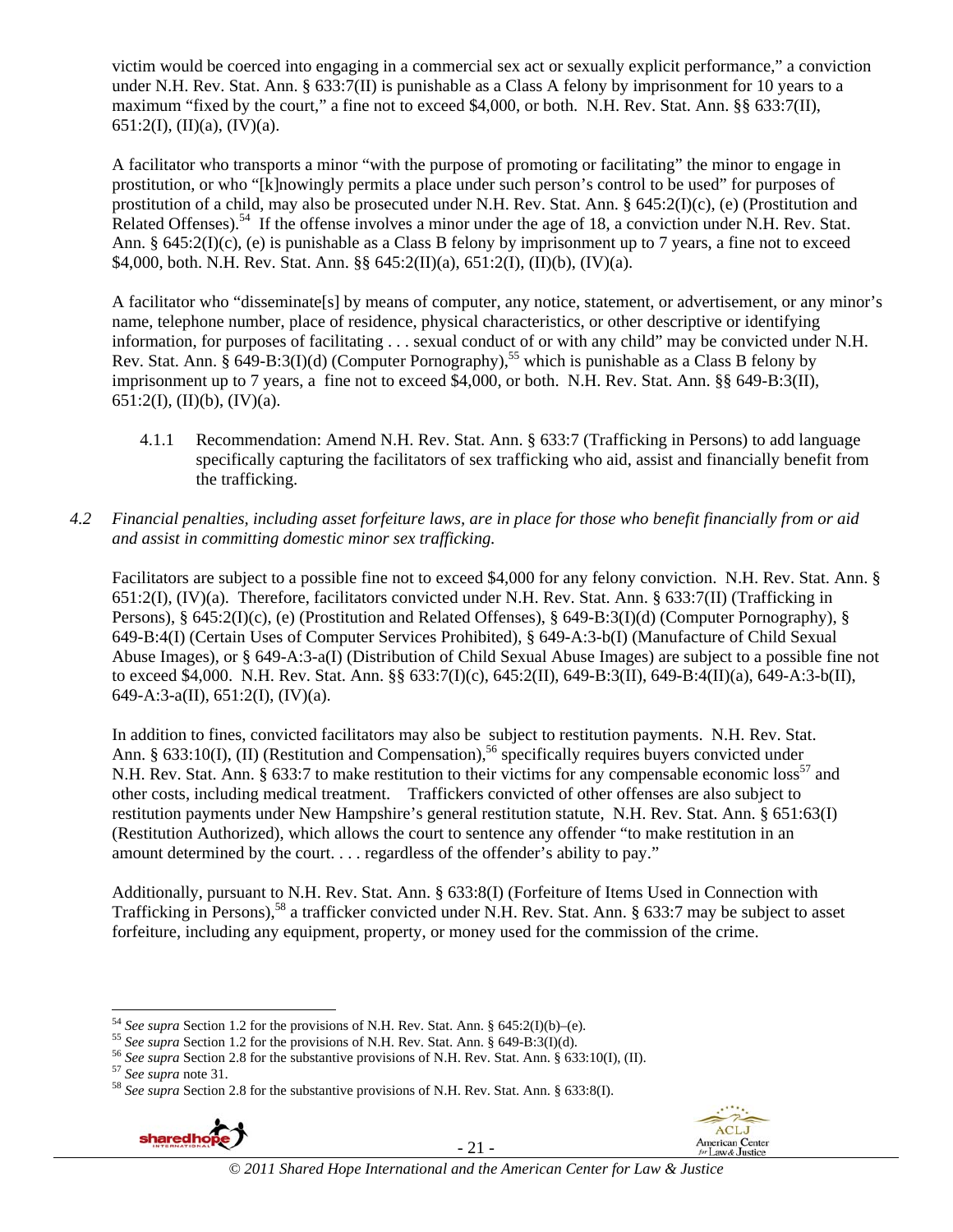victim would be coerced into engaging in a commercial sex act or sexually explicit performance," a conviction under N.H. Rev. Stat. Ann. § 633:7(II) is punishable as a Class A felony by imprisonment for 10 years to a maximum "fixed by the court," a fine not to exceed \$4,000, or both. N.H. Rev. Stat. Ann. §§ 633:7(II), 651:2(I), (II)(a), (IV)(a).

A facilitator who transports a minor "with the purpose of promoting or facilitating" the minor to engage in prostitution, or who "[k]nowingly permits a place under such person's control to be used" for purposes of prostitution of a child, may also be prosecuted under N.H. Rev. Stat. Ann. § 645:2(I)(c), (e) (Prostitution and Related Offenses).<sup>54</sup> If the offense involves a minor under the age of 18, a conviction under N.H. Rev. Stat. Ann. § 645:2(I)(c), (e) is punishable as a Class B felony by imprisonment up to 7 years, a fine not to exceed \$4,000, both. N.H. Rev. Stat. Ann. §§ 645:2(II)(a), 651:2(I), (II)(b), (IV)(a).

A facilitator who "disseminate[s] by means of computer, any notice, statement, or advertisement, or any minor's name, telephone number, place of residence, physical characteristics, or other descriptive or identifying information, for purposes of facilitating . . . sexual conduct of or with any child" may be convicted under N.H. Rev. Stat. Ann. § 649-B:3(I)(d) (Computer Pornography),<sup>55</sup> which is punishable as a Class B felony by imprisonment up to 7 years, a fine not to exceed \$4,000, or both. N.H. Rev. Stat. Ann. §§ 649-B:3(II), 651:2(I), (II)(b), (IV)(a).

- 4.1.1 Recommendation: Amend N.H. Rev. Stat. Ann. § 633:7 (Trafficking in Persons) to add language specifically capturing the facilitators of sex trafficking who aid, assist and financially benefit from the trafficking.
- *4.2 Financial penalties, including asset forfeiture laws, are in place for those who benefit financially from or aid and assist in committing domestic minor sex trafficking.*

Facilitators are subject to a possible fine not to exceed \$4,000 for any felony conviction. N.H. Rev. Stat. Ann. § 651:2(I), (IV)(a). Therefore, facilitators convicted under N.H. Rev. Stat. Ann. § 633:7(II) (Trafficking in Persons), § 645:2(I)(c), (e) (Prostitution and Related Offenses), § 649-B:3(I)(d) (Computer Pornography), § 649-B:4(I) (Certain Uses of Computer Services Prohibited), § 649-A:3-b(I) (Manufacture of Child Sexual Abuse Images), or § 649-A:3-a(I) (Distribution of Child Sexual Abuse Images) are subject to a possible fine not to exceed \$4,000. N.H. Rev. Stat. Ann. §§ 633:7(I)(c), 645:2(II), 649-B:3(II), 649-B:4(II)(a), 649-A:3-b(II), 649-A:3-a(II), 651:2(I), (IV)(a).

In addition to fines, convicted facilitators may also be subject to restitution payments. N.H. Rev. Stat. Ann. § 633:10(I), (II) (Restitution and Compensation),<sup>56</sup> specifically requires buyers convicted under N.H. Rev. Stat. Ann. § 633:7 to make restitution to their victims for any compensable economic loss<sup>57</sup> and other costs, including medical treatment. Traffickers convicted of other offenses are also subject to restitution payments under New Hampshire's general restitution statute, N.H. Rev. Stat. Ann. § 651:63(I) (Restitution Authorized), which allows the court to sentence any offender "to make restitution in an amount determined by the court. . . . regardless of the offender's ability to pay."

Additionally, pursuant to N.H. Rev. Stat. Ann. § 633:8(I) (Forfeiture of Items Used in Connection with Trafficking in Persons),<sup>58</sup> a trafficker convicted under N.H. Rev. Stat. Ann. § 633:7 may be subject to asset forfeiture, including any equipment, property, or money used for the commission of the crime.



- 21 -



<sup>&</sup>lt;sup>54</sup> See supra Section 1.2 for the provisions of N.H. Rev. Stat. Ann. § 645:2(I)(b)–(e).

<sup>&</sup>lt;sup>55</sup> See supra Section 1.2 for the provisions of N.H. Rev. Stat. Ann. § 649-B:3(I)(d).<br><sup>56</sup> See supra Section 2.8 for the substantive provisions of N.H. Rev. Stat. Ann. § 633:10(I), (II).<br><sup>57</sup> See supra note 31.<br><sup>58</sup> See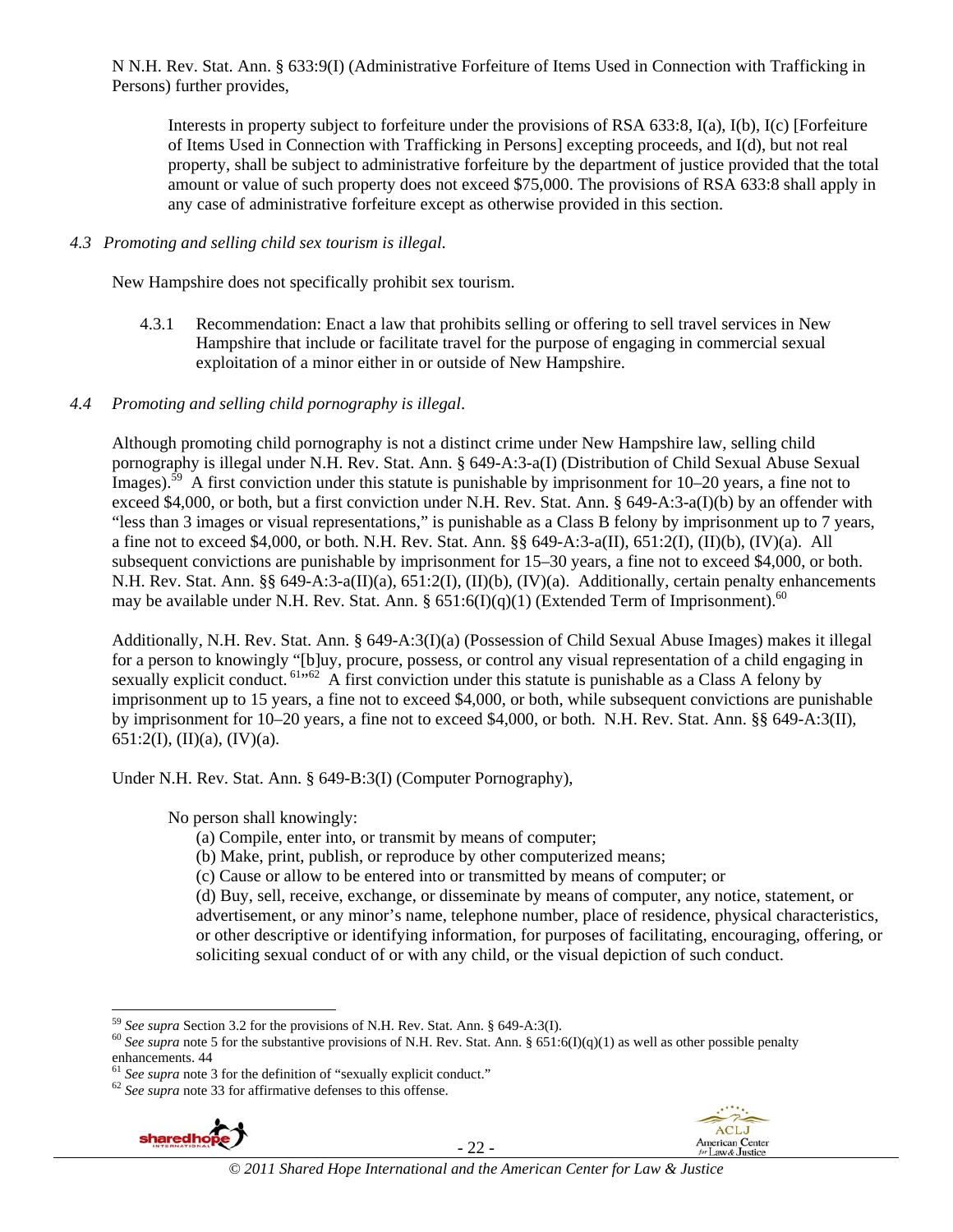N N.H. Rev. Stat. Ann. § 633:9(I) (Administrative Forfeiture of Items Used in Connection with Trafficking in Persons) further provides,

Interests in property subject to forfeiture under the provisions of RSA 633:8, I(a), I(b), I(c) [Forfeiture of Items Used in Connection with Trafficking in Persons] excepting proceeds, and I(d), but not real property, shall be subject to administrative forfeiture by the department of justice provided that the total amount or value of such property does not exceed \$75,000. The provisions of RSA 633:8 shall apply in any case of administrative forfeiture except as otherwise provided in this section.

#### *4.3 Promoting and selling child sex tourism is illegal*.

New Hampshire does not specifically prohibit sex tourism.

4.3.1 Recommendation: Enact a law that prohibits selling or offering to sell travel services in New Hampshire that include or facilitate travel for the purpose of engaging in commercial sexual exploitation of a minor either in or outside of New Hampshire.

### *4.4 Promoting and selling child pornography is illegal*.

Although promoting child pornography is not a distinct crime under New Hampshire law, selling child pornography is illegal under N.H. Rev. Stat. Ann. § 649-A:3-a(I) (Distribution of Child Sexual Abuse Sexual Images).<sup>59</sup> A first conviction under this statute is punishable by imprisonment for  $10-20$  years, a fine not to exceed \$4,000, or both, but a first conviction under N.H. Rev. Stat. Ann. § 649-A:3-a(I)(b) by an offender with "less than 3 images or visual representations," is punishable as a Class B felony by imprisonment up to 7 years, a fine not to exceed \$4,000, or both. N.H. Rev. Stat. Ann. §§ 649-A:3-a(II), 651:2(I), (II)(b), (IV)(a). All subsequent convictions are punishable by imprisonment for 15–30 years, a fine not to exceed \$4,000, or both. N.H. Rev. Stat. Ann. §§ 649-A:3-a(II)(a), 651:2(I), (II)(b), (IV)(a). Additionally, certain penalty enhancements may be available under N.H. Rev. Stat. Ann. §  $651:6(I)(q)(1)$  (Extended Term of Imprisonment).<sup>60</sup>

Additionally, N.H. Rev. Stat. Ann. § 649-A:3(I)(a) (Possession of Child Sexual Abuse Images) makes it illegal for a person to knowingly "[b]uy, procure, possess, or control any visual representation of a child engaging in sexually explicit conduct. <sup>61,62</sup> A first conviction under this statute is punishable as a Class A felony by imprisonment up to 15 years, a fine not to exceed \$4,000, or both, while subsequent convictions are punishable by imprisonment for 10–20 years, a fine not to exceed \$4,000, or both. N.H. Rev. Stat. Ann. §§ 649-A:3(II), 651:2(I), (II)(a), (IV)(a).

Under N.H. Rev. Stat. Ann. § 649-B:3(I) (Computer Pornography),

No person shall knowingly:

- (a) Compile, enter into, or transmit by means of computer;
- (b) Make, print, publish, or reproduce by other computerized means;
- (c) Cause or allow to be entered into or transmitted by means of computer; or

(d) Buy, sell, receive, exchange, or disseminate by means of computer, any notice, statement, or advertisement, or any minor's name, telephone number, place of residence, physical characteristics, or other descriptive or identifying information, for purposes of facilitating, encouraging, offering, or soliciting sexual conduct of or with any child, or the visual depiction of such conduct.



- 22 -



<sup>1</sup> 

<sup>&</sup>lt;sup>59</sup> *See supra* Section 3.2 for the provisions of N.H. Rev. Stat. Ann. § 649-A:3(I).<br><sup>60</sup> *See supra* note 5 for the substantive provisions of N.H. Rev. Stat. Ann. § 651:6(I)(q)(1) as well as other possible penalty enhancements. 44

<sup>&</sup>lt;sup>61</sup> *See supra* note 3 for the definition of "sexually explicit conduct."  $^{62}$  *See supra* note 33 for affirmative defenses to this offense.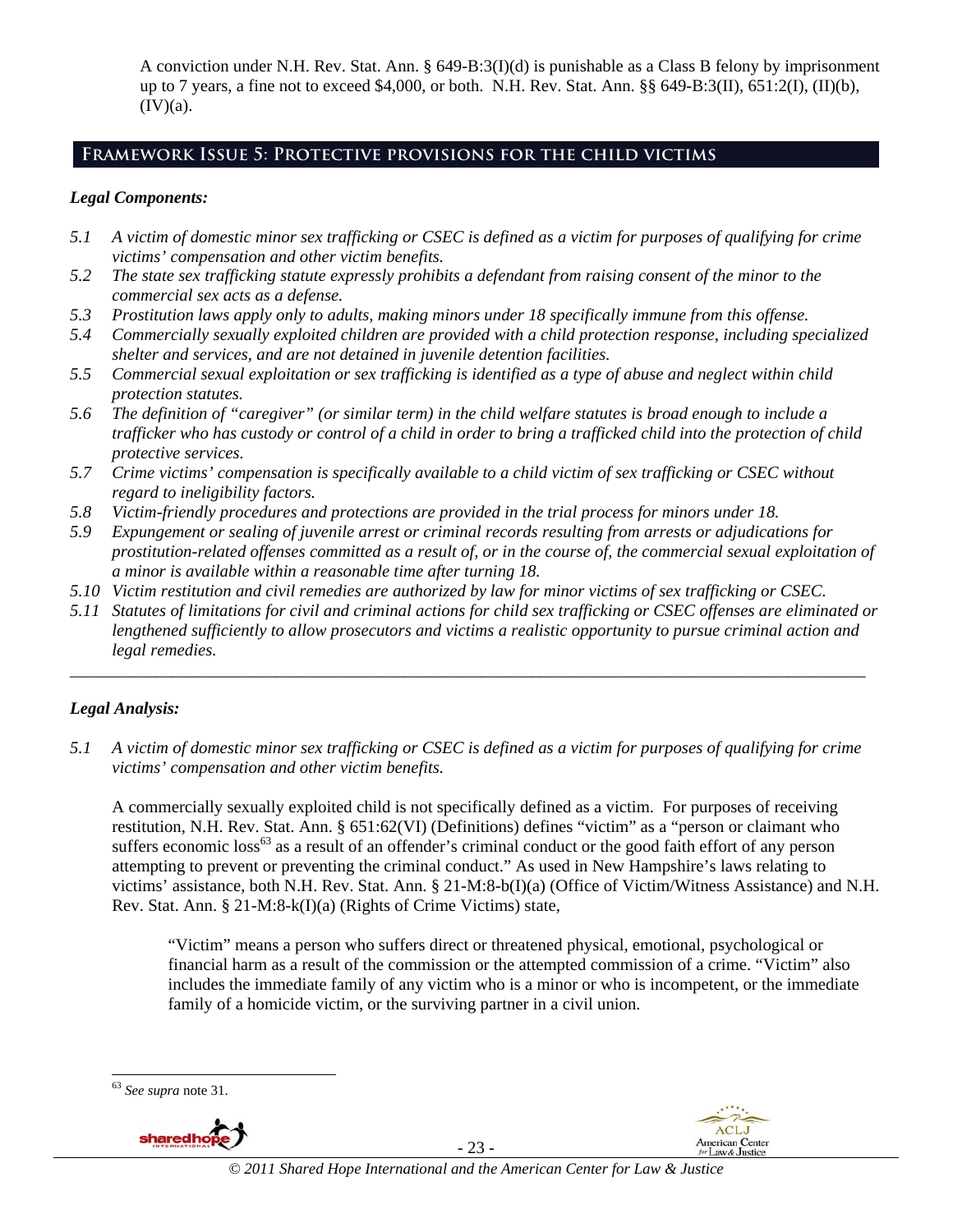A conviction under N.H. Rev. Stat. Ann. § 649-B:3(I)(d) is punishable as a Class B felony by imprisonment up to 7 years, a fine not to exceed \$4,000, or both. N.H. Rev. Stat. Ann. §§ 649-B:3(II), 651:2(I), (II)(b),  $(IV)(a)$ .

## **Framework Issue 5: Protective provisions for the child victims**

### *Legal Components:*

- *5.1 A victim of domestic minor sex trafficking or CSEC is defined as a victim for purposes of qualifying for crime victims' compensation and other victim benefits.*
- *5.2 The state sex trafficking statute expressly prohibits a defendant from raising consent of the minor to the commercial sex acts as a defense.*
- *5.3 Prostitution laws apply only to adults, making minors under 18 specifically immune from this offense.*
- *5.4 Commercially sexually exploited children are provided with a child protection response, including specialized shelter and services, and are not detained in juvenile detention facilities.*
- *5.5 Commercial sexual exploitation or sex trafficking is identified as a type of abuse and neglect within child protection statutes.*
- *5.6 The definition of "caregiver" (or similar term) in the child welfare statutes is broad enough to include a trafficker who has custody or control of a child in order to bring a trafficked child into the protection of child protective services.*
- *5.7 Crime victims' compensation is specifically available to a child victim of sex trafficking or CSEC without regard to ineligibility factors.*
- *5.8 Victim-friendly procedures and protections are provided in the trial process for minors under 18.*
- *5.9 Expungement or sealing of juvenile arrest or criminal records resulting from arrests or adjudications for prostitution-related offenses committed as a result of, or in the course of, the commercial sexual exploitation of a minor is available within a reasonable time after turning 18.*
- *5.10 Victim restitution and civil remedies are authorized by law for minor victims of sex trafficking or CSEC.*
- *5.11 Statutes of limitations for civil and criminal actions for child sex trafficking or CSEC offenses are eliminated or lengthened sufficiently to allow prosecutors and victims a realistic opportunity to pursue criminal action and legal remedies.*

*\_\_\_\_\_\_\_\_\_\_\_\_\_\_\_\_\_\_\_\_\_\_\_\_\_\_\_\_\_\_\_\_\_\_\_\_\_\_\_\_\_\_\_\_\_\_\_\_\_\_\_\_\_\_\_\_\_\_\_\_\_\_\_\_\_\_\_\_\_\_\_\_\_\_\_\_\_\_\_\_\_\_\_\_\_\_\_\_\_\_\_\_\_* 

### *Legal Analysis:*

*5.1 A victim of domestic minor sex trafficking or CSEC is defined as a victim for purposes of qualifying for crime victims' compensation and other victim benefits.* 

A commercially sexually exploited child is not specifically defined as a victim. For purposes of receiving restitution, N.H. Rev. Stat. Ann. § 651:62(VI) (Definitions) defines "victim" as a "person or claimant who suffers economic loss<sup>63</sup> as a result of an offender's criminal conduct or the good faith effort of any person attempting to prevent or preventing the criminal conduct." As used in New Hampshire's laws relating to victims' assistance, both N.H. Rev. Stat. Ann. § 21-M:8-b(I)(a) (Office of Victim/Witness Assistance) and N.H. Rev. Stat. Ann. § 21-M:8-k(I)(a) (Rights of Crime Victims) state,

"Victim" means a person who suffers direct or threatened physical, emotional, psychological or financial harm as a result of the commission or the attempted commission of a crime. "Victim" also includes the immediate family of any victim who is a minor or who is incompetent, or the immediate family of a homicide victim, or the surviving partner in a civil union.

1



- 23 -



<sup>63</sup> *See supra* note 31.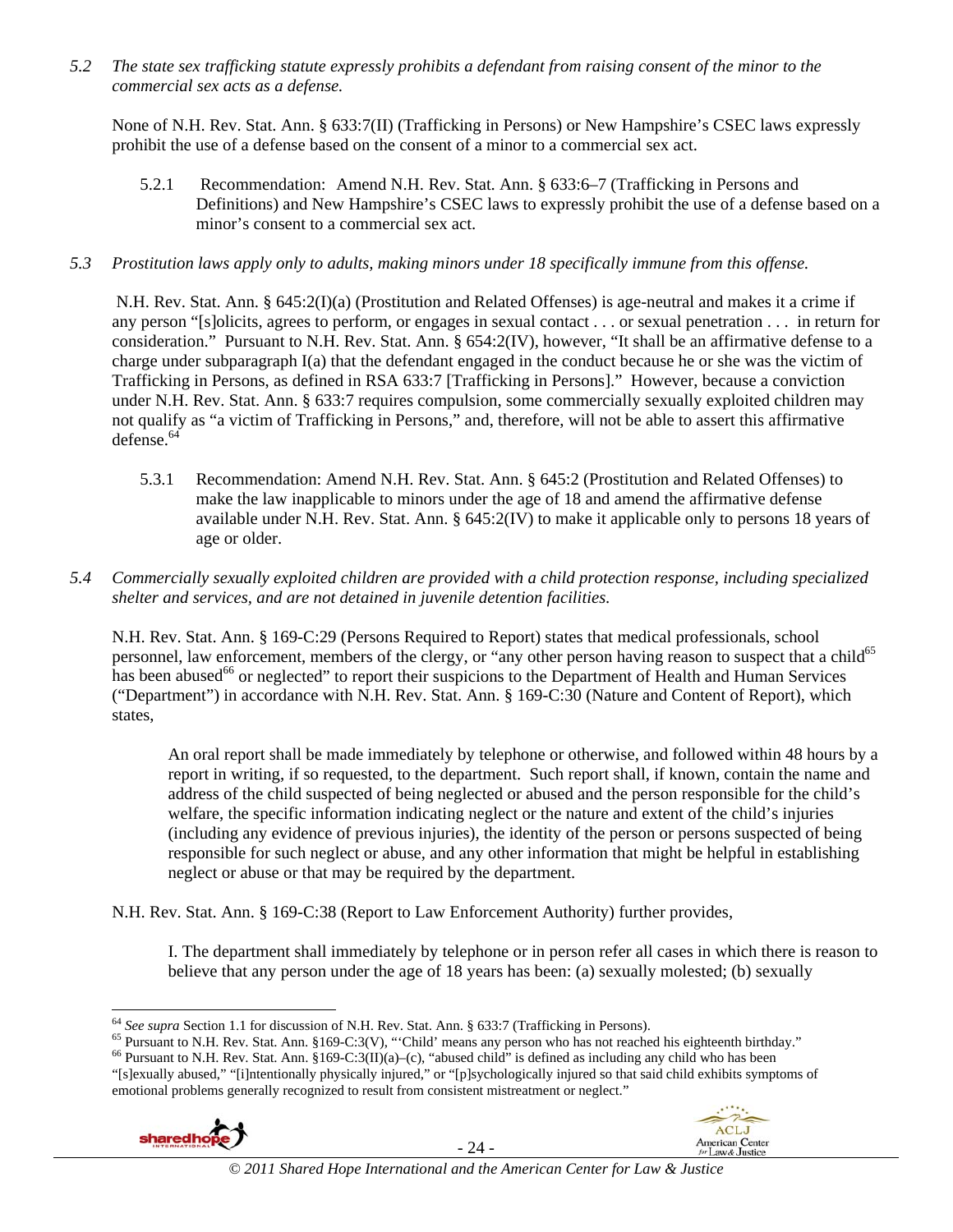*5.2 The state sex trafficking statute expressly prohibits a defendant from raising consent of the minor to the commercial sex acts as a defense.* 

None of N.H. Rev. Stat. Ann. § 633:7(II) (Trafficking in Persons) or New Hampshire's CSEC laws expressly prohibit the use of a defense based on the consent of a minor to a commercial sex act.

5.2.1 Recommendation: Amend N.H. Rev. Stat. Ann. § 633:6–7 (Trafficking in Persons and Definitions) and New Hampshire's CSEC laws to expressly prohibit the use of a defense based on a minor's consent to a commercial sex act.

### *5.3 Prostitution laws apply only to adults, making minors under 18 specifically immune from this offense.*

 N.H. Rev. Stat. Ann. § 645:2(I)(a) (Prostitution and Related Offenses) is age-neutral and makes it a crime if any person "[s]olicits, agrees to perform, or engages in sexual contact . . . or sexual penetration . . . in return for consideration." Pursuant to N.H. Rev. Stat. Ann. § 654:2(IV), however, "It shall be an affirmative defense to a charge under subparagraph I(a) that the defendant engaged in the conduct because he or she was the victim of Trafficking in Persons, as defined in RSA 633:7 [Trafficking in Persons]." However, because a conviction under N.H. Rev. Stat. Ann. § 633:7 requires compulsion, some commercially sexually exploited children may not qualify as "a victim of Trafficking in Persons," and, therefore, will not be able to assert this affirmative defense.64

5.3.1 Recommendation: Amend N.H. Rev. Stat. Ann. § 645:2 (Prostitution and Related Offenses) to make the law inapplicable to minors under the age of 18 and amend the affirmative defense available under N.H. Rev. Stat. Ann. § 645:2(IV) to make it applicable only to persons 18 years of age or older.

### *5.4 Commercially sexually exploited children are provided with a child protection response, including specialized shelter and services, and are not detained in juvenile detention facilities.*

N.H. Rev. Stat. Ann. § 169-C:29 (Persons Required to Report) states that medical professionals, school personnel, law enforcement, members of the clergy, or "any other person having reason to suspect that a child<sup>65</sup> has been abused<sup>66</sup> or neglected" to report their suspicions to the Department of Health and Human Services ("Department") in accordance with N.H. Rev. Stat. Ann. § 169-C:30 (Nature and Content of Report), which states,

An oral report shall be made immediately by telephone or otherwise, and followed within 48 hours by a report in writing, if so requested, to the department. Such report shall, if known, contain the name and address of the child suspected of being neglected or abused and the person responsible for the child's welfare, the specific information indicating neglect or the nature and extent of the child's injuries (including any evidence of previous injuries), the identity of the person or persons suspected of being responsible for such neglect or abuse, and any other information that might be helpful in establishing neglect or abuse or that may be required by the department.

N.H. Rev. Stat. Ann. § 169-C:38 (Report to Law Enforcement Authority) further provides,

I. The department shall immediately by telephone or in person refer all cases in which there is reason to believe that any person under the age of 18 years has been: (a) sexually molested; (b) sexually

<sup>&</sup>quot;[s]exually abused," "[i]ntentionally physically injured," or "[p]sychologically injured so that said child exhibits symptoms of emotional problems generally recognized to result from consistent mistreatment or neglect."





<sup>&</sup>lt;sup>64</sup> See supra Section 1.1 for discussion of N.H. Rev. Stat. Ann. § 633:7 (Trafficking in Persons).

<sup>&</sup>lt;sup>65</sup> Pursuant to N.H. Rev. Stat. Ann. §169-C:3(V), "Child' means any person who has not reached his eighteenth birthday."<br><sup>66</sup> Pursuant to N.H. Rev. Stat. Ann. §169-C:3(II)(a)–(c), "abused child" is defined as including a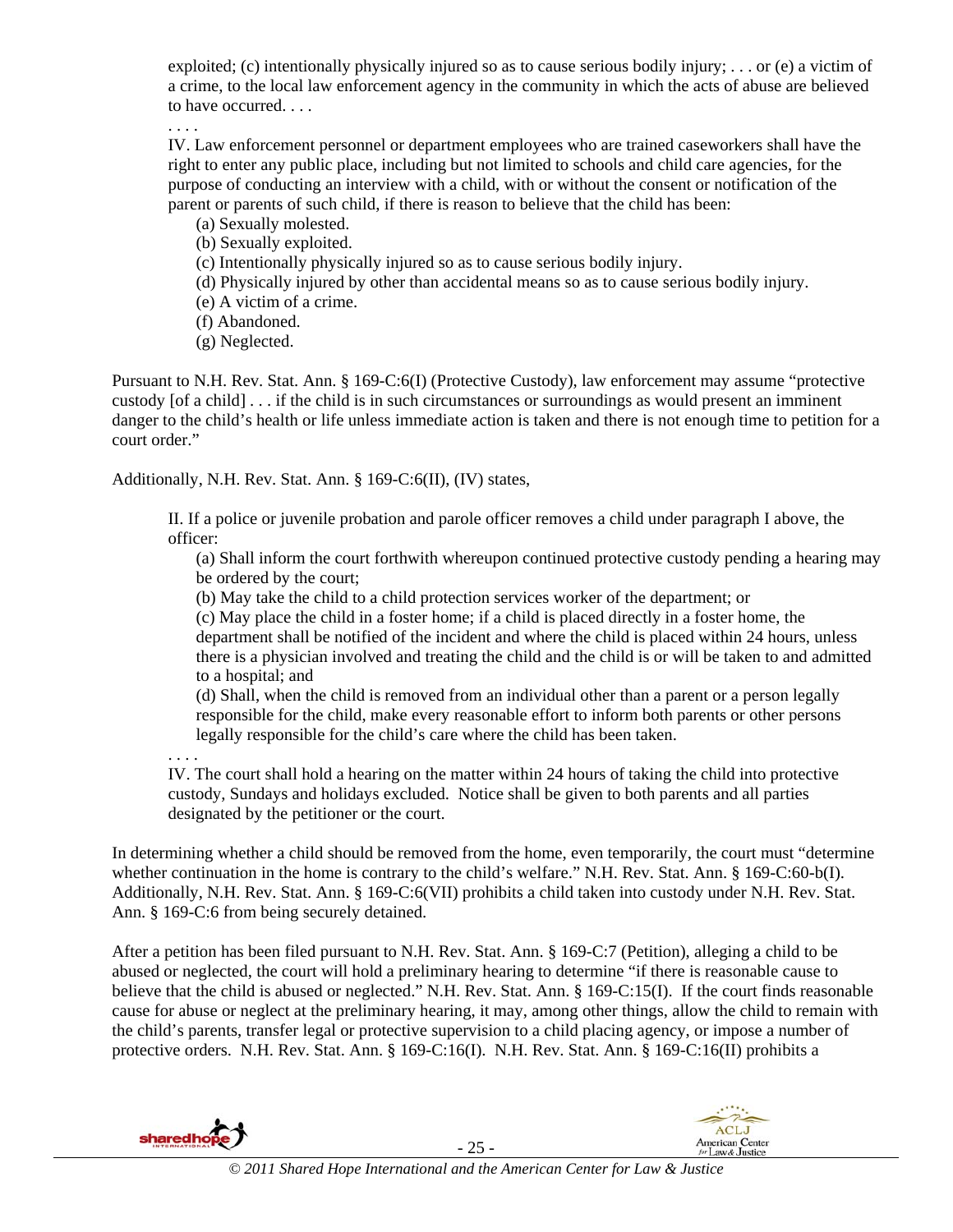exploited; (c) intentionally physically injured so as to cause serious bodily injury; . . . or (e) a victim of a crime, to the local law enforcement agency in the community in which the acts of abuse are believed to have occurred. . . .

. . . .

IV. Law enforcement personnel or department employees who are trained caseworkers shall have the right to enter any public place, including but not limited to schools and child care agencies, for the purpose of conducting an interview with a child, with or without the consent or notification of the parent or parents of such child, if there is reason to believe that the child has been:

- (a) Sexually molested.
- (b) Sexually exploited.
- (c) Intentionally physically injured so as to cause serious bodily injury.
- (d) Physically injured by other than accidental means so as to cause serious bodily injury.
- (e) A victim of a crime.
- (f) Abandoned.
- (g) Neglected.

Pursuant to N.H. Rev. Stat. Ann. § 169-C:6(I) (Protective Custody), law enforcement may assume "protective custody [of a child] . . . if the child is in such circumstances or surroundings as would present an imminent danger to the child's health or life unless immediate action is taken and there is not enough time to petition for a court order."

Additionally, N.H. Rev. Stat. Ann. § 169-C:6(II), (IV) states,

II. If a police or juvenile probation and parole officer removes a child under paragraph I above, the officer:

(a) Shall inform the court forthwith whereupon continued protective custody pending a hearing may be ordered by the court;

(b) May take the child to a child protection services worker of the department; or

(c) May place the child in a foster home; if a child is placed directly in a foster home, the department shall be notified of the incident and where the child is placed within 24 hours, unless there is a physician involved and treating the child and the child is or will be taken to and admitted to a hospital; and

(d) Shall, when the child is removed from an individual other than a parent or a person legally responsible for the child, make every reasonable effort to inform both parents or other persons legally responsible for the child's care where the child has been taken.

. . . .

IV. The court shall hold a hearing on the matter within 24 hours of taking the child into protective custody, Sundays and holidays excluded. Notice shall be given to both parents and all parties designated by the petitioner or the court.

In determining whether a child should be removed from the home, even temporarily, the court must "determine whether continuation in the home is contrary to the child's welfare." N.H. Rev. Stat. Ann. § 169-C:60-b(I). Additionally, N.H. Rev. Stat. Ann. § 169-C:6(VII) prohibits a child taken into custody under N.H. Rev. Stat. Ann. § 169-C:6 from being securely detained.

After a petition has been filed pursuant to N.H. Rev. Stat. Ann. § 169-C:7 (Petition), alleging a child to be abused or neglected, the court will hold a preliminary hearing to determine "if there is reasonable cause to believe that the child is abused or neglected." N.H. Rev. Stat. Ann. § 169-C:15(I). If the court finds reasonable cause for abuse or neglect at the preliminary hearing, it may, among other things, allow the child to remain with the child's parents, transfer legal or protective supervision to a child placing agency, or impose a number of protective orders. N.H. Rev. Stat. Ann. § 169-C:16(I). N.H. Rev. Stat. Ann. § 169-C:16(II) prohibits a

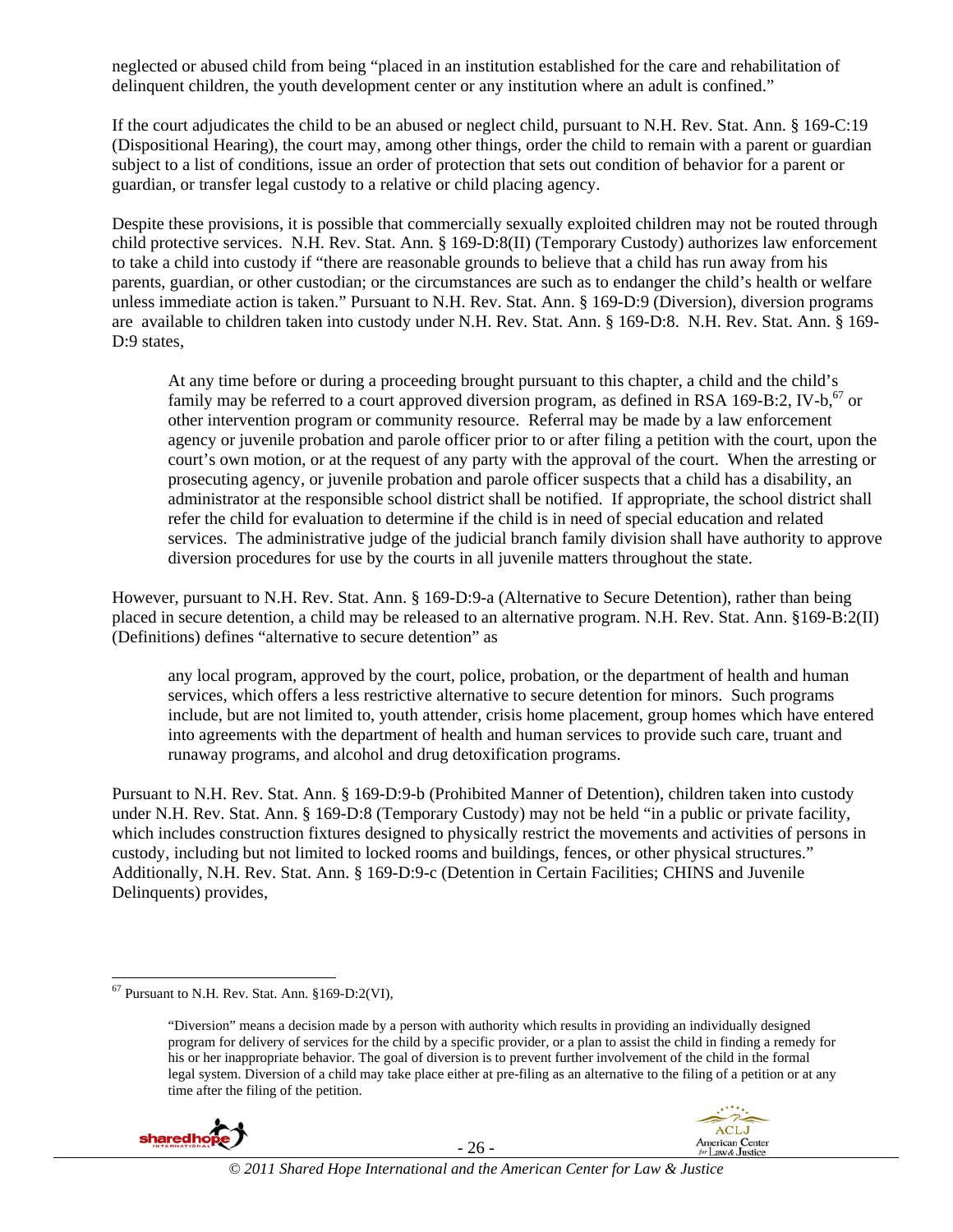neglected or abused child from being "placed in an institution established for the care and rehabilitation of delinquent children, the youth development center or any institution where an adult is confined."

If the court adjudicates the child to be an abused or neglect child, pursuant to N.H. Rev. Stat. Ann. § 169-C:19 (Dispositional Hearing), the court may, among other things, order the child to remain with a parent or guardian subject to a list of conditions, issue an order of protection that sets out condition of behavior for a parent or guardian, or transfer legal custody to a relative or child placing agency.

Despite these provisions, it is possible that commercially sexually exploited children may not be routed through child protective services. N.H. Rev. Stat. Ann. § 169-D:8(II) (Temporary Custody) authorizes law enforcement to take a child into custody if "there are reasonable grounds to believe that a child has run away from his parents, guardian, or other custodian; or the circumstances are such as to endanger the child's health or welfare unless immediate action is taken." Pursuant to N.H. Rev. Stat. Ann. § 169-D:9 (Diversion), diversion programs are available to children taken into custody under N.H. Rev. Stat. Ann. § 169-D:8. N.H. Rev. Stat. Ann. § 169- D:9 states,

At any time before or during a proceeding brought pursuant to this chapter, a child and the child's family may be referred to a court approved diversion program, as defined in RSA 169-B:2, IV-b,  $^{67}$  or other intervention program or community resource. Referral may be made by a law enforcement agency or juvenile probation and parole officer prior to or after filing a petition with the court, upon the court's own motion, or at the request of any party with the approval of the court. When the arresting or prosecuting agency, or juvenile probation and parole officer suspects that a child has a disability, an administrator at the responsible school district shall be notified. If appropriate, the school district shall refer the child for evaluation to determine if the child is in need of special education and related services. The administrative judge of the judicial branch family division shall have authority to approve diversion procedures for use by the courts in all juvenile matters throughout the state.

However, pursuant to N.H. Rev. Stat. Ann. § 169-D:9-a (Alternative to Secure Detention), rather than being placed in secure detention, a child may be released to an alternative program. N.H. Rev. Stat. Ann. §169-B:2(II) (Definitions) defines "alternative to secure detention" as

any local program, approved by the court, police, probation, or the department of health and human services, which offers a less restrictive alternative to secure detention for minors. Such programs include, but are not limited to, youth attender, crisis home placement, group homes which have entered into agreements with the department of health and human services to provide such care, truant and runaway programs, and alcohol and drug detoxification programs.

Pursuant to N.H. Rev. Stat. Ann. § 169-D:9-b (Prohibited Manner of Detention), children taken into custody under N.H. Rev. Stat. Ann. § 169-D:8 (Temporary Custody) may not be held "in a public or private facility, which includes construction fixtures designed to physically restrict the movements and activities of persons in custody, including but not limited to locked rooms and buildings, fences, or other physical structures." Additionally, N.H. Rev. Stat. Ann. § 169-D:9-c (Detention in Certain Facilities; CHINS and Juvenile Delinquents) provides,

<sup>&</sup>quot;Diversion" means a decision made by a person with authority which results in providing an individually designed program for delivery of services for the child by a specific provider, or a plan to assist the child in finding a remedy for his or her inappropriate behavior. The goal of diversion is to prevent further involvement of the child in the formal legal system. Diversion of a child may take place either at pre-filing as an alternative to the filing of a petition or at any time after the filing of the petition.





<sup>1</sup>  $67$  Pursuant to N.H. Rev. Stat. Ann.  $§169-D:2(VI)$ ,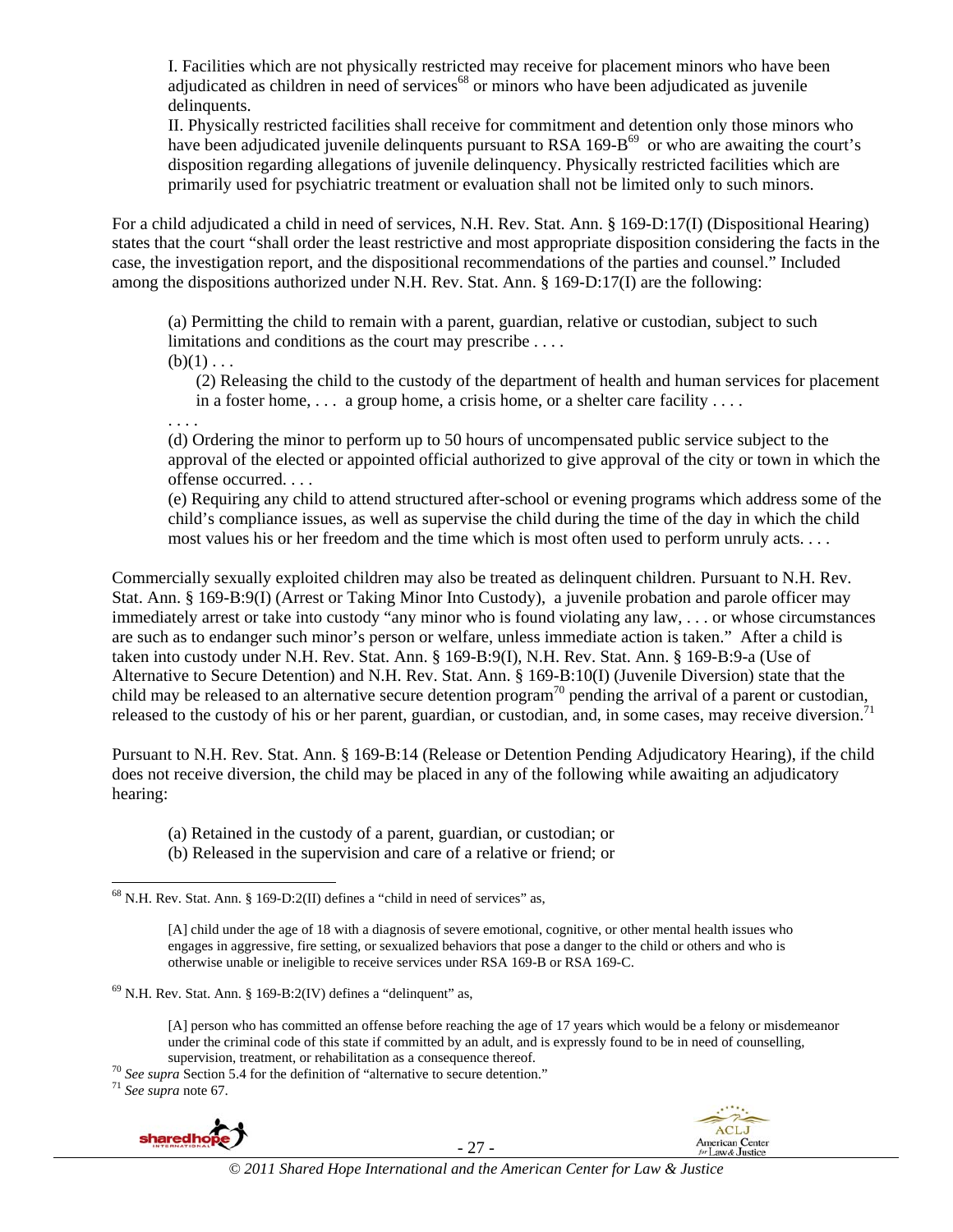I. Facilities which are not physically restricted may receive for placement minors who have been adjudicated as children in need of services<sup> $68$ </sup> or minors who have been adjudicated as juvenile delinquents.

II. Physically restricted facilities shall receive for commitment and detention only those minors who have been adjudicated juvenile delinquents pursuant to RSA 169-B<sup>69</sup> or who are awaiting the court's disposition regarding allegations of juvenile delinquency. Physically restricted facilities which are primarily used for psychiatric treatment or evaluation shall not be limited only to such minors.

For a child adjudicated a child in need of services, N.H. Rev. Stat. Ann. § 169-D:17(I) (Dispositional Hearing) states that the court "shall order the least restrictive and most appropriate disposition considering the facts in the case, the investigation report, and the dispositional recommendations of the parties and counsel." Included among the dispositions authorized under N.H. Rev. Stat. Ann. § 169-D:17(I) are the following:

(a) Permitting the child to remain with a parent, guardian, relative or custodian, subject to such limitations and conditions as the court may prescribe . . . .  $(b)(1) \ldots$ 

(2) Releasing the child to the custody of the department of health and human services for placement in a foster home,  $\dots$  a group home, a crisis home, or a shelter care facility  $\dots$ .

. . . .

(d) Ordering the minor to perform up to 50 hours of uncompensated public service subject to the approval of the elected or appointed official authorized to give approval of the city or town in which the offense occurred. . . .

(e) Requiring any child to attend structured after-school or evening programs which address some of the child's compliance issues, as well as supervise the child during the time of the day in which the child most values his or her freedom and the time which is most often used to perform unruly acts. . . .

Commercially sexually exploited children may also be treated as delinquent children. Pursuant to N.H. Rev. Stat. Ann. § 169-B:9(I) (Arrest or Taking Minor Into Custody), a juvenile probation and parole officer may immediately arrest or take into custody "any minor who is found violating any law, . . . or whose circumstances are such as to endanger such minor's person or welfare, unless immediate action is taken." After a child is taken into custody under N.H. Rev. Stat. Ann. § 169-B:9(I), N.H. Rev. Stat. Ann. § 169-B:9-a (Use of Alternative to Secure Detention) and N.H. Rev. Stat. Ann. § 169-B:10(I) (Juvenile Diversion) state that the child may be released to an alternative secure detention program<sup>70</sup> pending the arrival of a parent or custodian, released to the custody of his or her parent, guardian, or custodian, and, in some cases, may receive diversion.<sup>7</sup>

Pursuant to N.H. Rev. Stat. Ann. § 169-B:14 (Release or Detention Pending Adjudicatory Hearing), if the child does not receive diversion, the child may be placed in any of the following while awaiting an adjudicatory hearing:

(a) Retained in the custody of a parent, guardian, or custodian; or

(b) Released in the supervision and care of a relative or friend; or

[A] child under the age of 18 with a diagnosis of severe emotional, cognitive, or other mental health issues who engages in aggressive, fire setting, or sexualized behaviors that pose a danger to the child or others and who is otherwise unable or ineligible to receive services under RSA 169-B or RSA 169-C.

[A] person who has committed an offense before reaching the age of 17 years which would be a felony or misdemeanor under the criminal code of this state if committed by an adult, and is expressly found to be in need of counselling,

supervision, treatment, or rehabilitation as a consequence thereof. 70 *See supra* Section 5.4 for the definition of "alternative to secure detention." 71 *See supra* note 67.



- 27 -



l  $68$  N.H. Rev. Stat. Ann. § 169-D:2(II) defines a "child in need of services" as,

 $69$  N.H. Rev. Stat. Ann. § 169-B:2(IV) defines a "delinquent" as,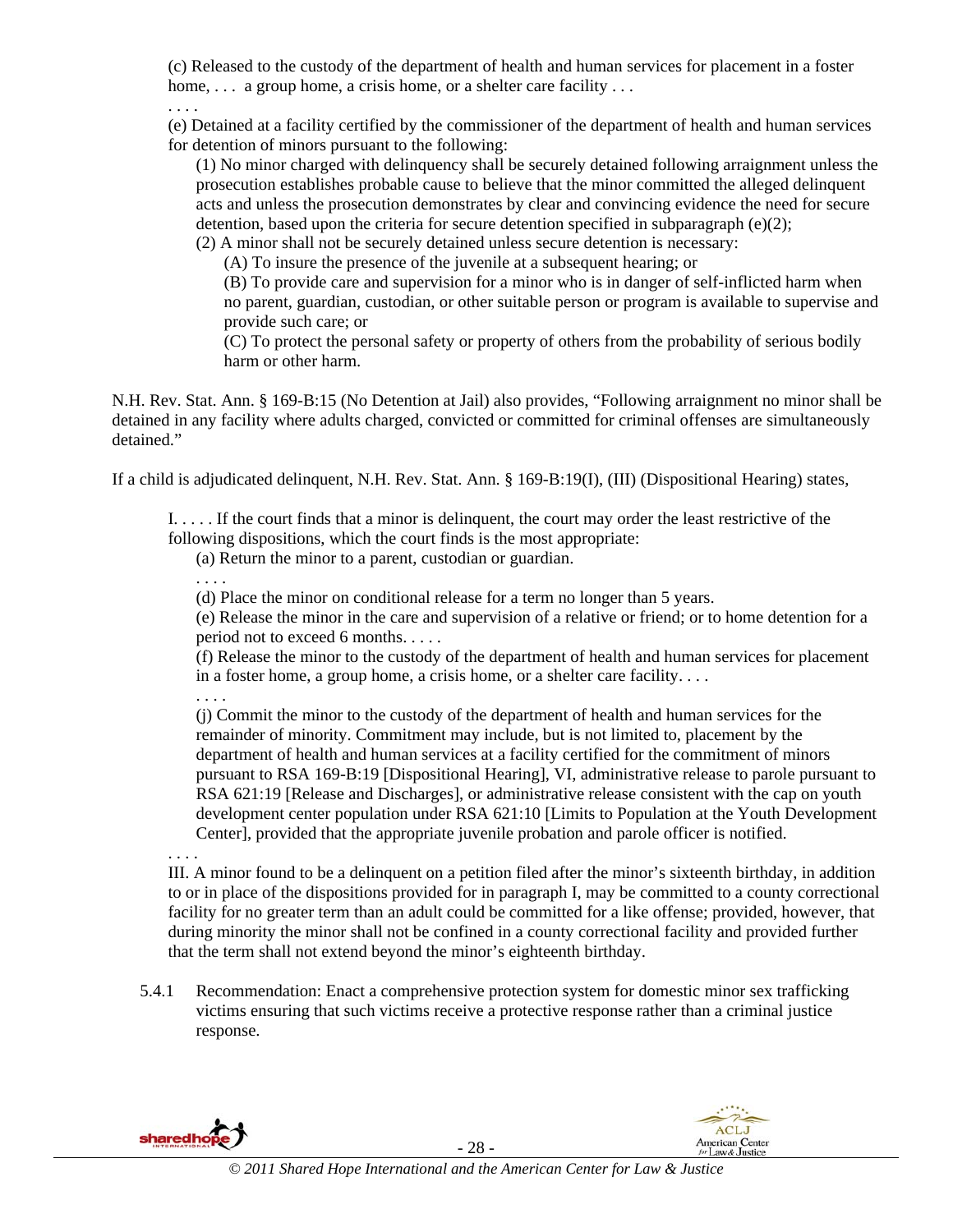(c) Released to the custody of the department of health and human services for placement in a foster home, ... a group home, a crisis home, or a shelter care facility ...

. . . .

(e) Detained at a facility certified by the commissioner of the department of health and human services for detention of minors pursuant to the following:

(1) No minor charged with delinquency shall be securely detained following arraignment unless the prosecution establishes probable cause to believe that the minor committed the alleged delinquent acts and unless the prosecution demonstrates by clear and convincing evidence the need for secure detention, based upon the criteria for secure detention specified in subparagraph (e)(2);

(2) A minor shall not be securely detained unless secure detention is necessary:

(A) To insure the presence of the juvenile at a subsequent hearing; or

(B) To provide care and supervision for a minor who is in danger of self-inflicted harm when no parent, guardian, custodian, or other suitable person or program is available to supervise and provide such care; or

(C) To protect the personal safety or property of others from the probability of serious bodily harm or other harm.

N.H. Rev. Stat. Ann. § 169-B:15 (No Detention at Jail) also provides, "Following arraignment no minor shall be detained in any facility where adults charged, convicted or committed for criminal offenses are simultaneously detained."

If a child is adjudicated delinquent, N.H. Rev. Stat. Ann. § 169-B:19(I), (III) (Dispositional Hearing) states,

I. . . . . If the court finds that a minor is delinquent, the court may order the least restrictive of the following dispositions, which the court finds is the most appropriate:

(a) Return the minor to a parent, custodian or guardian.

. . . .

(d) Place the minor on conditional release for a term no longer than 5 years.

(e) Release the minor in the care and supervision of a relative or friend; or to home detention for a period not to exceed 6 months. . . . .

(f) Release the minor to the custody of the department of health and human services for placement in a foster home, a group home, a crisis home, or a shelter care facility. . . .

. . . .

(j) Commit the minor to the custody of the department of health and human services for the remainder of minority. Commitment may include, but is not limited to, placement by the department of health and human services at a facility certified for the commitment of minors pursuant to RSA 169-B:19 [Dispositional Hearing], VI, administrative release to parole pursuant to RSA 621:19 [Release and Discharges], or administrative release consistent with the cap on youth development center population under RSA 621:10 [Limits to Population at the Youth Development Center], provided that the appropriate juvenile probation and parole officer is notified.

. . . .

III. A minor found to be a delinquent on a petition filed after the minor's sixteenth birthday, in addition to or in place of the dispositions provided for in paragraph I, may be committed to a county correctional facility for no greater term than an adult could be committed for a like offense; provided, however, that during minority the minor shall not be confined in a county correctional facility and provided further that the term shall not extend beyond the minor's eighteenth birthday.

5.4.1 Recommendation: Enact a comprehensive protection system for domestic minor sex trafficking victims ensuring that such victims receive a protective response rather than a criminal justice response.

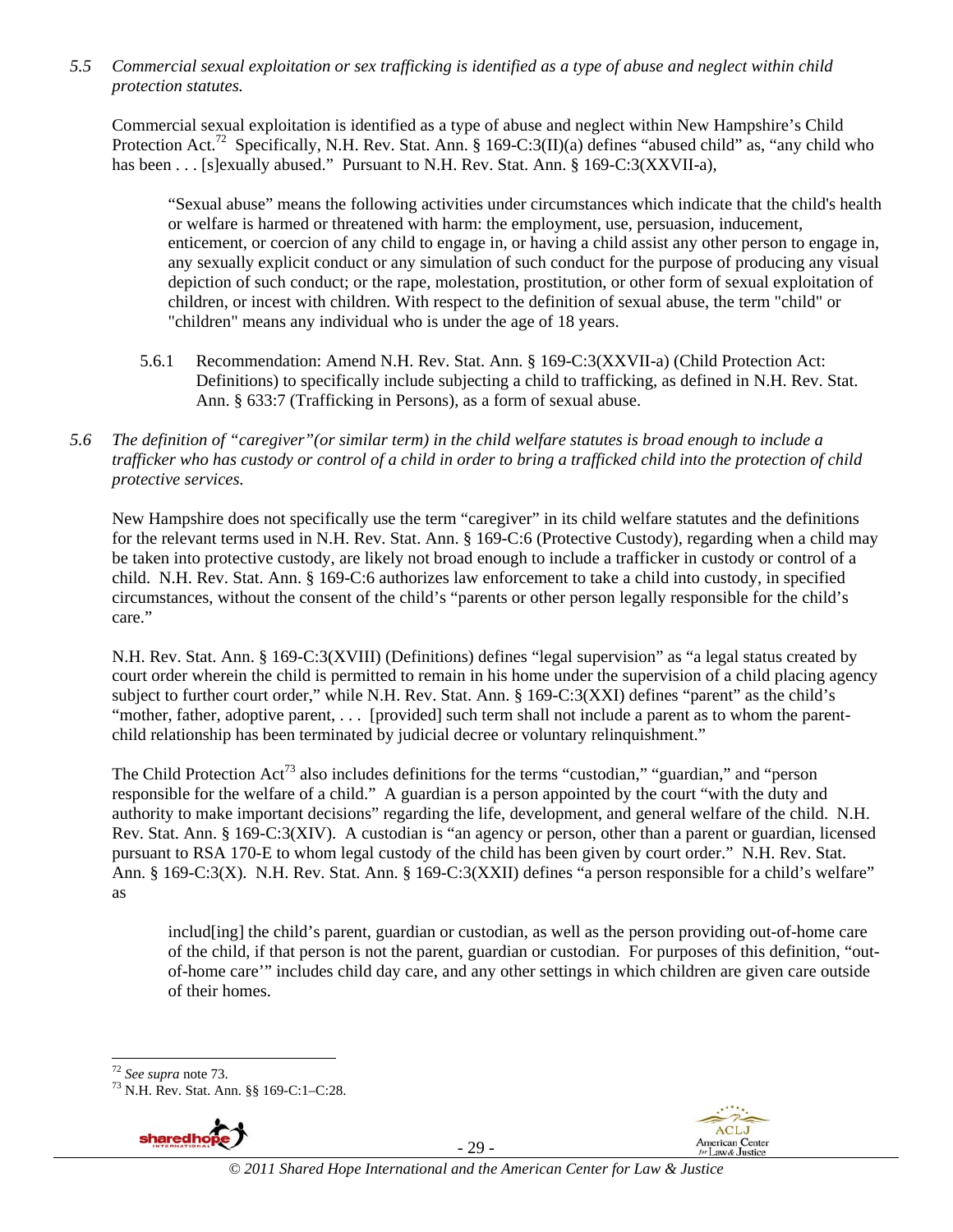*5.5 Commercial sexual exploitation or sex trafficking is identified as a type of abuse and neglect within child protection statutes.* 

Commercial sexual exploitation is identified as a type of abuse and neglect within New Hampshire's Child Protection Act.<sup>72</sup> Specifically, N.H. Rev. Stat. Ann. § 169-C:3(II)(a) defines "abused child" as, "any child who has been . . . [s]exually abused." Pursuant to N.H. Rev. Stat. Ann. § 169-C:3(XXVII-a),

"Sexual abuse" means the following activities under circumstances which indicate that the child's health or welfare is harmed or threatened with harm: the employment, use, persuasion, inducement, enticement, or coercion of any child to engage in, or having a child assist any other person to engage in, any sexually explicit conduct or any simulation of such conduct for the purpose of producing any visual depiction of such conduct; or the rape, molestation, prostitution, or other form of sexual exploitation of children, or incest with children. With respect to the definition of sexual abuse, the term "child" or "children" means any individual who is under the age of 18 years.

- 5.6.1 Recommendation: Amend N.H. Rev. Stat. Ann. § 169-C:3(XXVII-a) (Child Protection Act: Definitions) to specifically include subjecting a child to trafficking, as defined in N.H. Rev. Stat. Ann. § 633:7 (Trafficking in Persons), as a form of sexual abuse.
- *5.6 The definition of "caregiver"(or similar term) in the child welfare statutes is broad enough to include a trafficker who has custody or control of a child in order to bring a trafficked child into the protection of child protective services.*

New Hampshire does not specifically use the term "caregiver" in its child welfare statutes and the definitions for the relevant terms used in N.H. Rev. Stat. Ann. § 169-C:6 (Protective Custody), regarding when a child may be taken into protective custody, are likely not broad enough to include a trafficker in custody or control of a child. N.H. Rev. Stat. Ann. § 169-C:6 authorizes law enforcement to take a child into custody, in specified circumstances, without the consent of the child's "parents or other person legally responsible for the child's care."

N.H. Rev. Stat. Ann. § 169-C:3(XVIII) (Definitions) defines "legal supervision" as "a legal status created by court order wherein the child is permitted to remain in his home under the supervision of a child placing agency subject to further court order," while N.H. Rev. Stat. Ann. § 169-C:3(XXI) defines "parent" as the child's "mother, father, adoptive parent, ... [provided] such term shall not include a parent as to whom the parentchild relationship has been terminated by judicial decree or voluntary relinquishment."

The Child Protection  $Act^{73}$  also includes definitions for the terms "custodian," "guardian," and "person responsible for the welfare of a child." A guardian is a person appointed by the court "with the duty and authority to make important decisions" regarding the life, development, and general welfare of the child. N.H. Rev. Stat. Ann. § 169-C:3(XIV). A custodian is "an agency or person, other than a parent or guardian, licensed pursuant to RSA 170-E to whom legal custody of the child has been given by court order." N.H. Rev. Stat. Ann. § 169-C:3(X). N.H. Rev. Stat. Ann. § 169-C:3(XXII) defines "a person responsible for a child's welfare" as

includ[ing] the child's parent, guardian or custodian, as well as the person providing out-of-home care of the child, if that person is not the parent, guardian or custodian. For purposes of this definition, "outof-home care'" includes child day care, and any other settings in which children are given care outside of their homes.

<sup>72</sup> *See supra* note 73. 73 N.H. Rev. Stat. Ann. §§ 169-C:1–C:28.



- 29 -



 $72$  See supra note 73.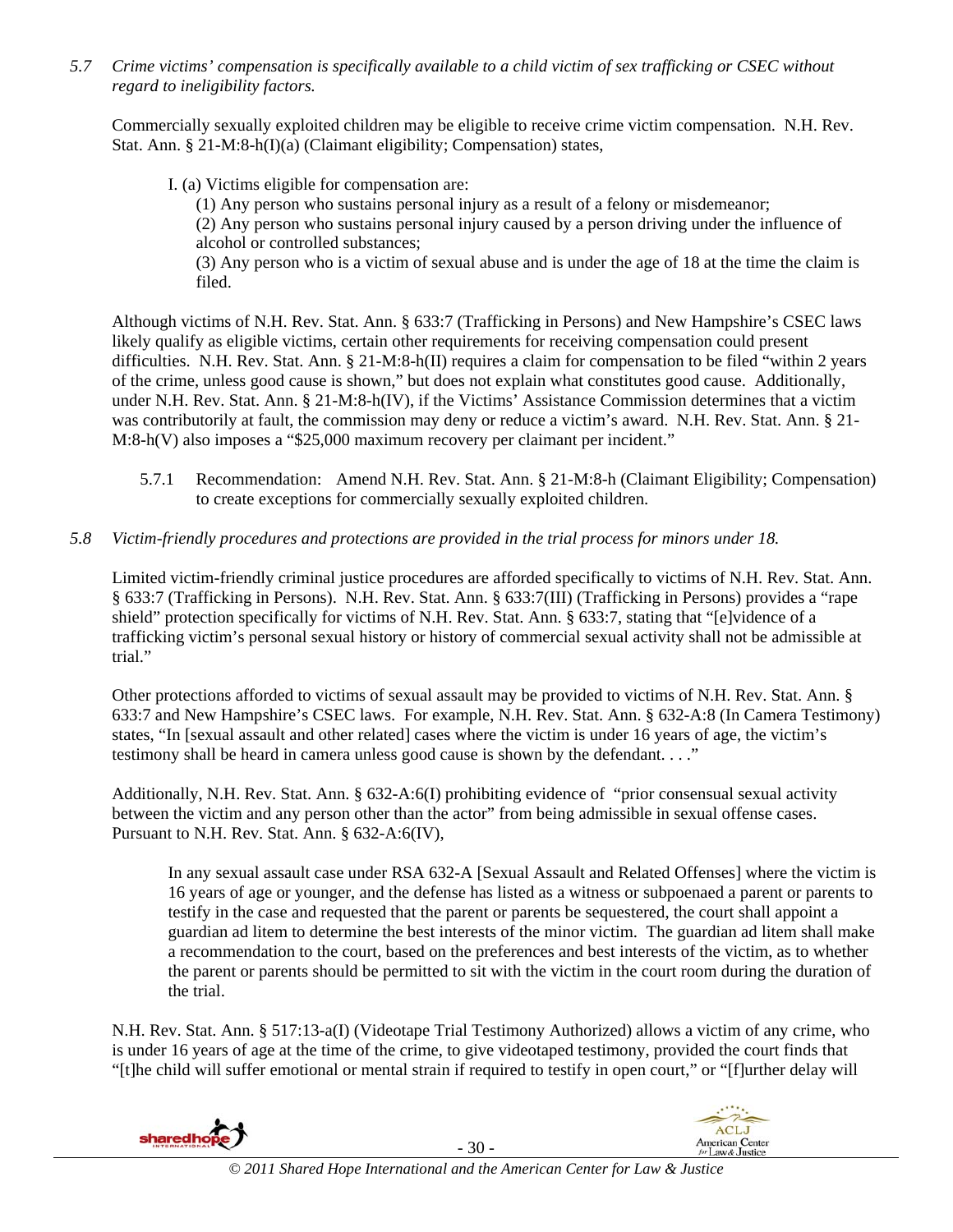*5.7 Crime victims' compensation is specifically available to a child victim of sex trafficking or CSEC without regard to ineligibility factors.* 

Commercially sexually exploited children may be eligible to receive crime victim compensation. N.H. Rev. Stat. Ann. § 21-M:8-h(I)(a) (Claimant eligibility; Compensation) states,

I. (a) Victims eligible for compensation are:

(1) Any person who sustains personal injury as a result of a felony or misdemeanor;

(2) Any person who sustains personal injury caused by a person driving under the influence of alcohol or controlled substances;

(3) Any person who is a victim of sexual abuse and is under the age of 18 at the time the claim is filed.

Although victims of N.H. Rev. Stat. Ann. § 633:7 (Trafficking in Persons) and New Hampshire's CSEC laws likely qualify as eligible victims, certain other requirements for receiving compensation could present difficulties. N.H. Rev. Stat. Ann. § 21-M:8-h(II) requires a claim for compensation to be filed "within 2 years of the crime, unless good cause is shown," but does not explain what constitutes good cause. Additionally, under N.H. Rev. Stat. Ann. § 21-M:8-h(IV), if the Victims' Assistance Commission determines that a victim was contributorily at fault, the commission may deny or reduce a victim's award. N.H. Rev. Stat. Ann. § 21- M:8-h(V) also imposes a "\$25,000 maximum recovery per claimant per incident."

- 5.7.1 Recommendation: Amend N.H. Rev. Stat. Ann. § 21-M:8-h (Claimant Eligibility; Compensation) to create exceptions for commercially sexually exploited children.
- *5.8 Victim-friendly procedures and protections are provided in the trial process for minors under 18.*

Limited victim-friendly criminal justice procedures are afforded specifically to victims of N.H. Rev. Stat. Ann. § 633:7 (Trafficking in Persons). N.H. Rev. Stat. Ann. § 633:7(III) (Trafficking in Persons) provides a "rape shield" protection specifically for victims of N.H. Rev. Stat. Ann. § 633:7, stating that "[e]vidence of a trafficking victim's personal sexual history or history of commercial sexual activity shall not be admissible at trial."

Other protections afforded to victims of sexual assault may be provided to victims of N.H. Rev. Stat. Ann. § 633:7 and New Hampshire's CSEC laws. For example, N.H. Rev. Stat. Ann. § 632-A:8 (In Camera Testimony) states, "In [sexual assault and other related] cases where the victim is under 16 years of age, the victim's testimony shall be heard in camera unless good cause is shown by the defendant.  $\dots$ ."

Additionally, N.H. Rev. Stat. Ann. § 632-A:6(I) prohibiting evidence of "prior consensual sexual activity between the victim and any person other than the actor" from being admissible in sexual offense cases. Pursuant to N.H. Rev. Stat. Ann. § 632-A:6(IV),

In any sexual assault case under RSA 632-A [Sexual Assault and Related Offenses] where the victim is 16 years of age or younger, and the defense has listed as a witness or subpoenaed a parent or parents to testify in the case and requested that the parent or parents be sequestered, the court shall appoint a guardian ad litem to determine the best interests of the minor victim. The guardian ad litem shall make a recommendation to the court, based on the preferences and best interests of the victim, as to whether the parent or parents should be permitted to sit with the victim in the court room during the duration of the trial.

N.H. Rev. Stat. Ann. § 517:13-a(I) (Videotape Trial Testimony Authorized) allows a victim of any crime, who is under 16 years of age at the time of the crime, to give videotaped testimony, provided the court finds that "[t]he child will suffer emotional or mental strain if required to testify in open court," or "[f]urther delay will

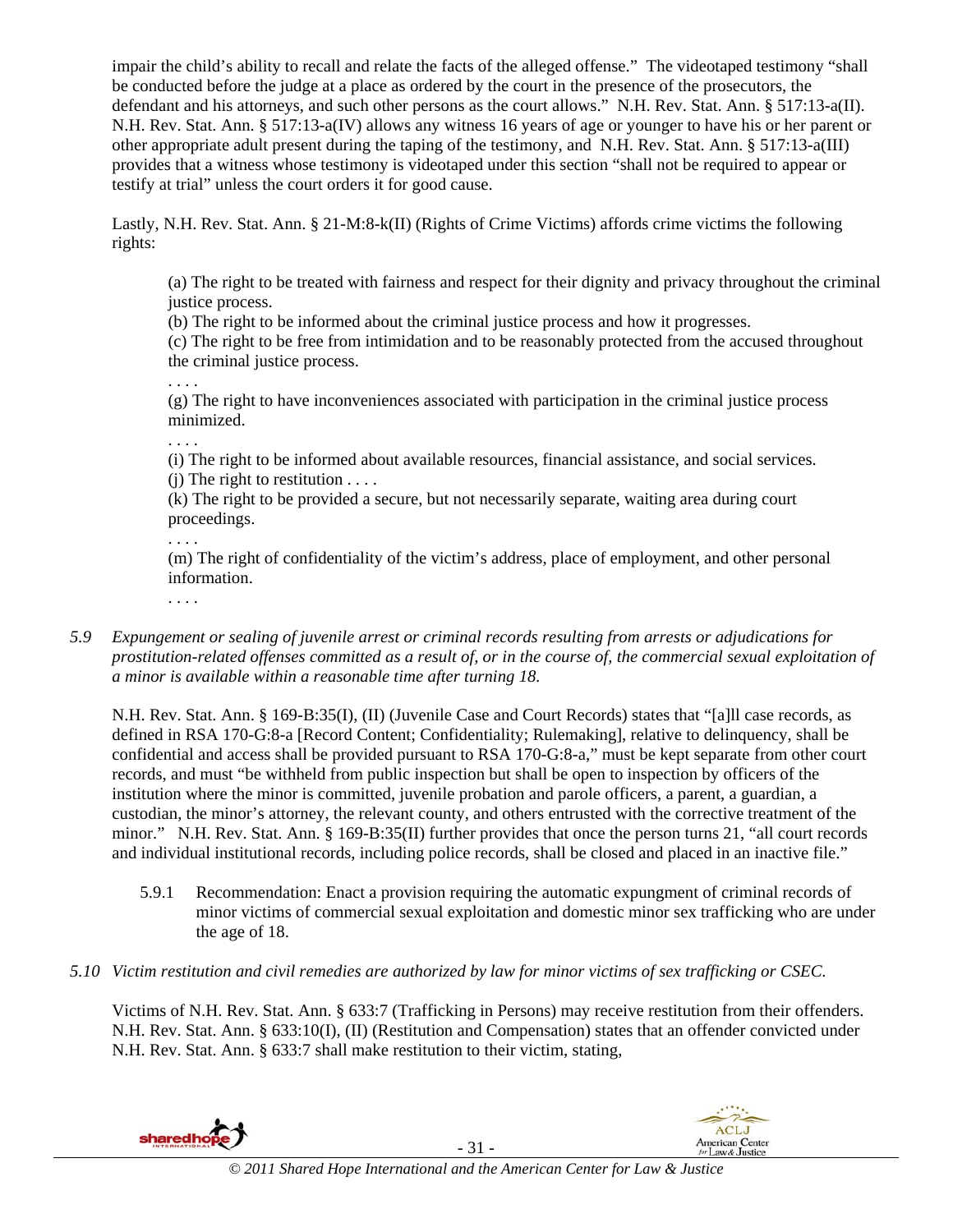impair the child's ability to recall and relate the facts of the alleged offense." The videotaped testimony "shall be conducted before the judge at a place as ordered by the court in the presence of the prosecutors, the defendant and his attorneys, and such other persons as the court allows." N.H. Rev. Stat. Ann. § 517:13-a(II). N.H. Rev. Stat. Ann. § 517:13-a(IV) allows any witness 16 years of age or younger to have his or her parent or other appropriate adult present during the taping of the testimony, and N.H. Rev. Stat. Ann. § 517:13-a(III) provides that a witness whose testimony is videotaped under this section "shall not be required to appear or testify at trial" unless the court orders it for good cause.

Lastly, N.H. Rev. Stat. Ann. § 21-M:8-k(II) (Rights of Crime Victims) affords crime victims the following rights:

(a) The right to be treated with fairness and respect for their dignity and privacy throughout the criminal justice process.

(b) The right to be informed about the criminal justice process and how it progresses.

(c) The right to be free from intimidation and to be reasonably protected from the accused throughout the criminal justice process.

. . . .

(g) The right to have inconveniences associated with participation in the criminal justice process minimized.

. . . .

(i) The right to be informed about available resources, financial assistance, and social services. (i) The right to restitution  $\dots$ .

(k) The right to be provided a secure, but not necessarily separate, waiting area during court proceedings.

. . . .

(m) The right of confidentiality of the victim's address, place of employment, and other personal information.

. . . .

*5.9 Expungement or sealing of juvenile arrest or criminal records resulting from arrests or adjudications for prostitution-related offenses committed as a result of, or in the course of, the commercial sexual exploitation of a minor is available within a reasonable time after turning 18.* 

N.H. Rev. Stat. Ann. § 169-B:35(I), (II) (Juvenile Case and Court Records) states that "[a]ll case records, as defined in RSA 170-G:8-a [Record Content; Confidentiality; Rulemaking], relative to delinquency, shall be confidential and access shall be provided pursuant to RSA 170-G:8-a," must be kept separate from other court records, and must "be withheld from public inspection but shall be open to inspection by officers of the institution where the minor is committed, juvenile probation and parole officers, a parent, a guardian, a custodian, the minor's attorney, the relevant county, and others entrusted with the corrective treatment of the minor." N.H. Rev. Stat. Ann. § 169-B:35(II) further provides that once the person turns 21, "all court records and individual institutional records, including police records, shall be closed and placed in an inactive file."

- 5.9.1 Recommendation: Enact a provision requiring the automatic expungment of criminal records of minor victims of commercial sexual exploitation and domestic minor sex trafficking who are under the age of 18.
- *5.10 Victim restitution and civil remedies are authorized by law for minor victims of sex trafficking or CSEC.*

Victims of N.H. Rev. Stat. Ann. § 633:7 (Trafficking in Persons) may receive restitution from their offenders. N.H. Rev. Stat. Ann. § 633:10(I), (II) (Restitution and Compensation) states that an offender convicted under N.H. Rev. Stat. Ann. § 633:7 shall make restitution to their victim, stating,



**ACLJ** 

**American Center**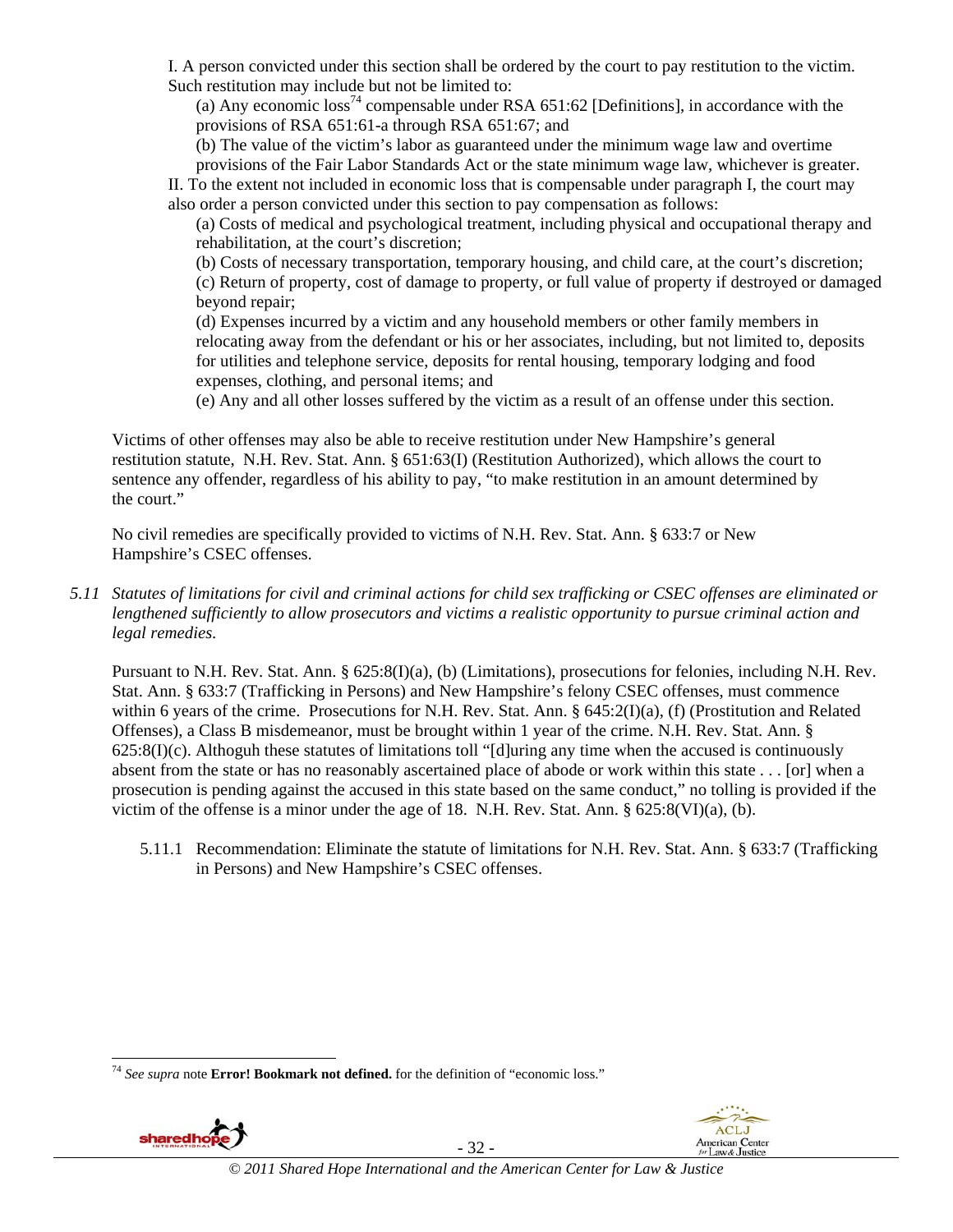I. A person convicted under this section shall be ordered by the court to pay restitution to the victim. Such restitution may include but not be limited to:

(a) Any economic  $\cos^{74}$  compensable under RSA 651:62 [Definitions], in accordance with the provisions of RSA 651:61-a through RSA 651:67; and

(b) The value of the victim's labor as guaranteed under the minimum wage law and overtime provisions of the Fair Labor Standards Act or the state minimum wage law, whichever is greater.

II. To the extent not included in economic loss that is compensable under paragraph I, the court may also order a person convicted under this section to pay compensation as follows:

(a) Costs of medical and psychological treatment, including physical and occupational therapy and rehabilitation, at the court's discretion;

(b) Costs of necessary transportation, temporary housing, and child care, at the court's discretion; (c) Return of property, cost of damage to property, or full value of property if destroyed or damaged beyond repair;

(d) Expenses incurred by a victim and any household members or other family members in relocating away from the defendant or his or her associates, including, but not limited to, deposits for utilities and telephone service, deposits for rental housing, temporary lodging and food expenses, clothing, and personal items; and

(e) Any and all other losses suffered by the victim as a result of an offense under this section.

Victims of other offenses may also be able to receive restitution under New Hampshire's general restitution statute, N.H. Rev. Stat. Ann. § 651:63(I) (Restitution Authorized), which allows the court to sentence any offender, regardless of his ability to pay, "to make restitution in an amount determined by the court."

No civil remedies are specifically provided to victims of N.H. Rev. Stat. Ann. § 633:7 or New Hampshire's CSEC offenses.

*5.11 Statutes of limitations for civil and criminal actions for child sex trafficking or CSEC offenses are eliminated or lengthened sufficiently to allow prosecutors and victims a realistic opportunity to pursue criminal action and legal remedies.* 

Pursuant to N.H. Rev. Stat. Ann. § 625:8(I)(a), (b) (Limitations), prosecutions for felonies, including N.H. Rev. Stat. Ann. § 633:7 (Trafficking in Persons) and New Hampshire's felony CSEC offenses, must commence within 6 years of the crime. Prosecutions for N.H. Rev. Stat. Ann. § 645:2(I)(a), (f) (Prostitution and Related Offenses), a Class B misdemeanor, must be brought within 1 year of the crime. N.H. Rev. Stat. Ann. §  $625:8(I)(c)$ . Althoguh these statutes of limitations toll "[d]uring any time when the accused is continuously absent from the state or has no reasonably ascertained place of abode or work within this state . . . [or] when a prosecution is pending against the accused in this state based on the same conduct," no tolling is provided if the victim of the offense is a minor under the age of 18. N.H. Rev. Stat. Ann. § 625:8(VI)(a), (b).

5.11.1 Recommendation: Eliminate the statute of limitations for N.H. Rev. Stat. Ann. § 633:7 (Trafficking in Persons) and New Hampshire's CSEC offenses.

<sup>74</sup> *See supra* note **Error! Bookmark not defined.** for the definition of "economic loss."



1

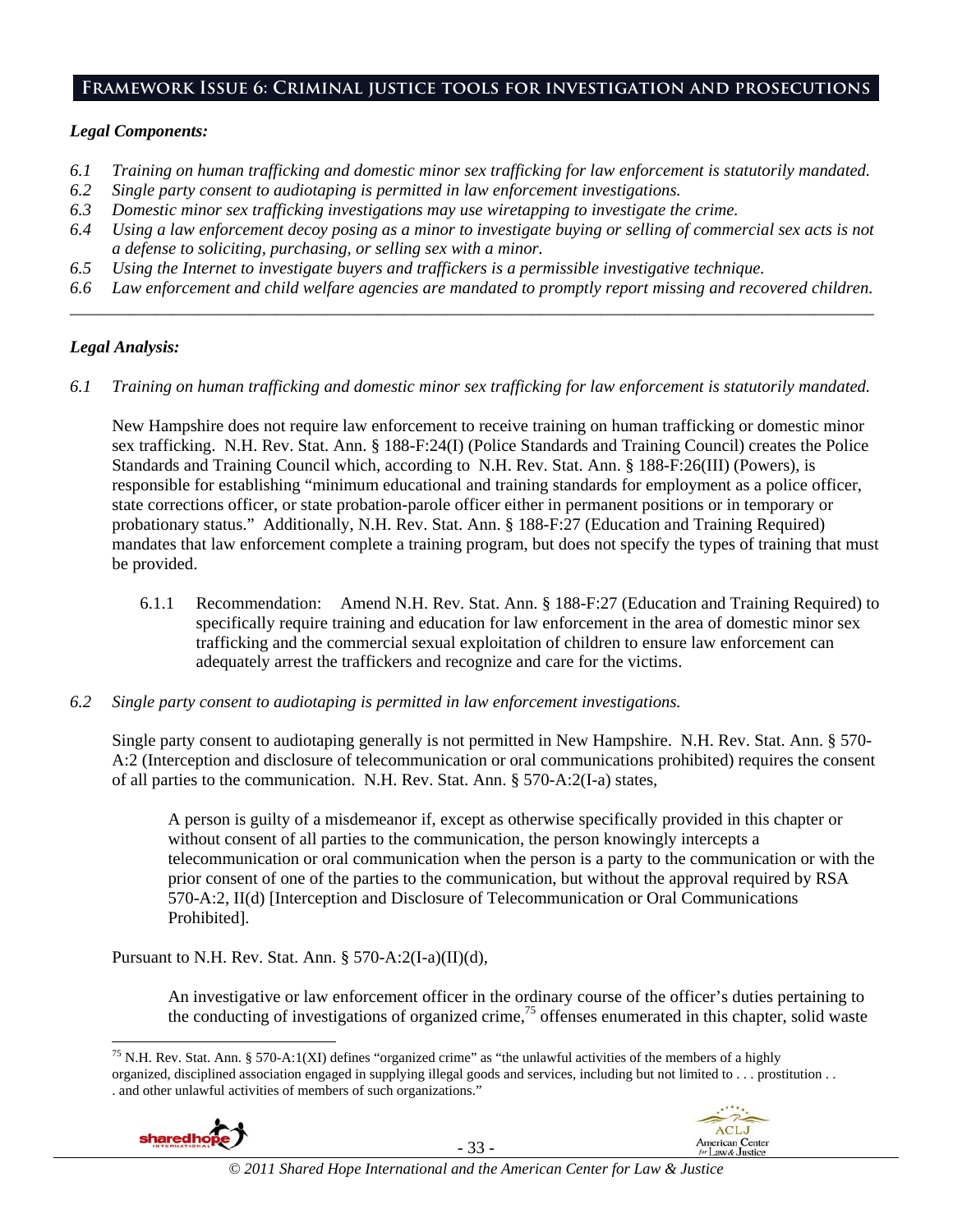### **Framework Issue 6: Criminal justice tools for investigation and prosecutions**

### *Legal Components:*

- *6.1 Training on human trafficking and domestic minor sex trafficking for law enforcement is statutorily mandated.*
- *6.2 Single party consent to audiotaping is permitted in law enforcement investigations.*
- *6.3 Domestic minor sex trafficking investigations may use wiretapping to investigate the crime.*
- *6.4 Using a law enforcement decoy posing as a minor to investigate buying or selling of commercial sex acts is not a defense to soliciting, purchasing, or selling sex with a minor.*
- *6.5 Using the Internet to investigate buyers and traffickers is a permissible investigative technique.*
- *6.6 Law enforcement and child welfare agencies are mandated to promptly report missing and recovered children. \_\_\_\_\_\_\_\_\_\_\_\_\_\_\_\_\_\_\_\_\_\_\_\_\_\_\_\_\_\_\_\_\_\_\_\_\_\_\_\_\_\_\_\_\_\_\_\_\_\_\_\_\_\_\_\_\_\_\_\_\_\_\_\_\_\_\_\_\_\_\_\_\_\_\_\_\_\_\_\_\_\_\_\_\_\_\_\_\_\_\_\_\_\_*

### *Legal Analysis:*

*6.1 Training on human trafficking and domestic minor sex trafficking for law enforcement is statutorily mandated.*

New Hampshire does not require law enforcement to receive training on human trafficking or domestic minor sex trafficking. N.H. Rev. Stat. Ann. § 188-F:24(I) (Police Standards and Training Council) creates the Police Standards and Training Council which, according to N.H. Rev. Stat. Ann. § 188-F:26(III) (Powers), is responsible for establishing "minimum educational and training standards for employment as a police officer, state corrections officer, or state probation-parole officer either in permanent positions or in temporary or probationary status." Additionally, N.H. Rev. Stat. Ann. § 188-F:27 (Education and Training Required) mandates that law enforcement complete a training program, but does not specify the types of training that must be provided.

- 6.1.1 Recommendation: Amend N.H. Rev. Stat. Ann. § 188-F:27 (Education and Training Required) to specifically require training and education for law enforcement in the area of domestic minor sex trafficking and the commercial sexual exploitation of children to ensure law enforcement can adequately arrest the traffickers and recognize and care for the victims.
- *6.2 Single party consent to audiotaping is permitted in law enforcement investigations.*

Single party consent to audiotaping generally is not permitted in New Hampshire. N.H. Rev. Stat. Ann. § 570- A:2 (Interception and disclosure of telecommunication or oral communications prohibited) requires the consent of all parties to the communication. N.H. Rev. Stat. Ann. § 570-A:2(I-a) states,

A person is guilty of a misdemeanor if, except as otherwise specifically provided in this chapter or without consent of all parties to the communication, the person knowingly intercepts a telecommunication or oral communication when the person is a party to the communication or with the prior consent of one of the parties to the communication, but without the approval required by RSA 570-A:2, II(d) [Interception and Disclosure of Telecommunication or Oral Communications Prohibited].

Pursuant to N.H. Rev. Stat. Ann.  $\S 570-A:2(I-a)(II)(d)$ ,

An investigative or law enforcement officer in the ordinary course of the officer's duties pertaining to the conducting of investigations of organized crime,<sup>75</sup> offenses enumerated in this chapter, solid waste

l <sup>75</sup> N.H. Rev. Stat. Ann. § 570-A:1(XI) defines "organized crime" as "the unlawful activities of the members of a highly organized, disciplined association engaged in supplying illegal goods and services, including but not limited to . . . prostitution . . . and other unlawful activities of members of such organizations."



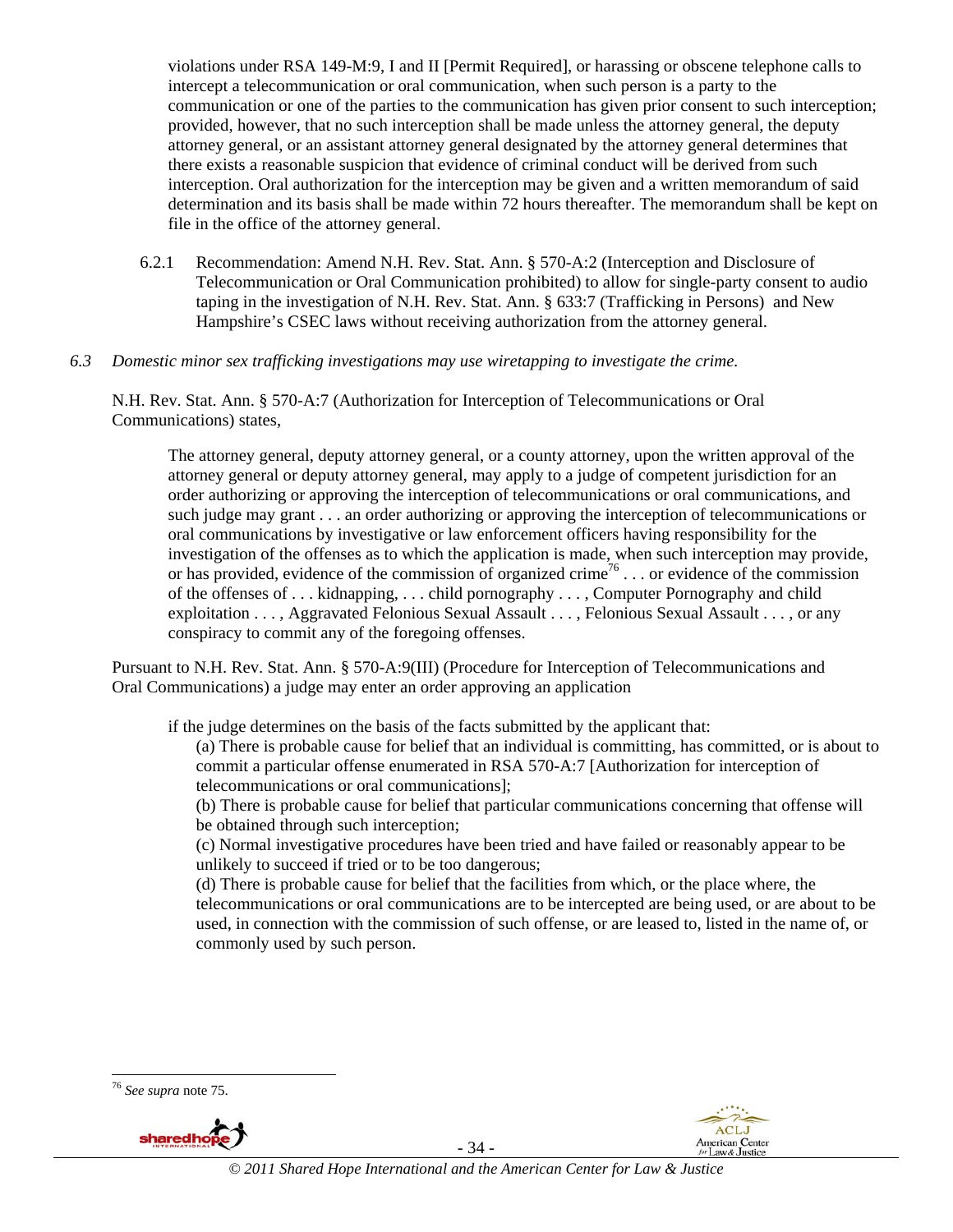violations under RSA 149-M:9, I and II [Permit Required], or harassing or obscene telephone calls to intercept a telecommunication or oral communication, when such person is a party to the communication or one of the parties to the communication has given prior consent to such interception; provided, however, that no such interception shall be made unless the attorney general, the deputy attorney general, or an assistant attorney general designated by the attorney general determines that there exists a reasonable suspicion that evidence of criminal conduct will be derived from such interception. Oral authorization for the interception may be given and a written memorandum of said determination and its basis shall be made within 72 hours thereafter. The memorandum shall be kept on file in the office of the attorney general.

6.2.1 Recommendation: Amend N.H. Rev. Stat. Ann. § 570-A:2 (Interception and Disclosure of Telecommunication or Oral Communication prohibited) to allow for single-party consent to audio taping in the investigation of N.H. Rev. Stat. Ann. § 633:7 (Trafficking in Persons) and New Hampshire's CSEC laws without receiving authorization from the attorney general.

### *6.3 Domestic minor sex trafficking investigations may use wiretapping to investigate the crime.*

N.H. Rev. Stat. Ann. § 570-A:7 (Authorization for Interception of Telecommunications or Oral Communications) states,

The attorney general, deputy attorney general, or a county attorney, upon the written approval of the attorney general or deputy attorney general, may apply to a judge of competent jurisdiction for an order authorizing or approving the interception of telecommunications or oral communications, and such judge may grant . . . an order authorizing or approving the interception of telecommunications or oral communications by investigative or law enforcement officers having responsibility for the investigation of the offenses as to which the application is made, when such interception may provide, or has provided, evidence of the commission of organized crime<sup>76</sup> . . . or evidence of the commission of the offenses of . . . kidnapping, . . . child pornography . . . , Computer Pornography and child exploitation . . . , Aggravated Felonious Sexual Assault . . . , Felonious Sexual Assault . . . , or any conspiracy to commit any of the foregoing offenses.

Pursuant to N.H. Rev. Stat. Ann. § 570-A:9(III) (Procedure for Interception of Telecommunications and Oral Communications) a judge may enter an order approving an application

if the judge determines on the basis of the facts submitted by the applicant that:

(a) There is probable cause for belief that an individual is committing, has committed, or is about to commit a particular offense enumerated in RSA 570-A:7 [Authorization for interception of telecommunications or oral communications];

(b) There is probable cause for belief that particular communications concerning that offense will be obtained through such interception;

(c) Normal investigative procedures have been tried and have failed or reasonably appear to be unlikely to succeed if tried or to be too dangerous;

(d) There is probable cause for belief that the facilities from which, or the place where, the telecommunications or oral communications are to be intercepted are being used, or are about to be used, in connection with the commission of such offense, or are leased to, listed in the name of, or commonly used by such person.



1



- 34 -

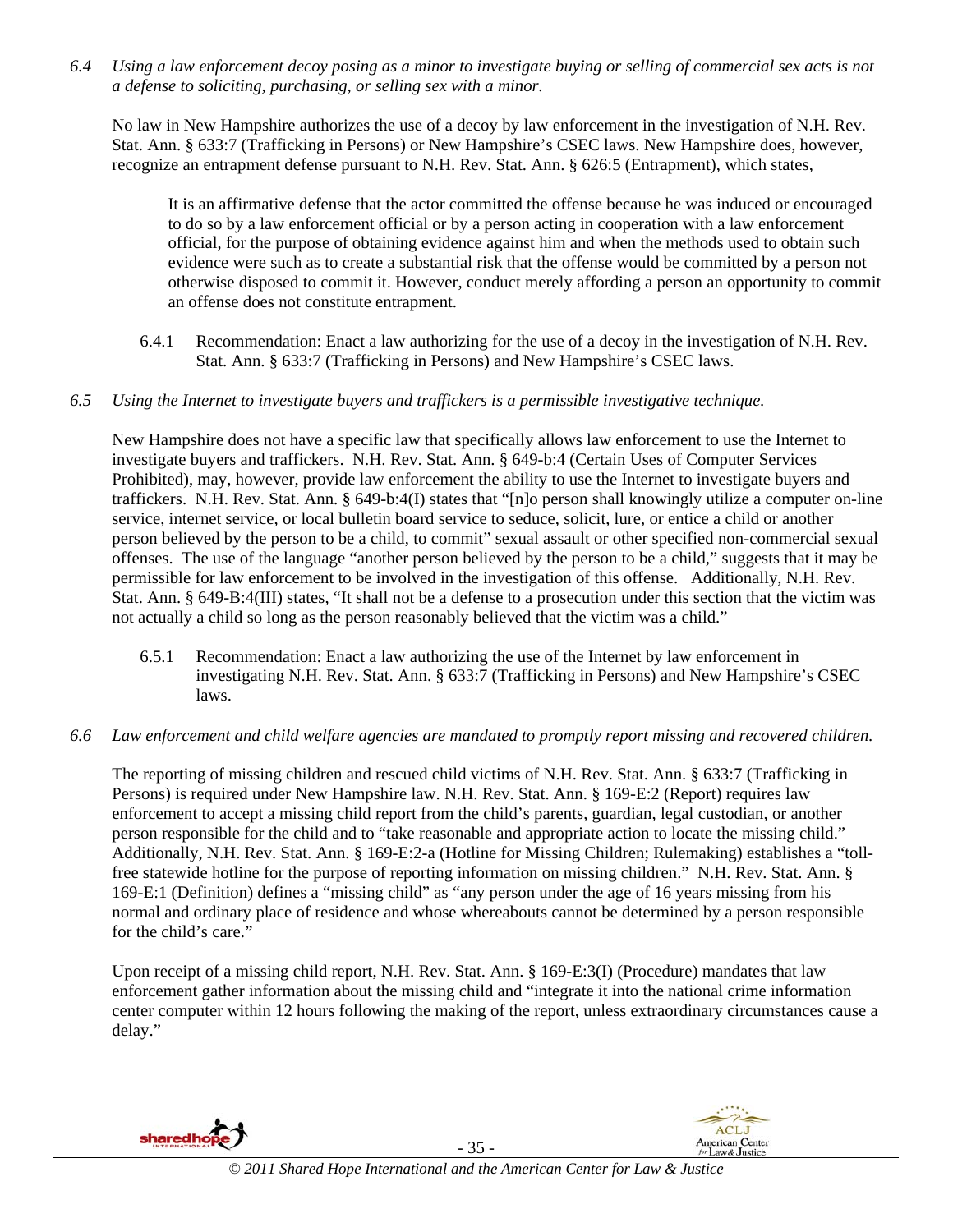*6.4 Using a law enforcement decoy posing as a minor to investigate buying or selling of commercial sex acts is not a defense to soliciting, purchasing, or selling sex with a minor.* 

No law in New Hampshire authorizes the use of a decoy by law enforcement in the investigation of N.H. Rev. Stat. Ann. § 633:7 (Trafficking in Persons) or New Hampshire's CSEC laws. New Hampshire does, however, recognize an entrapment defense pursuant to N.H. Rev. Stat. Ann. § 626:5 (Entrapment), which states,

It is an affirmative defense that the actor committed the offense because he was induced or encouraged to do so by a law enforcement official or by a person acting in cooperation with a law enforcement official, for the purpose of obtaining evidence against him and when the methods used to obtain such evidence were such as to create a substantial risk that the offense would be committed by a person not otherwise disposed to commit it. However, conduct merely affording a person an opportunity to commit an offense does not constitute entrapment.

- 6.4.1 Recommendation: Enact a law authorizing for the use of a decoy in the investigation of N.H. Rev. Stat. Ann. § 633:7 (Trafficking in Persons) and New Hampshire's CSEC laws.
- *6.5 Using the Internet to investigate buyers and traffickers is a permissible investigative technique.*

New Hampshire does not have a specific law that specifically allows law enforcement to use the Internet to investigate buyers and traffickers. N.H. Rev. Stat. Ann. § 649-b:4 (Certain Uses of Computer Services Prohibited), may, however, provide law enforcement the ability to use the Internet to investigate buyers and traffickers. N.H. Rev. Stat. Ann. § 649-b:4(I) states that "[n]o person shall knowingly utilize a computer on-line service, internet service, or local bulletin board service to seduce, solicit, lure, or entice a child or another person believed by the person to be a child, to commit" sexual assault or other specified non-commercial sexual offenses. The use of the language "another person believed by the person to be a child," suggests that it may be permissible for law enforcement to be involved in the investigation of this offense. Additionally, N.H. Rev. Stat. Ann. § 649-B:4(III) states, "It shall not be a defense to a prosecution under this section that the victim was not actually a child so long as the person reasonably believed that the victim was a child."

- 6.5.1 Recommendation: Enact a law authorizing the use of the Internet by law enforcement in investigating N.H. Rev. Stat. Ann. § 633:7 (Trafficking in Persons) and New Hampshire's CSEC laws.
- *6.6 Law enforcement and child welfare agencies are mandated to promptly report missing and recovered children.*

The reporting of missing children and rescued child victims of N.H. Rev. Stat. Ann. § 633:7 (Trafficking in Persons) is required under New Hampshire law. N.H. Rev. Stat. Ann. § 169-E:2 (Report) requires law enforcement to accept a missing child report from the child's parents, guardian, legal custodian, or another person responsible for the child and to "take reasonable and appropriate action to locate the missing child." Additionally, N.H. Rev. Stat. Ann. § 169-E:2-a (Hotline for Missing Children; Rulemaking) establishes a "tollfree statewide hotline for the purpose of reporting information on missing children." N.H. Rev. Stat. Ann. § 169-E:1 (Definition) defines a "missing child" as "any person under the age of 16 years missing from his normal and ordinary place of residence and whose whereabouts cannot be determined by a person responsible for the child's care."

Upon receipt of a missing child report, N.H. Rev. Stat. Ann. § 169-E:3(I) (Procedure) mandates that law enforcement gather information about the missing child and "integrate it into the national crime information center computer within 12 hours following the making of the report, unless extraordinary circumstances cause a delay."